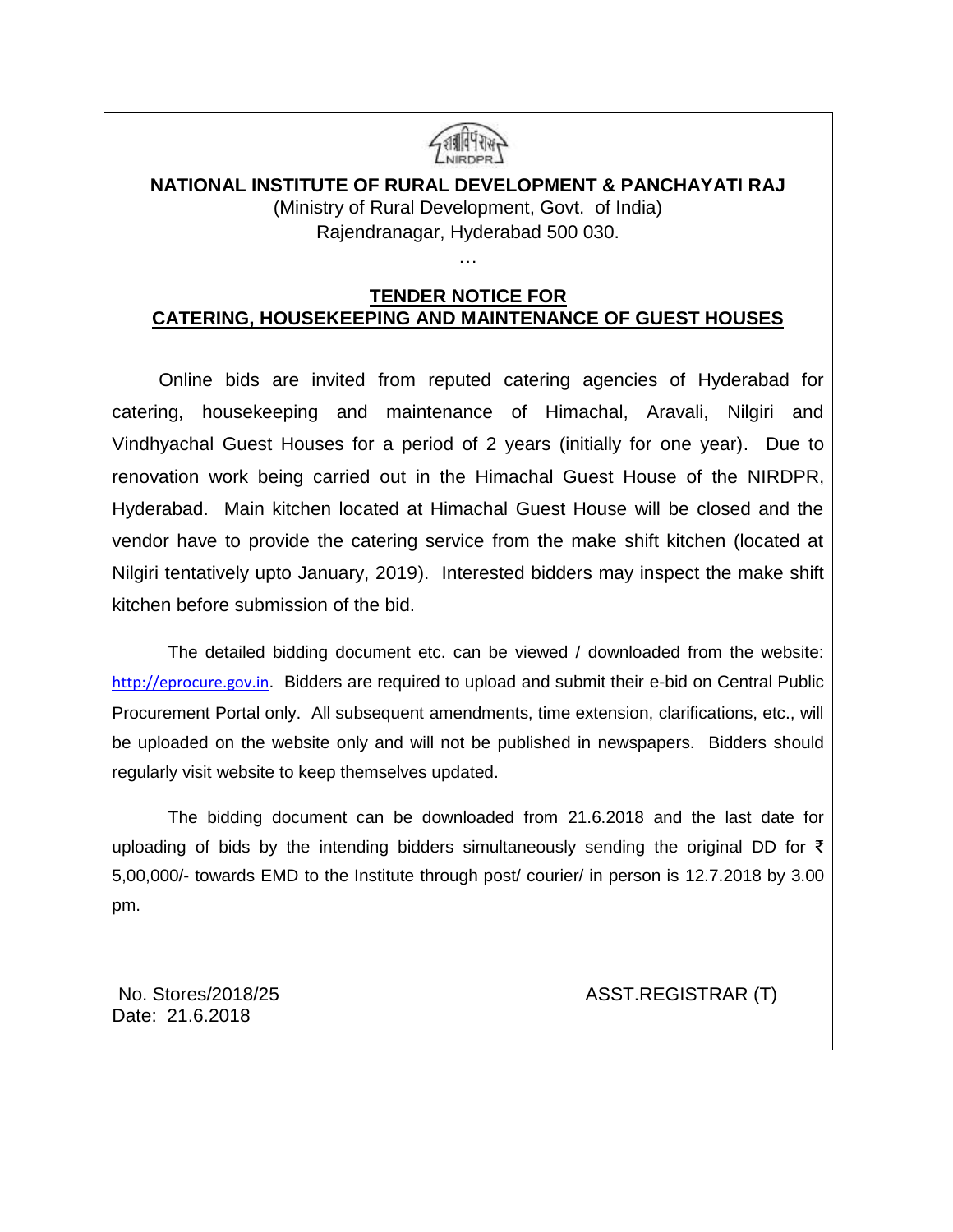

# **NATIONAL INSTITUTE OF RURAL DEVELOPMENT & PANCHAYATI RAJ** (Ministry of Rural Development, Govt. of India) Rajendranagar, Hyderabad 500 030.

…

### **TENDER NOTICE FOR CATERING, HOUSEKEEPING AND MAINTENANCE OF GUEST HOUSES**

 Online bids are invited from reputed catering agencies of Hyderabad for catering, housekeeping and maintenance of Himachal, Aravali, Nilgiri and Vindhyachal Guest Houses for a period of 2 years (initially for one year). Due to renovation work being carried out in the Himachal Guest House of the NIRDPR, Hyderabad. Main kitchen located at Himachal Guest House will be closed and the vendor have to provide the catering service from the make shift kitchen (located at Nilgiri tentatively upto January, 2019). Interested bidders may inspect the make shift kitchen before submission of the bid.

The detailed bidding document etc. can be viewed / downloaded from the website: [http://eprocure.gov.in](http://eprocure.gov.in/). Bidders are required to upload and submit their e-bid on Central Public Procurement Portal only. All subsequent amendments, time extension, clarifications, etc., will be uploaded on the website only and will not be published in newspapers. Bidders should regularly visit website to keep themselves updated.

The bidding document can be downloaded from 21.6.2018 and the last date for uploading of bids by the intending bidders simultaneously sending the original DD for ₹ 5,00,000/- towards EMD to the Institute through post/ courier/ in person is 12.7.2018 by 3.00 pm.

Date: 21.6.2018

No. Stores/2018/25 ASST.REGISTRAR (T)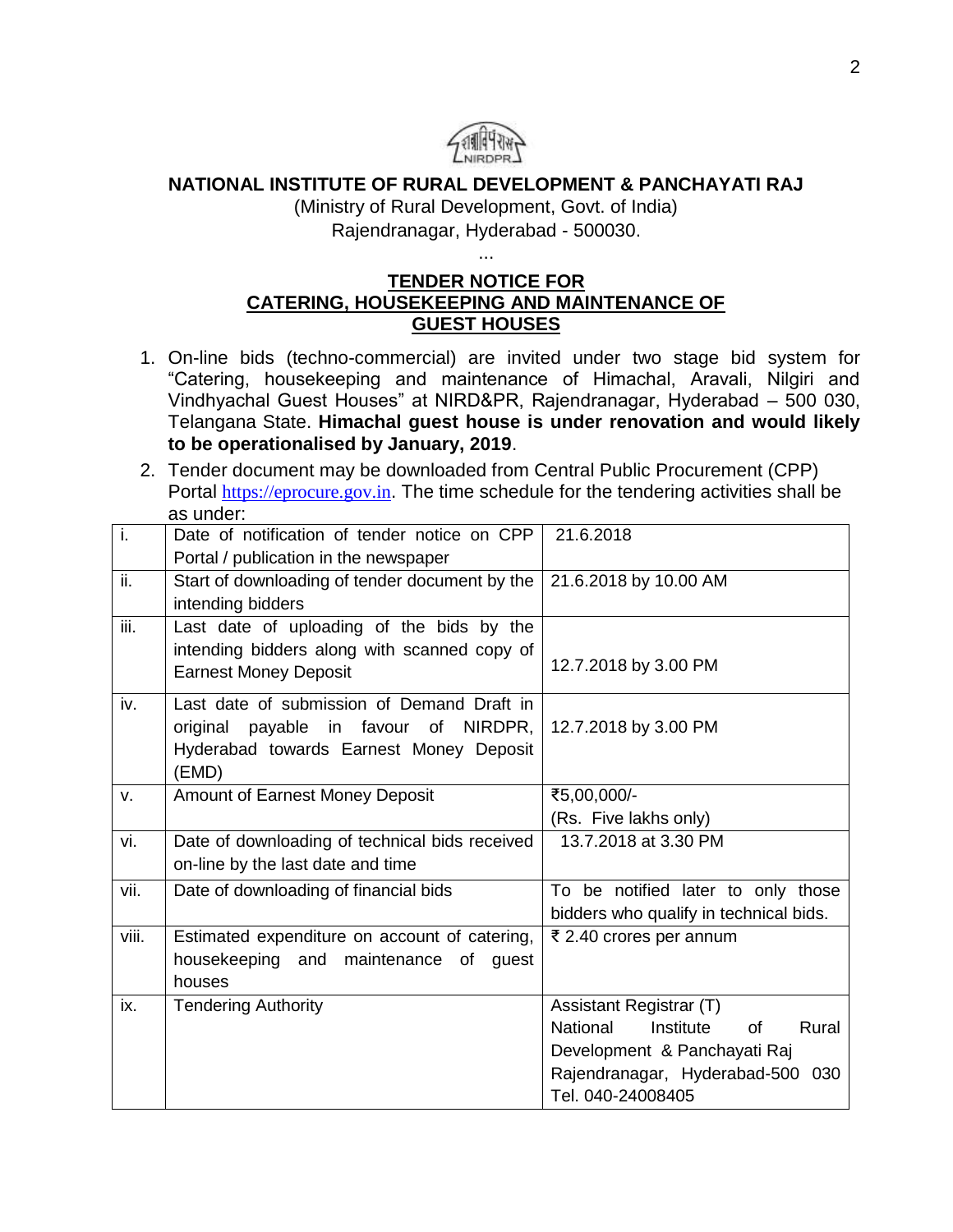

# **NATIONAL INSTITUTE OF RURAL DEVELOPMENT & PANCHAYATI RAJ**

(Ministry of Rural Development, Govt. of India) Rajendranagar, Hyderabad - 500030.

...

## **TENDER NOTICE FOR CATERING, HOUSEKEEPING AND MAINTENANCE OF GUEST HOUSES**

- 1. On-line bids (techno-commercial) are invited under two stage bid system for "Catering, housekeeping and maintenance of Himachal, Aravali, Nilgiri and Vindhyachal Guest Houses" at NIRD&PR, Rajendranagar, Hyderabad – 500 030, Telangana State. **Himachal guest house is under renovation and would likely to be operationalised by January, 2019**.
- 2. Tender document may be downloaded from Central Public Procurement (CPP) Portal [https://eprocure.gov.in](https://eprocure.gov.in/). The time schedule for the tendering activities shall be as under:

| ī.                          | Date of notification of tender notice on CPP   | 21.6.2018                                   |
|-----------------------------|------------------------------------------------|---------------------------------------------|
|                             | Portal / publication in the newspaper          |                                             |
| ii.                         | Start of downloading of tender document by the | 21.6.2018 by 10.00 AM                       |
|                             | intending bidders                              |                                             |
| $\overline{\mathsf{iii}}$ . | Last date of uploading of the bids by the      |                                             |
|                             | intending bidders along with scanned copy of   |                                             |
|                             | <b>Earnest Money Deposit</b>                   | 12.7.2018 by 3.00 PM                        |
| iv.                         | Last date of submission of Demand Draft in     |                                             |
|                             | original payable in favour of NIRDPR,          | 12.7.2018 by 3.00 PM                        |
|                             | Hyderabad towards Earnest Money Deposit        |                                             |
|                             | (EMD)                                          |                                             |
| v.                          | Amount of Earnest Money Deposit                | ₹5,00,000/-                                 |
|                             |                                                | (Rs. Five lakhs only)                       |
| vi.                         | Date of downloading of technical bids received | 13.7.2018 at 3.30 PM                        |
|                             | on-line by the last date and time              |                                             |
| vii.                        | Date of downloading of financial bids          | To be notified later to only those          |
|                             |                                                | bidders who qualify in technical bids.      |
| viii.                       | Estimated expenditure on account of catering,  | ₹ 2.40 crores per annum                     |
|                             | housekeeping and maintenance<br>of<br>quest    |                                             |
|                             | houses                                         |                                             |
| ix.                         | <b>Tendering Authority</b>                     | Assistant Registrar (T)                     |
|                             |                                                | <b>National</b><br>Rural<br>Institute<br>of |
|                             |                                                | Development & Panchayati Raj                |
|                             |                                                | Rajendranagar, Hyderabad-500 030            |
|                             |                                                | Tel. 040-24008405                           |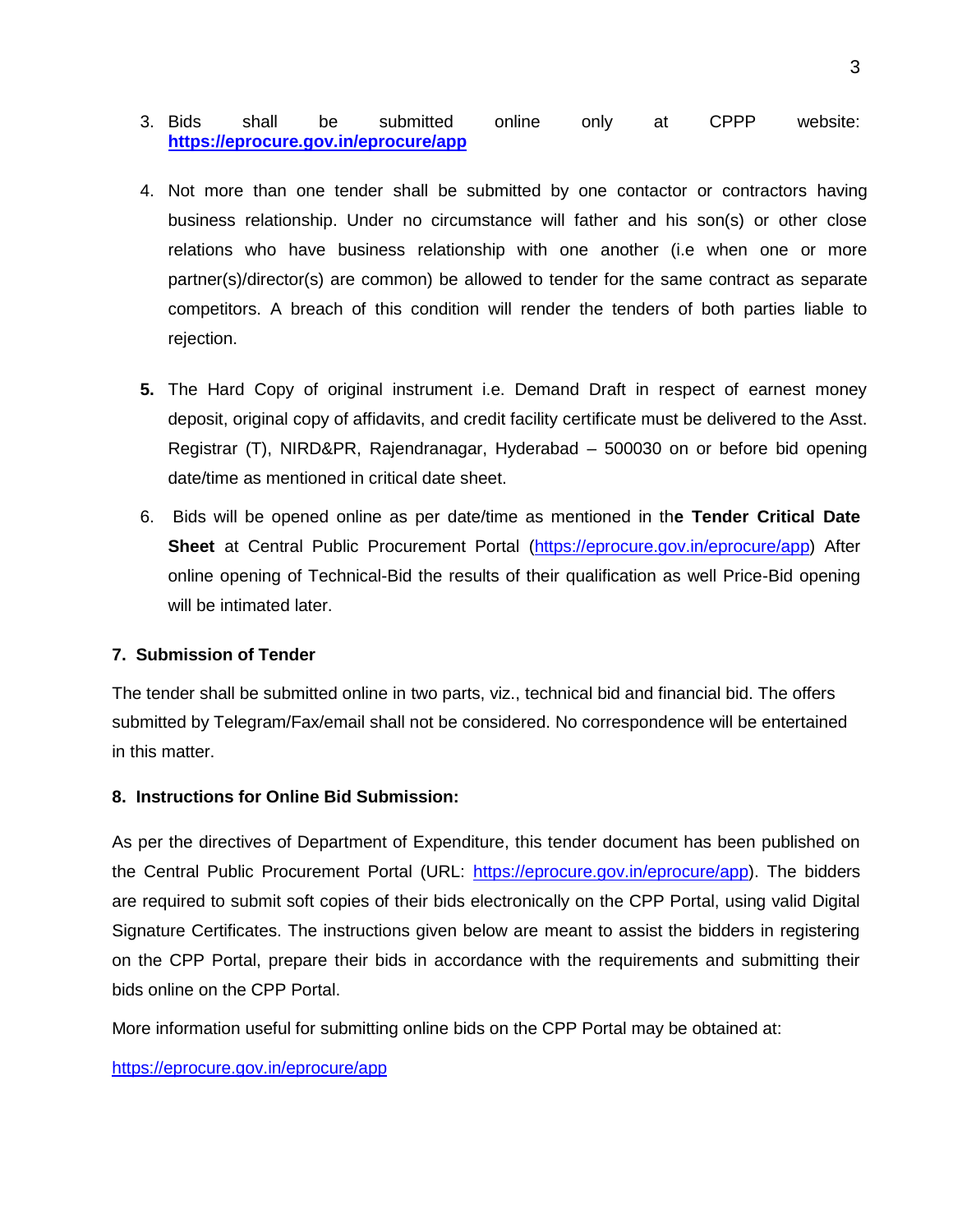- 3. Bids shall be submitted online only at CPPP website: **<https://eprocure.gov.in/eprocure/app>**
- 4. Not more than one tender shall be submitted by one contactor or contractors having business relationship. Under no circumstance will father and his son(s) or other close relations who have business relationship with one another (i.e when one or more partner(s)/director(s) are common) be allowed to tender for the same contract as separate competitors. A breach of this condition will render the tenders of both parties liable to rejection.
- **5.** The Hard Copy of original instrument i.e. Demand Draft in respect of earnest money deposit, original copy of affidavits, and credit facility certificate must be delivered to the Asst. Registrar (T), NIRD&PR, Rajendranagar, Hyderabad – 500030 on or before bid opening date/time as mentioned in critical date sheet.
- 6. Bids will be opened online as per date/time as mentioned in th**e Tender Critical Date**  Sheet at Central Public Procurement Portal [\(https://eprocure.gov.in/eprocure/app\)](https://eprocure.gov.in/eprocure/app) After online opening of Technical-Bid the results of their qualification as well Price-Bid opening will be intimated later.

### **7. Submission of Tender**

The tender shall be submitted online in two parts, viz., technical bid and financial bid. The offers submitted by Telegram/Fax/email shall not be considered. No correspondence will be entertained in this matter.

#### **8. Instructions for Online Bid Submission:**

As per the directives of Department of Expenditure, this tender document has been published on the Central Public Procurement Portal (URL: [https://eprocure.gov.in/eprocure/app\)](https://eprocure.gov.in/eprocure/app). The bidders are required to submit soft copies of their bids electronically on the CPP Portal, using valid Digital Signature Certificates. The instructions given below are meant to assist the bidders in registering on the CPP Portal, prepare their bids in accordance with the requirements and submitting their bids online on the CPP Portal.

More information useful for submitting online bids on the CPP Portal may be obtained at:

#### <https://eprocure.gov.in/eprocure/app>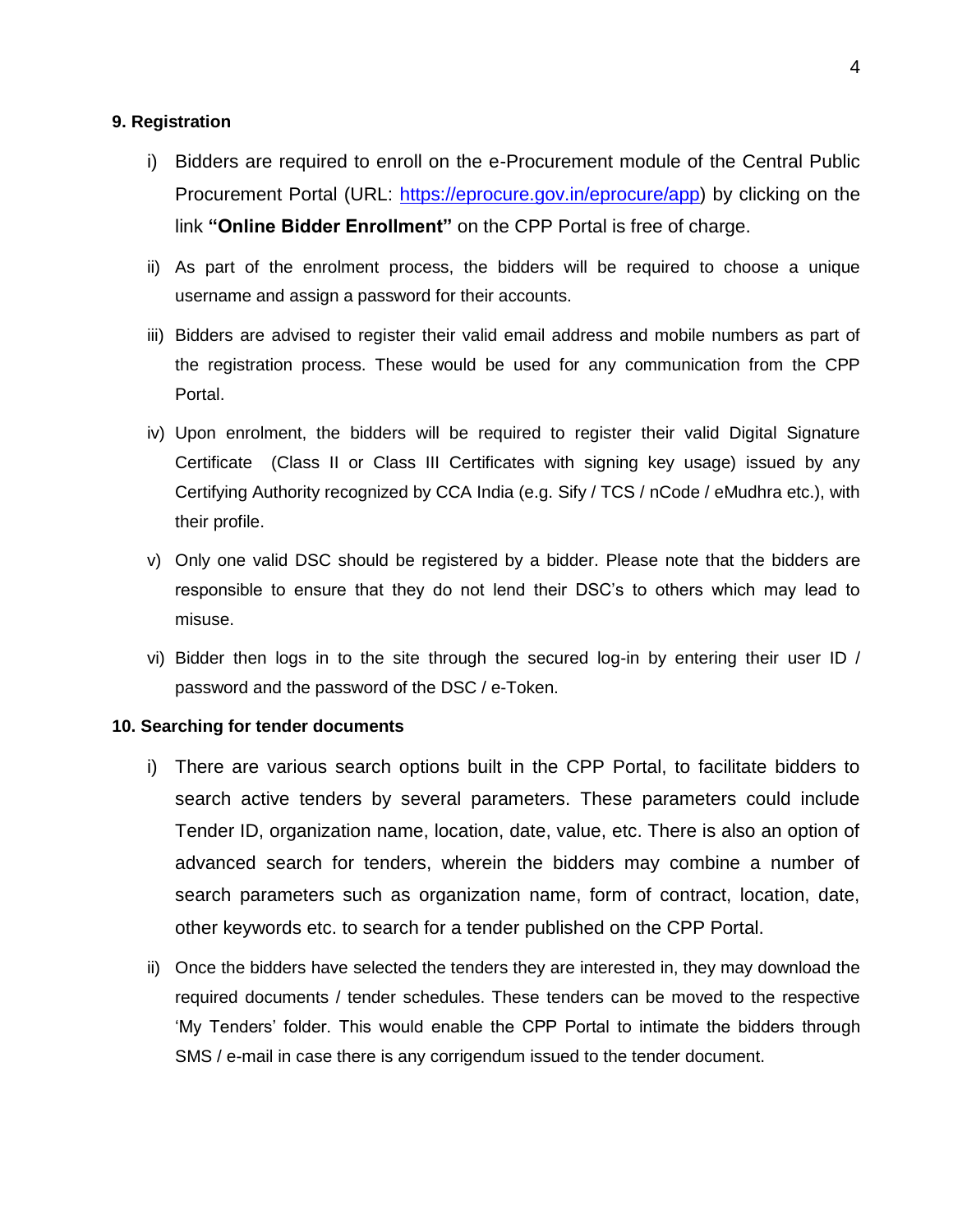#### **9. Registration**

- i) Bidders are required to enroll on the e-Procurement module of the Central Public Procurement Portal (URL: [https://eprocure.gov.in/eprocure/app\)](https://eprocure.gov.in/eprocure/app) by clicking on the link **"Online Bidder Enrollment"** on the CPP Portal is free of charge.
- ii) As part of the enrolment process, the bidders will be required to choose a unique username and assign a password for their accounts.
- iii) Bidders are advised to register their valid email address and mobile numbers as part of the registration process. These would be used for any communication from the CPP Portal.
- iv) Upon enrolment, the bidders will be required to register their valid Digital Signature Certificate (Class II or Class III Certificates with signing key usage) issued by any Certifying Authority recognized by CCA India (e.g. Sify / TCS / nCode / eMudhra etc.), with their profile.
- v) Only one valid DSC should be registered by a bidder. Please note that the bidders are responsible to ensure that they do not lend their DSC's to others which may lead to misuse.
- vi) Bidder then logs in to the site through the secured log-in by entering their user ID / password and the password of the DSC / e-Token.

#### **10. Searching for tender documents**

- i) There are various search options built in the CPP Portal, to facilitate bidders to search active tenders by several parameters. These parameters could include Tender ID, organization name, location, date, value, etc. There is also an option of advanced search for tenders, wherein the bidders may combine a number of search parameters such as organization name, form of contract, location, date, other keywords etc. to search for a tender published on the CPP Portal.
- ii) Once the bidders have selected the tenders they are interested in, they may download the required documents / tender schedules. These tenders can be moved to the respective 'My Tenders' folder. This would enable the CPP Portal to intimate the bidders through SMS / e-mail in case there is any corrigendum issued to the tender document.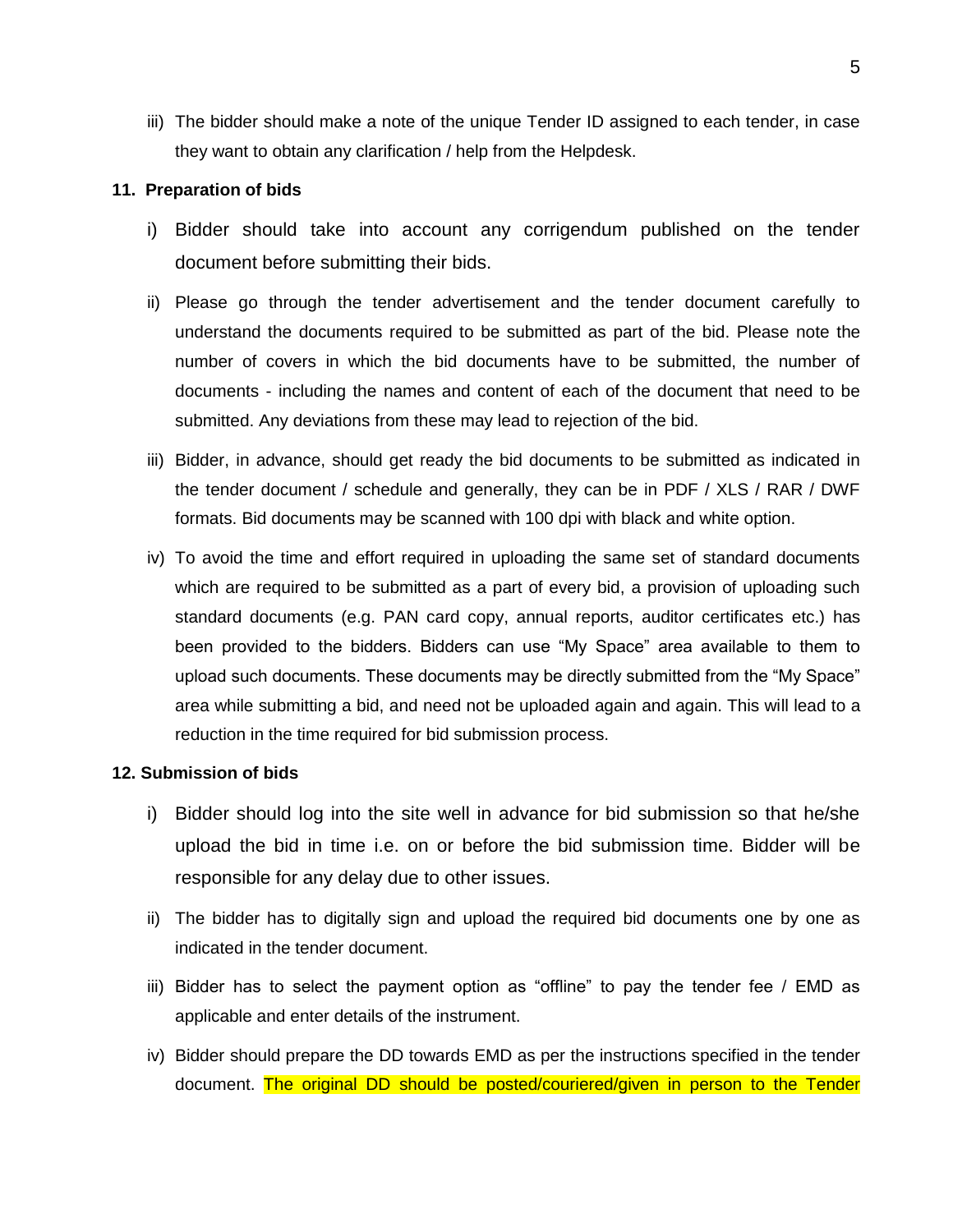iii) The bidder should make a note of the unique Tender ID assigned to each tender, in case they want to obtain any clarification / help from the Helpdesk.

#### **11. Preparation of bids**

- i) Bidder should take into account any corrigendum published on the tender document before submitting their bids.
- ii) Please go through the tender advertisement and the tender document carefully to understand the documents required to be submitted as part of the bid. Please note the number of covers in which the bid documents have to be submitted, the number of documents - including the names and content of each of the document that need to be submitted. Any deviations from these may lead to rejection of the bid.
- iii) Bidder, in advance, should get ready the bid documents to be submitted as indicated in the tender document / schedule and generally, they can be in PDF / XLS / RAR / DWF formats. Bid documents may be scanned with 100 dpi with black and white option.
- iv) To avoid the time and effort required in uploading the same set of standard documents which are required to be submitted as a part of every bid, a provision of uploading such standard documents (e.g. PAN card copy, annual reports, auditor certificates etc.) has been provided to the bidders. Bidders can use "My Space" area available to them to upload such documents. These documents may be directly submitted from the "My Space" area while submitting a bid, and need not be uploaded again and again. This will lead to a reduction in the time required for bid submission process.

#### **12. Submission of bids**

- i) Bidder should log into the site well in advance for bid submission so that he/she upload the bid in time i.e. on or before the bid submission time. Bidder will be responsible for any delay due to other issues.
- ii) The bidder has to digitally sign and upload the required bid documents one by one as indicated in the tender document.
- iii) Bidder has to select the payment option as "offline" to pay the tender fee / EMD as applicable and enter details of the instrument.
- iv) Bidder should prepare the DD towards EMD as per the instructions specified in the tender document. The original DD should be posted/couriered/given in person to the Tender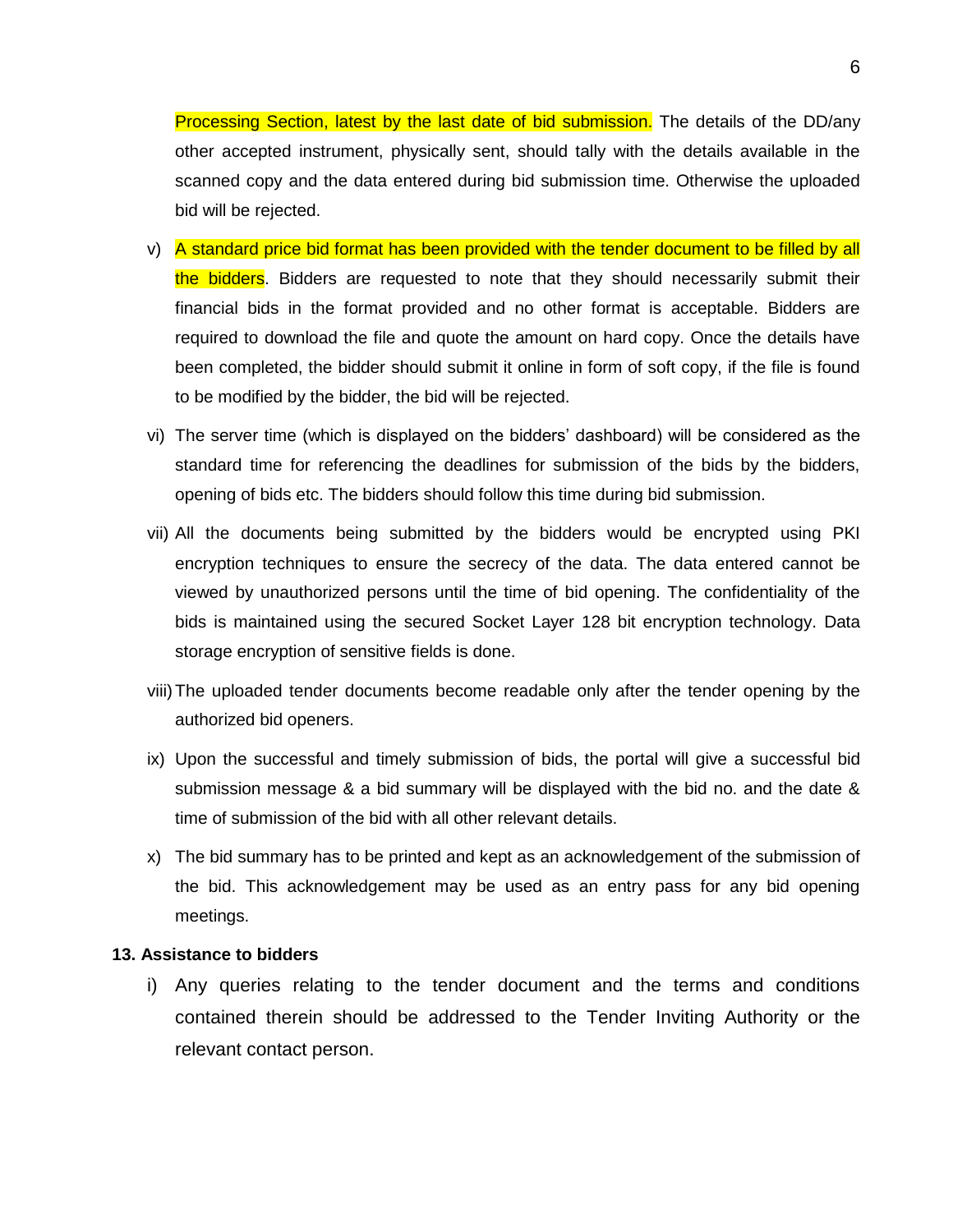Processing Section, latest by the last date of bid submission. The details of the DD/any other accepted instrument, physically sent, should tally with the details available in the scanned copy and the data entered during bid submission time. Otherwise the uploaded bid will be rejected.

- v) A standard price bid format has been provided with the tender document to be filled by all the bidders. Bidders are requested to note that they should necessarily submit their financial bids in the format provided and no other format is acceptable. Bidders are required to download the file and quote the amount on hard copy. Once the details have been completed, the bidder should submit it online in form of soft copy, if the file is found to be modified by the bidder, the bid will be rejected.
- vi) The server time (which is displayed on the bidders' dashboard) will be considered as the standard time for referencing the deadlines for submission of the bids by the bidders, opening of bids etc. The bidders should follow this time during bid submission.
- vii) All the documents being submitted by the bidders would be encrypted using PKI encryption techniques to ensure the secrecy of the data. The data entered cannot be viewed by unauthorized persons until the time of bid opening. The confidentiality of the bids is maintained using the secured Socket Layer 128 bit encryption technology. Data storage encryption of sensitive fields is done.
- viii)The uploaded tender documents become readable only after the tender opening by the authorized bid openers.
- ix) Upon the successful and timely submission of bids, the portal will give a successful bid submission message & a bid summary will be displayed with the bid no. and the date & time of submission of the bid with all other relevant details.
- x) The bid summary has to be printed and kept as an acknowledgement of the submission of the bid. This acknowledgement may be used as an entry pass for any bid opening meetings.

#### **13. Assistance to bidders**

i) Any queries relating to the tender document and the terms and conditions contained therein should be addressed to the Tender Inviting Authority or the relevant contact person.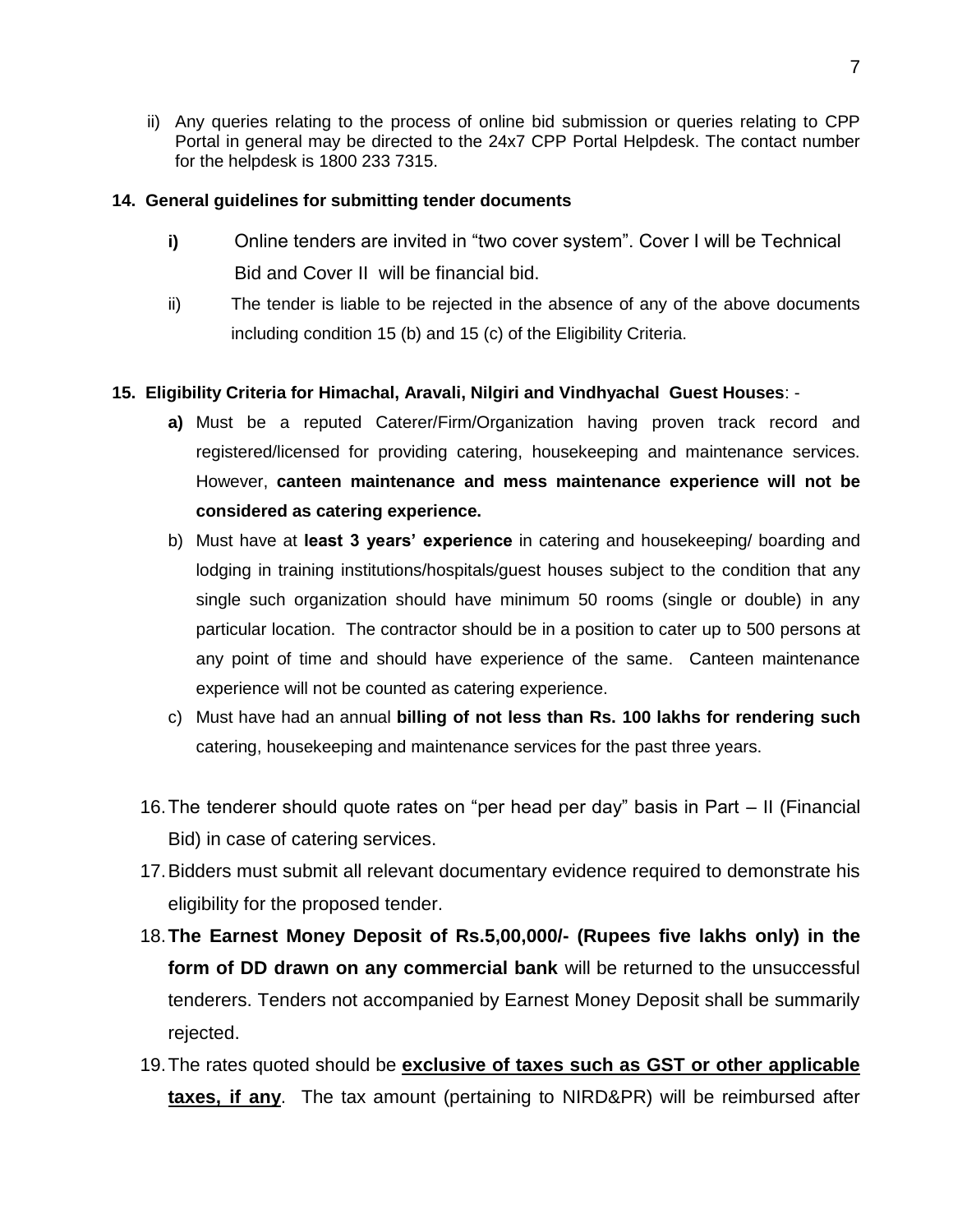ii) Any queries relating to the process of online bid submission or queries relating to CPP Portal in general may be directed to the 24x7 CPP Portal Helpdesk. The contact number for the helpdesk is 1800 233 7315.

### **14. General guidelines for submitting tender documents**

- **i)** Online tenders are invited in "two cover system". Cover I will be Technical Bid and Cover II will be financial bid.
- ii) The tender is liable to be rejected in the absence of any of the above documents including condition 15 (b) and 15 (c) of the Eligibility Criteria.

### **15. Eligibility Criteria for Himachal, Aravali, Nilgiri and Vindhyachal Guest Houses**: -

- **a)** Must be a reputed Caterer/Firm/Organization having proven track record and registered/licensed for providing catering, housekeeping and maintenance services. However, **canteen maintenance and mess maintenance experience will not be considered as catering experience.**
- b) Must have at **least 3 years' experience** in catering and housekeeping/ boarding and lodging in training institutions/hospitals/guest houses subject to the condition that any single such organization should have minimum 50 rooms (single or double) in any particular location. The contractor should be in a position to cater up to 500 persons at any point of time and should have experience of the same. Canteen maintenance experience will not be counted as catering experience.
- c) Must have had an annual **billing of not less than Rs. 100 lakhs for rendering such** catering, housekeeping and maintenance services for the past three years.
- 16.The tenderer should quote rates on "per head per day" basis in Part II (Financial Bid) in case of catering services.
- 17.Bidders must submit all relevant documentary evidence required to demonstrate his eligibility for the proposed tender.
- 18.**The Earnest Money Deposit of Rs.5,00,000/- (Rupees five lakhs only) in the form of DD drawn on any commercial bank** will be returned to the unsuccessful tenderers. Tenders not accompanied by Earnest Money Deposit shall be summarily rejected.
- 19.The rates quoted should be **exclusive of taxes such as GST or other applicable taxes, if any**. The tax amount (pertaining to NIRD&PR) will be reimbursed after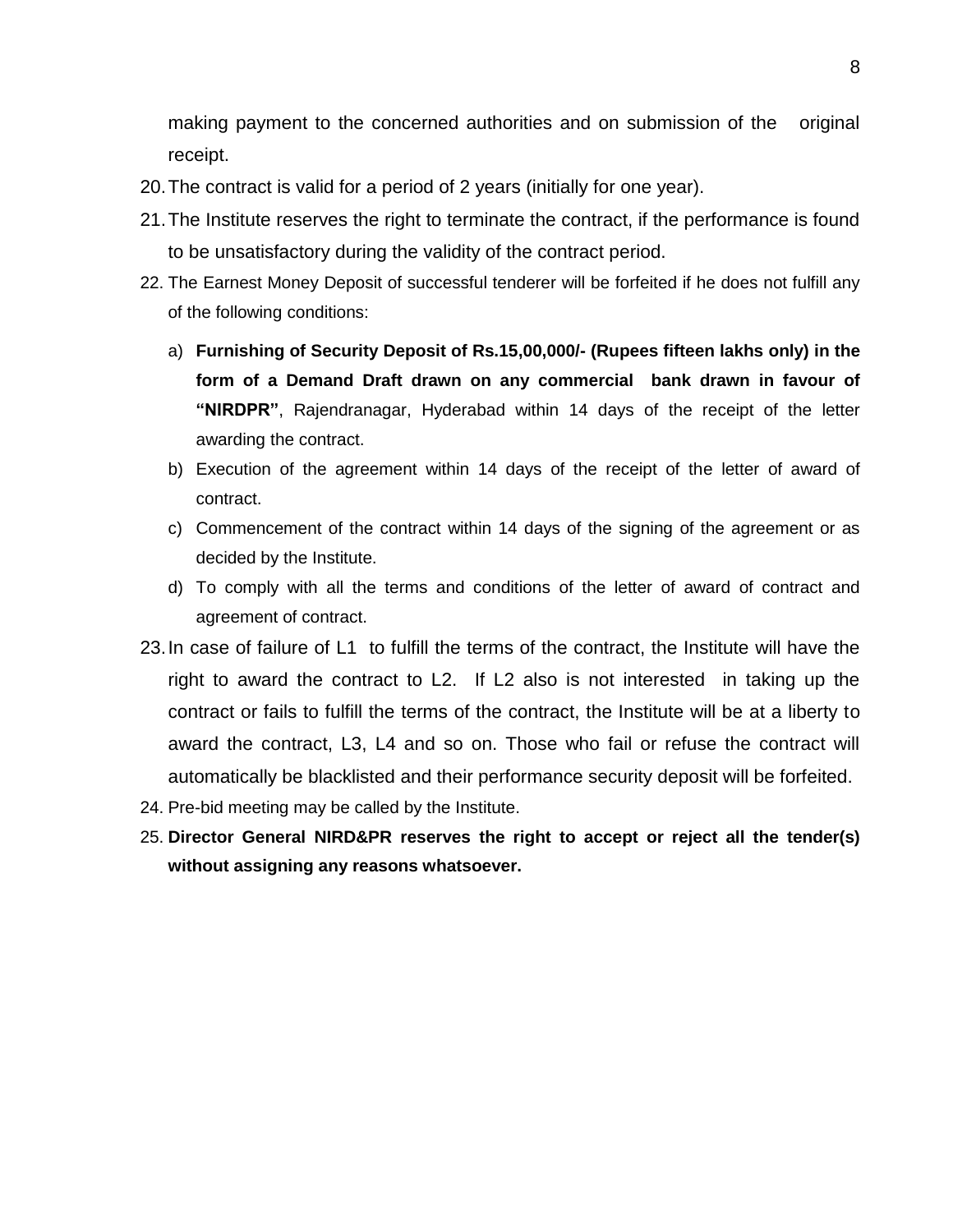making payment to the concerned authorities and on submission of the original receipt.

- 20.The contract is valid for a period of 2 years (initially for one year).
- 21.The Institute reserves the right to terminate the contract, if the performance is found to be unsatisfactory during the validity of the contract period.
- 22. The Earnest Money Deposit of successful tenderer will be forfeited if he does not fulfill any of the following conditions:
	- a) **Furnishing of Security Deposit of Rs.15,00,000/- (Rupees fifteen lakhs only) in the form of a Demand Draft drawn on any commercial bank drawn in favour of "NIRDPR"**, Rajendranagar, Hyderabad within 14 days of the receipt of the letter awarding the contract.
	- b) Execution of the agreement within 14 days of the receipt of the letter of award of contract.
	- c) Commencement of the contract within 14 days of the signing of the agreement or as decided by the Institute.
	- d) To comply with all the terms and conditions of the letter of award of contract and agreement of contract.
- 23.In case of failure of L1 to fulfill the terms of the contract, the Institute will have the right to award the contract to L2. If L2 also is not interested in taking up the contract or fails to fulfill the terms of the contract, the Institute will be at a liberty to award the contract, L3, L4 and so on. Those who fail or refuse the contract will automatically be blacklisted and their performance security deposit will be forfeited.
- 24. Pre-bid meeting may be called by the Institute.
- 25. **Director General NIRD&PR reserves the right to accept or reject all the tender(s) without assigning any reasons whatsoever.**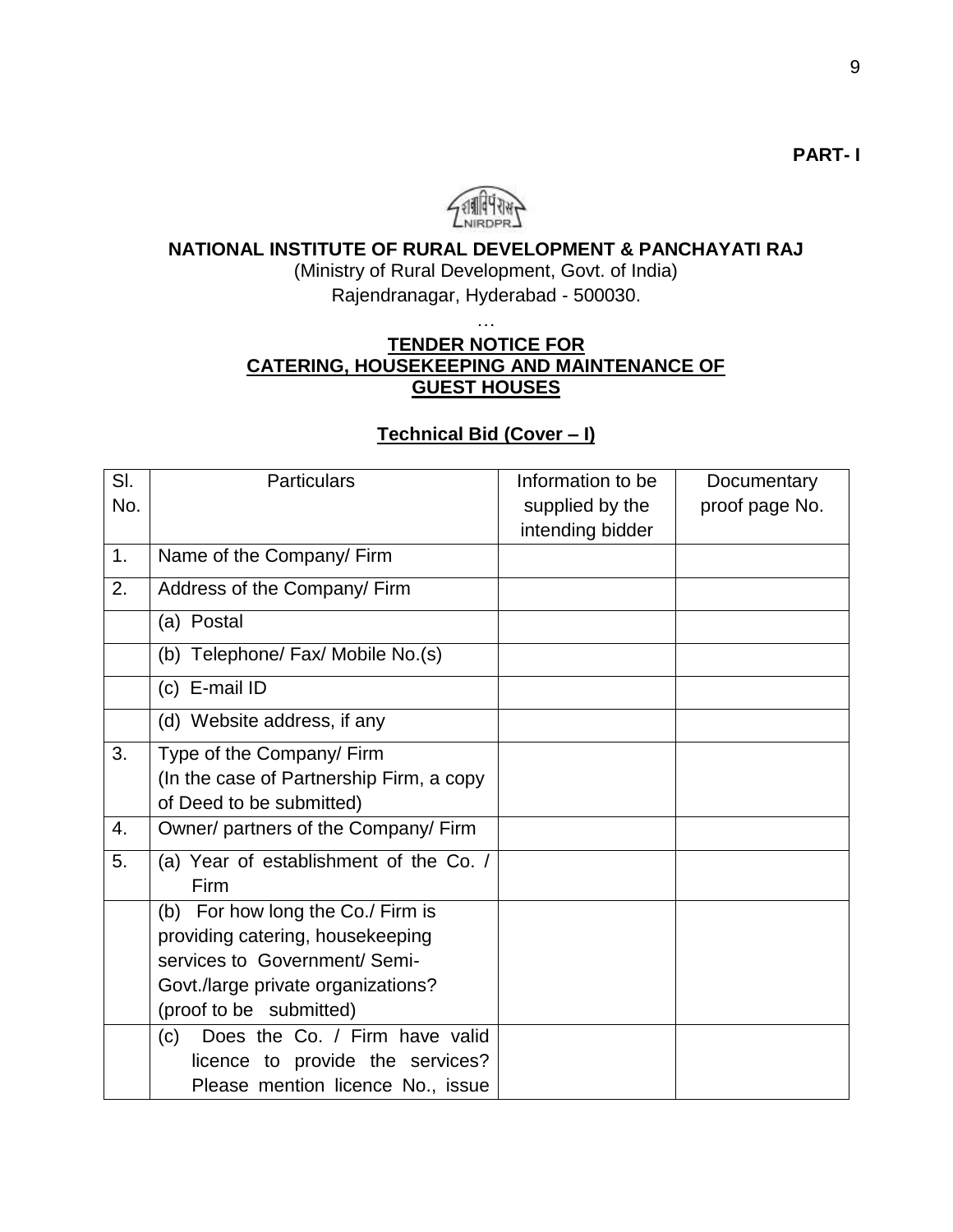

# **NATIONAL INSTITUTE OF RURAL DEVELOPMENT & PANCHAYATI RAJ**

(Ministry of Rural Development, Govt. of India) Rajendranagar, Hyderabad - 500030.

# …

# **TENDER NOTICE FOR CATERING, HOUSEKEEPING AND MAINTENANCE OF GUEST HOUSES**

## **Technical Bid (Cover – I)**

| SI. | <b>Particulars</b>                       | Information to be | Documentary    |
|-----|------------------------------------------|-------------------|----------------|
| No. |                                          | supplied by the   | proof page No. |
|     |                                          | intending bidder  |                |
| 1.  | Name of the Company/ Firm                |                   |                |
| 2.  | Address of the Company/ Firm             |                   |                |
|     | (a) Postal                               |                   |                |
|     | (b) Telephone/ Fax/ Mobile No.(s)        |                   |                |
|     | (c) E-mail ID                            |                   |                |
|     | (d) Website address, if any              |                   |                |
| 3.  | Type of the Company/ Firm                |                   |                |
|     | (In the case of Partnership Firm, a copy |                   |                |
|     | of Deed to be submitted)                 |                   |                |
| 4.  | Owner/ partners of the Company/ Firm     |                   |                |
| 5.  | (a) Year of establishment of the Co. /   |                   |                |
|     | Firm                                     |                   |                |
|     | (b) For how long the Co./ Firm is        |                   |                |
|     | providing catering, housekeeping         |                   |                |
|     | services to Government/Semi-             |                   |                |
|     | Govt./large private organizations?       |                   |                |
|     | (proof to be submitted)                  |                   |                |
|     | Does the Co. / Firm have valid<br>(c)    |                   |                |
|     | licence to provide the services?         |                   |                |
|     | Please mention licence No., issue        |                   |                |

**PART- I**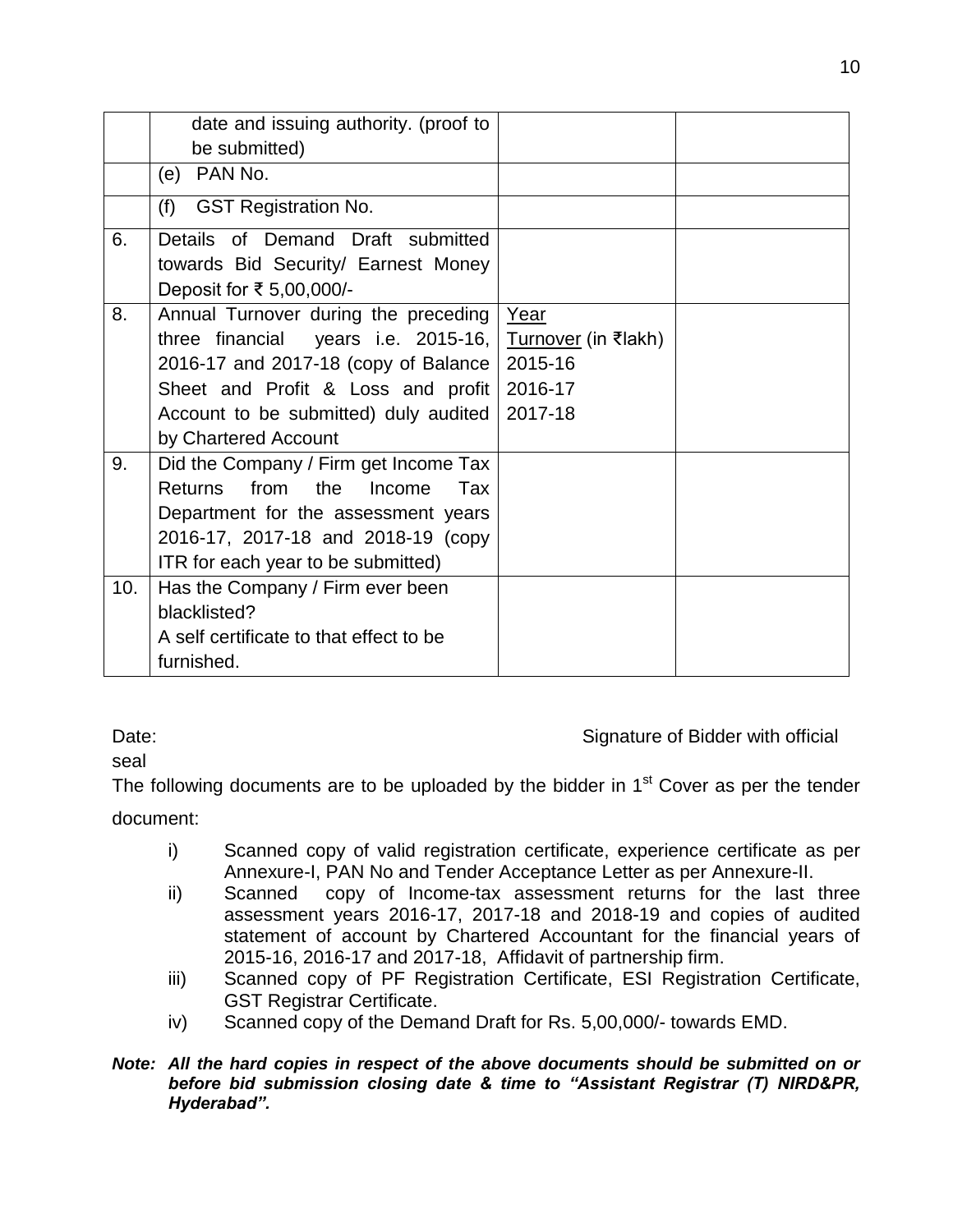|     | date and issuing authority. (proof to       |                            |  |
|-----|---------------------------------------------|----------------------------|--|
|     | be submitted)                               |                            |  |
|     | PAN No.<br>(e)                              |                            |  |
|     | <b>GST Registration No.</b><br>(f)          |                            |  |
| 6.  | Details of Demand Draft submitted           |                            |  |
|     | towards Bid Security/ Earnest Money         |                            |  |
|     | Deposit for ₹ 5,00,000/-                    |                            |  |
| 8.  | Annual Turnover during the preceding        | Year                       |  |
|     | three financial years i.e. 2015-16,         | <u>Turnover</u> (in ₹lakh) |  |
|     | 2016-17 and 2017-18 (copy of Balance        | 2015-16                    |  |
|     | Sheet and Profit & Loss and profit          | 2016-17                    |  |
|     | Account to be submitted) duly audited       | 2017-18                    |  |
|     | by Chartered Account                        |                            |  |
| 9.  | Did the Company / Firm get Income Tax       |                            |  |
|     | from the<br><b>Returns</b><br>Income<br>Tax |                            |  |
|     | Department for the assessment years         |                            |  |
|     | 2016-17, 2017-18 and 2018-19 (copy          |                            |  |
|     | ITR for each year to be submitted)          |                            |  |
| 10. | Has the Company / Firm ever been            |                            |  |
|     | blacklisted?                                |                            |  |
|     | A self certificate to that effect to be     |                            |  |
|     | furnished.                                  |                            |  |

seal

Date: Date: Signature of Bidder with official

The following documents are to be uploaded by the bidder in  $1<sup>st</sup>$  Cover as per the tender

document:

- i) Scanned copy of valid registration certificate, experience certificate as per Annexure-I, PAN No and Tender Acceptance Letter as per Annexure-II.
- ii) Scanned copy of Income-tax assessment returns for the last three assessment years 2016-17, 2017-18 and 2018-19 and copies of audited statement of account by Chartered Accountant for the financial years of 2015-16, 2016-17 and 2017-18, Affidavit of partnership firm.
- iii) Scanned copy of PF Registration Certificate, ESI Registration Certificate, GST Registrar Certificate.
- iv) Scanned copy of the Demand Draft for Rs. 5,00,000/- towards EMD.
- *Note: All the hard copies in respect of the above documents should be submitted on or before bid submission closing date & time to "Assistant Registrar (T) NIRD&PR, Hyderabad".*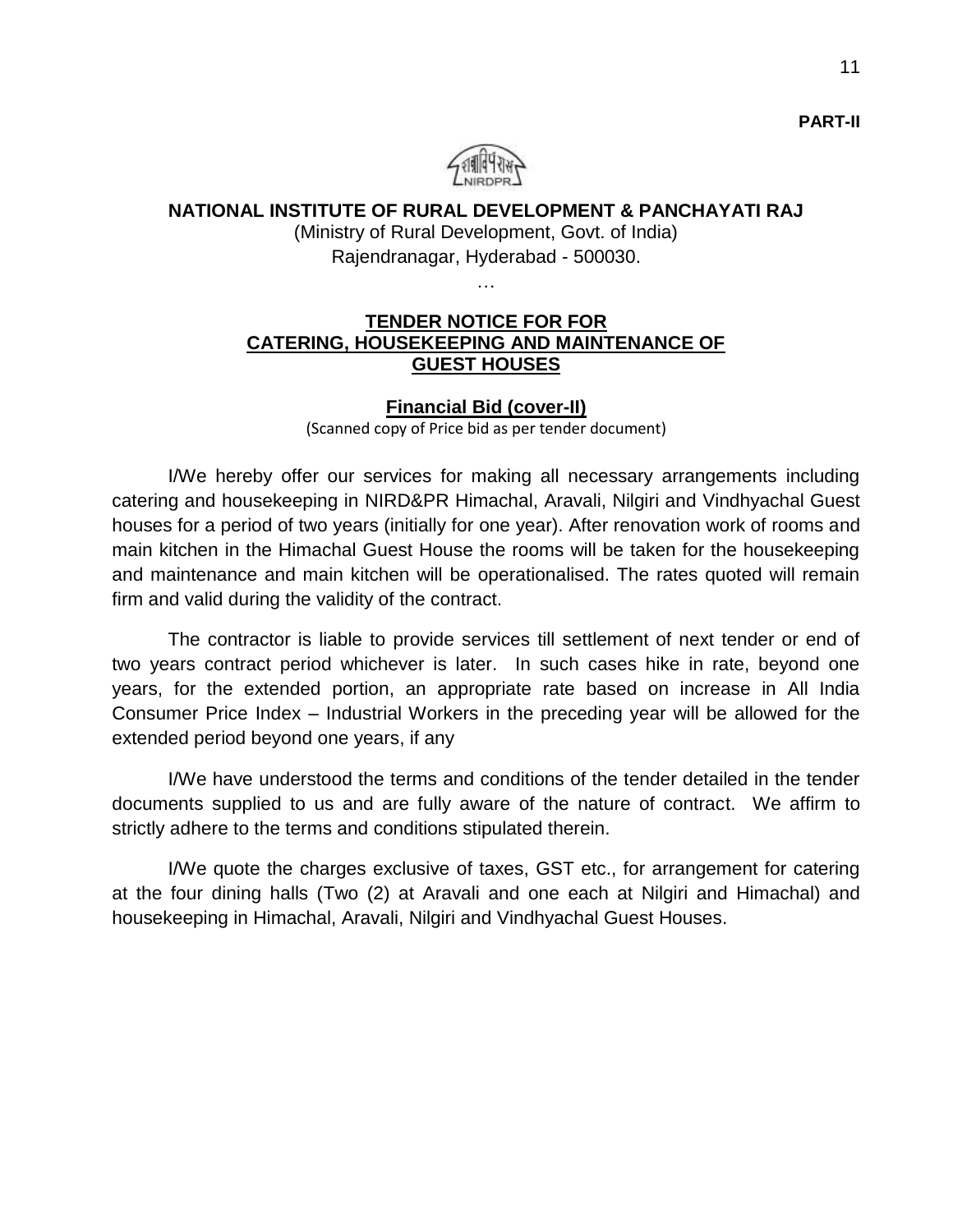

# **NATIONAL INSTITUTE OF RURAL DEVELOPMENT & PANCHAYATI RAJ**

(Ministry of Rural Development, Govt. of India) Rajendranagar, Hyderabad - 500030.

…

### **TENDER NOTICE FOR FOR CATERING, HOUSEKEEPING AND MAINTENANCE OF GUEST HOUSES**

#### **Financial Bid (cover-II)**

(Scanned copy of Price bid as per tender document)

I/We hereby offer our services for making all necessary arrangements including catering and housekeeping in NIRD&PR Himachal, Aravali, Nilgiri and Vindhyachal Guest houses for a period of two years (initially for one year). After renovation work of rooms and main kitchen in the Himachal Guest House the rooms will be taken for the housekeeping and maintenance and main kitchen will be operationalised. The rates quoted will remain firm and valid during the validity of the contract.

The contractor is liable to provide services till settlement of next tender or end of two years contract period whichever is later. In such cases hike in rate, beyond one years, for the extended portion, an appropriate rate based on increase in All India Consumer Price Index – Industrial Workers in the preceding year will be allowed for the extended period beyond one years, if any

 I/We have understood the terms and conditions of the tender detailed in the tender documents supplied to us and are fully aware of the nature of contract. We affirm to strictly adhere to the terms and conditions stipulated therein.

I/We quote the charges exclusive of taxes, GST etc., for arrangement for catering at the four dining halls (Two (2) at Aravali and one each at Nilgiri and Himachal) and housekeeping in Himachal, Aravali, Nilgiri and Vindhyachal Guest Houses.

**PART-II**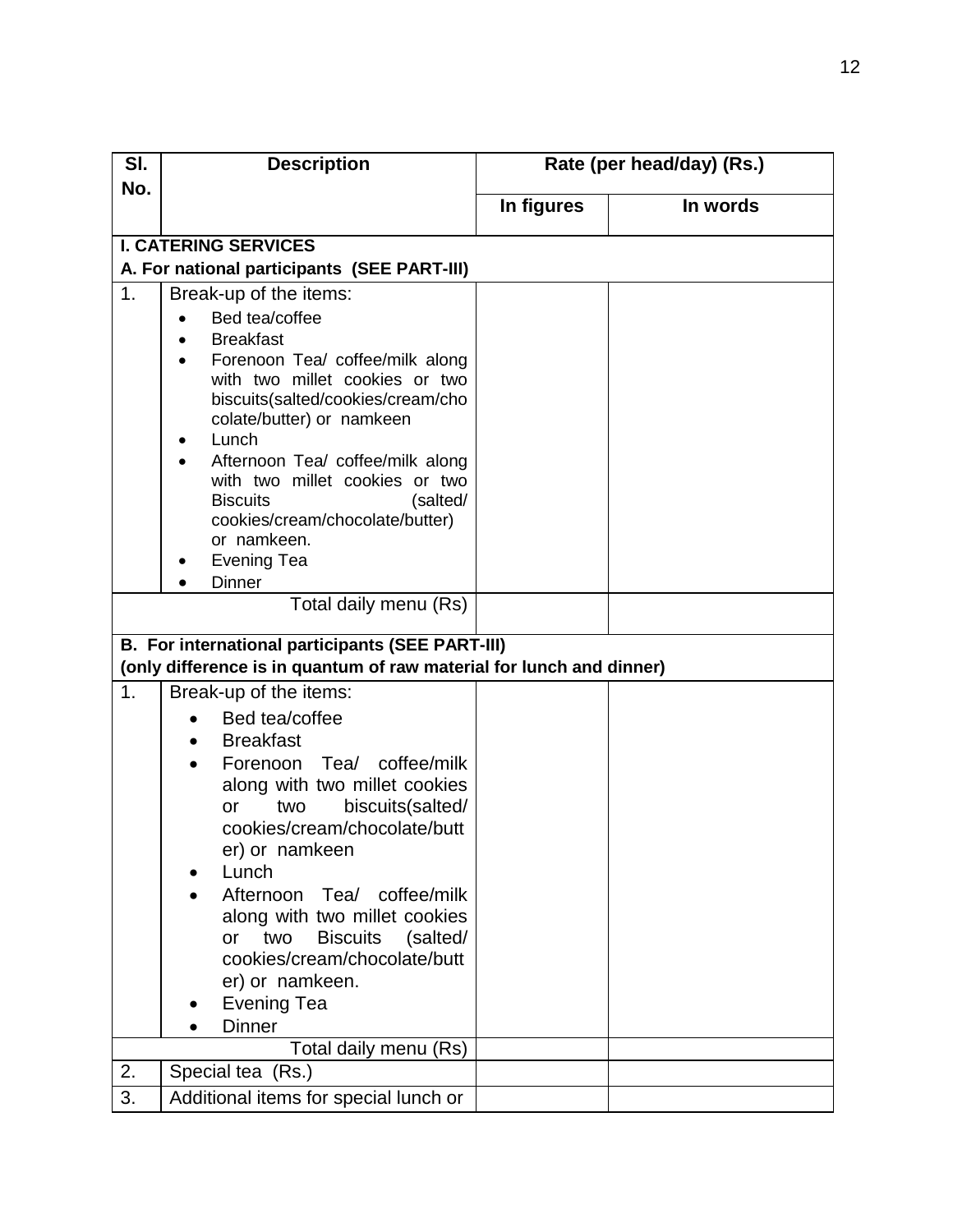| SI.            | <b>Description</b>                                                                                                                                                                                                                                                                                                                                                                                                                                                                                                                                                   |            | Rate (per head/day) (Rs.) |  |  |  |
|----------------|----------------------------------------------------------------------------------------------------------------------------------------------------------------------------------------------------------------------------------------------------------------------------------------------------------------------------------------------------------------------------------------------------------------------------------------------------------------------------------------------------------------------------------------------------------------------|------------|---------------------------|--|--|--|
| No.            |                                                                                                                                                                                                                                                                                                                                                                                                                                                                                                                                                                      | In figures | In words                  |  |  |  |
|                |                                                                                                                                                                                                                                                                                                                                                                                                                                                                                                                                                                      |            |                           |  |  |  |
|                | <b>I. CATERING SERVICES</b>                                                                                                                                                                                                                                                                                                                                                                                                                                                                                                                                          |            |                           |  |  |  |
|                | A. For national participants (SEE PART-III)                                                                                                                                                                                                                                                                                                                                                                                                                                                                                                                          |            |                           |  |  |  |
| 1 <sub>1</sub> | Break-up of the items:<br>Bed tea/coffee<br><b>Breakfast</b><br>Forenoon Tea/ coffee/milk along<br>with two millet cookies or two<br>biscuits(salted/cookies/cream/cho<br>colate/butter) or namkeen<br>Lunch<br>٠<br>Afternoon Tea/ coffee/milk along<br>with two millet cookies or two<br>(salted/<br><b>Biscuits</b><br>cookies/cream/chocolate/butter)<br>or namkeen.<br>Evening Tea<br><b>Dinner</b><br>Total daily menu (Rs)<br><b>B. For international participants (SEE PART-III)</b><br>(only difference is in quantum of raw material for lunch and dinner) |            |                           |  |  |  |
| 1.             | Break-up of the items:<br>Bed tea/coffee<br><b>Breakfast</b><br>$\bullet$<br>Forenoon Tea/ coffee/milk<br>$\bullet$<br>along with two millet cookies<br>biscuits(salted/<br>two<br>or<br>cookies/cream/chocolate/butt<br>er) or namkeen<br>Lunch<br>Afternoon Tea/ coffee/milk<br>along with two millet cookies<br><b>Biscuits</b><br>(salted/<br>two<br>or<br>cookies/cream/chocolate/butt<br>er) or namkeen.<br><b>Evening Tea</b><br><b>Dinner</b>                                                                                                                |            |                           |  |  |  |
|                | Total daily menu (Rs)                                                                                                                                                                                                                                                                                                                                                                                                                                                                                                                                                |            |                           |  |  |  |
| 2.             | Special tea (Rs.)                                                                                                                                                                                                                                                                                                                                                                                                                                                                                                                                                    |            |                           |  |  |  |
| 3.             | Additional items for special lunch or                                                                                                                                                                                                                                                                                                                                                                                                                                                                                                                                |            |                           |  |  |  |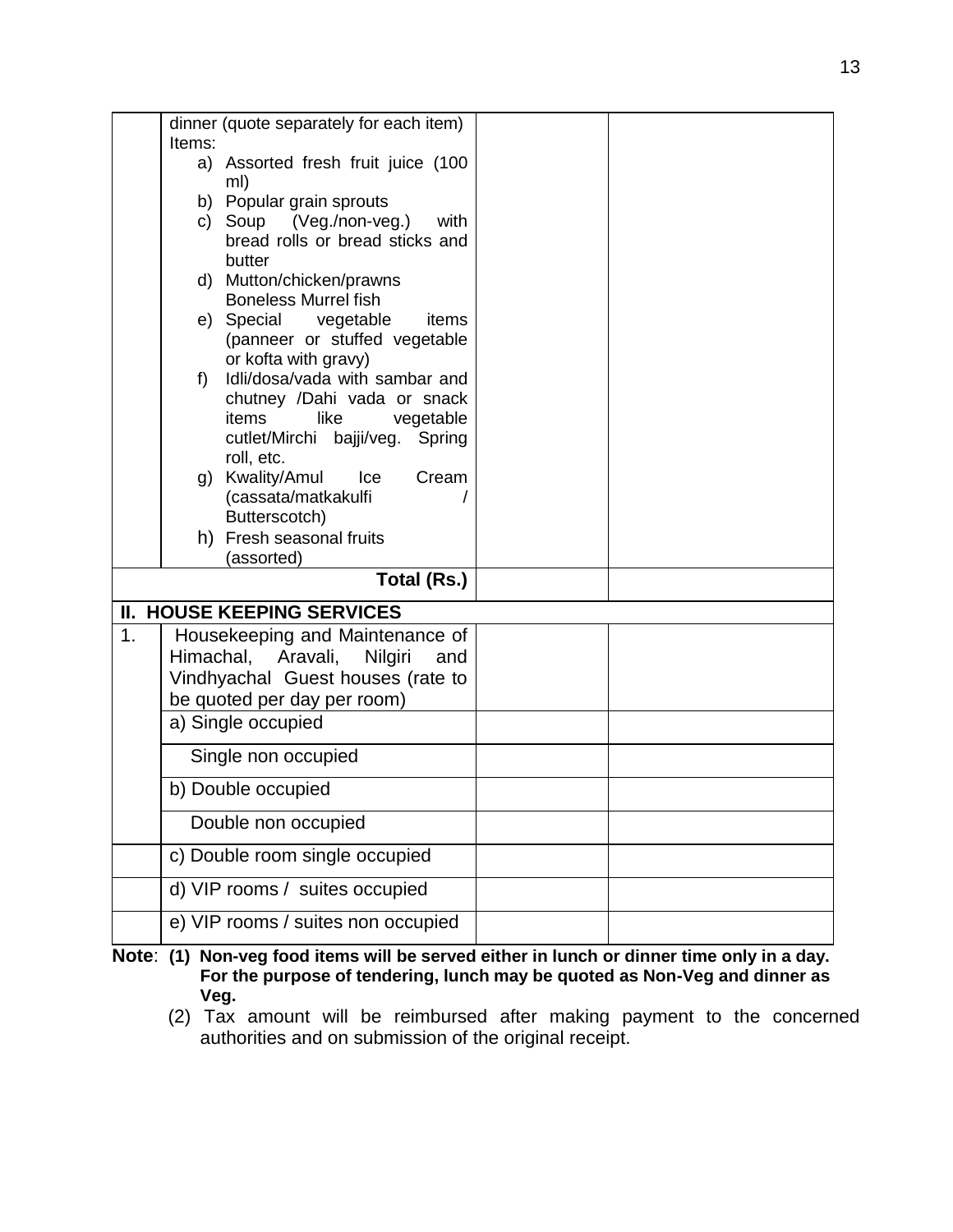|                | Items: | dinner (quote separately for each item)                                                                                                         |  |
|----------------|--------|-------------------------------------------------------------------------------------------------------------------------------------------------|--|
|                |        | a) Assorted fresh fruit juice (100<br>ml)                                                                                                       |  |
|                |        | b) Popular grain sprouts                                                                                                                        |  |
|                |        | c) Soup (Veg./non-veg.)<br>with<br>bread rolls or bread sticks and<br>butter                                                                    |  |
|                |        | d) Mutton/chicken/prawns<br><b>Boneless Murrel fish</b>                                                                                         |  |
|                |        | e) Special vegetable<br>items<br>(panneer or stuffed vegetable<br>or kofta with gravy)                                                          |  |
|                | f)     | Idli/dosa/vada with sambar and<br>chutney /Dahi vada or snack<br>like<br>vegetable<br>items<br>cutlet/Mirchi bajji/veg.<br>Spring<br>roll, etc. |  |
|                |        | g) Kwality/Amul<br>Ice<br>Cream<br>(cassata/matkakulfi<br>Butterscotch)                                                                         |  |
|                |        | h) Fresh seasonal fruits<br>(assorted)                                                                                                          |  |
|                |        | Total (Rs.)                                                                                                                                     |  |
|                |        | <b>II. HOUSE KEEPING SERVICES</b>                                                                                                               |  |
| 1 <sub>1</sub> |        | Housekeeping and Maintenance of                                                                                                                 |  |
|                |        | Himachal, Aravali,<br>Nilgiri<br>and                                                                                                            |  |
|                |        | Vindhyachal Guest houses (rate to<br>be quoted per day per room)                                                                                |  |
|                |        | a) Single occupied                                                                                                                              |  |
|                |        | Single non occupied                                                                                                                             |  |
|                |        | b) Double occupied                                                                                                                              |  |
|                |        | Double non occupied                                                                                                                             |  |
|                |        | c) Double room single occupied                                                                                                                  |  |
|                |        | d) VIP rooms / suites occupied                                                                                                                  |  |
|                |        | e) VIP rooms / suites non occupied                                                                                                              |  |

**Note**: **(1) Non-veg food items will be served either in lunch or dinner time only in a day. For the purpose of tendering, lunch may be quoted as Non-Veg and dinner as Veg.**

(2) Tax amount will be reimbursed after making payment to the concerned authorities and on submission of the original receipt.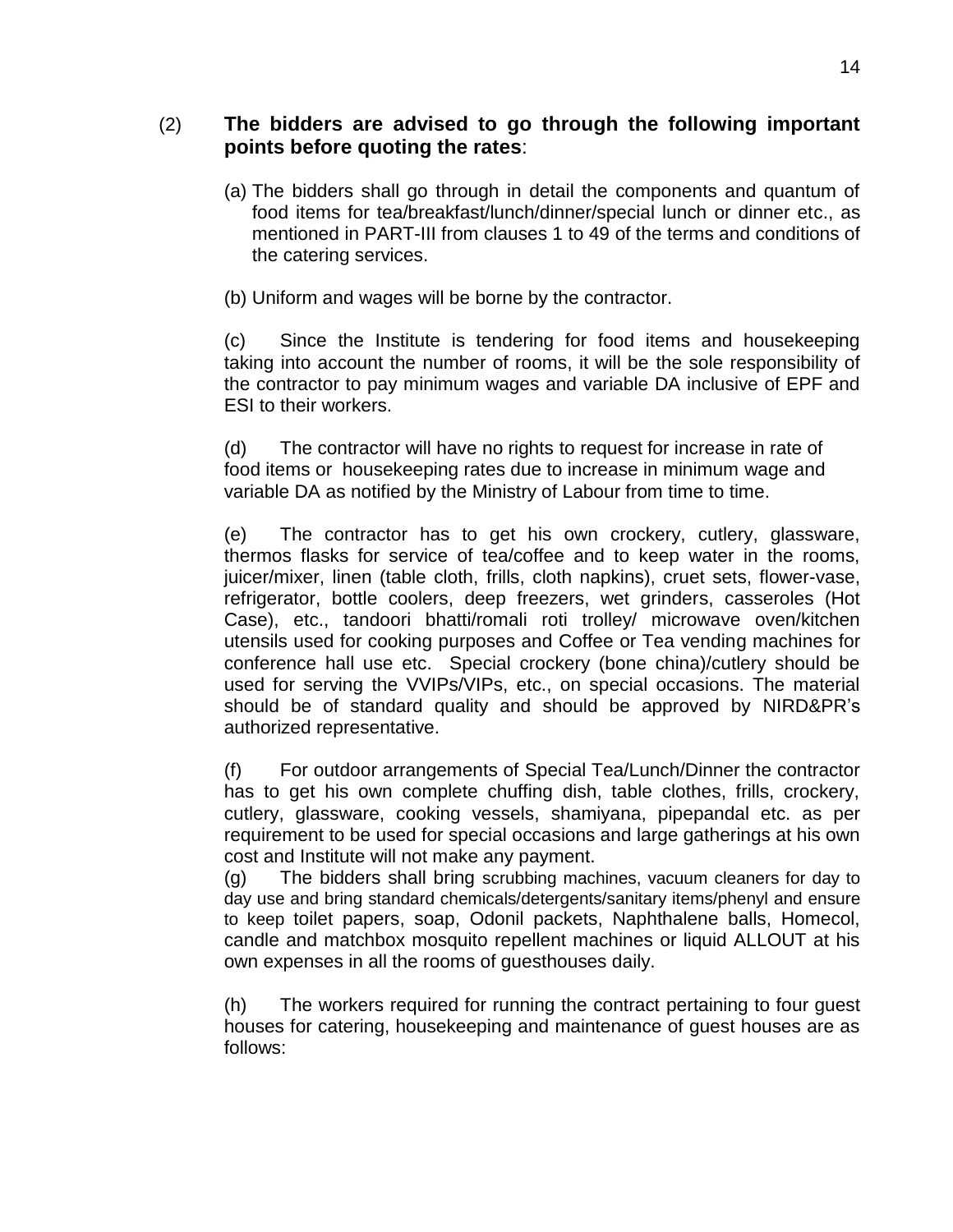# (2) **The bidders are advised to go through the following important points before quoting the rates**:

- (a) The bidders shall go through in detail the components and quantum of food items for tea/breakfast/lunch/dinner/special lunch or dinner etc., as mentioned in PART-III from clauses 1 to 49 of the terms and conditions of the catering services.
- (b) Uniform and wages will be borne by the contractor.

(c) Since the Institute is tendering for food items and housekeeping taking into account the number of rooms, it will be the sole responsibility of the contractor to pay minimum wages and variable DA inclusive of EPF and ESI to their workers.

(d) The contractor will have no rights to request for increase in rate of food items or housekeeping rates due to increase in minimum wage and variable DA as notified by the Ministry of Labour from time to time.

(e) The contractor has to get his own crockery, cutlery, glassware, thermos flasks for service of tea/coffee and to keep water in the rooms, juicer/mixer, linen (table cloth, frills, cloth napkins), cruet sets, flower-vase, refrigerator, bottle coolers, deep freezers, wet grinders, casseroles (Hot Case), etc., tandoori bhatti/romali roti trolley/ microwave oven/kitchen utensils used for cooking purposes and Coffee or Tea vending machines for conference hall use etc. Special crockery (bone china)/cutlery should be used for serving the VVIPs/VIPs, etc., on special occasions. The material should be of standard quality and should be approved by NIRD&PR's authorized representative.

(f) For outdoor arrangements of Special Tea/Lunch/Dinner the contractor has to get his own complete chuffing dish, table clothes, frills, crockery, cutlery, glassware, cooking vessels, shamiyana, pipepandal etc. as per requirement to be used for special occasions and large gatherings at his own cost and Institute will not make any payment.

(g) The bidders shall bring scrubbing machines, vacuum cleaners for day to day use and bring standard chemicals/detergents/sanitary items/phenyl and ensure to keep toilet papers, soap, Odonil packets, Naphthalene balls, Homecol, candle and matchbox mosquito repellent machines or liquid ALLOUT at his own expenses in all the rooms of guesthouses daily.

(h) The workers required for running the contract pertaining to four guest houses for catering, housekeeping and maintenance of guest houses are as follows: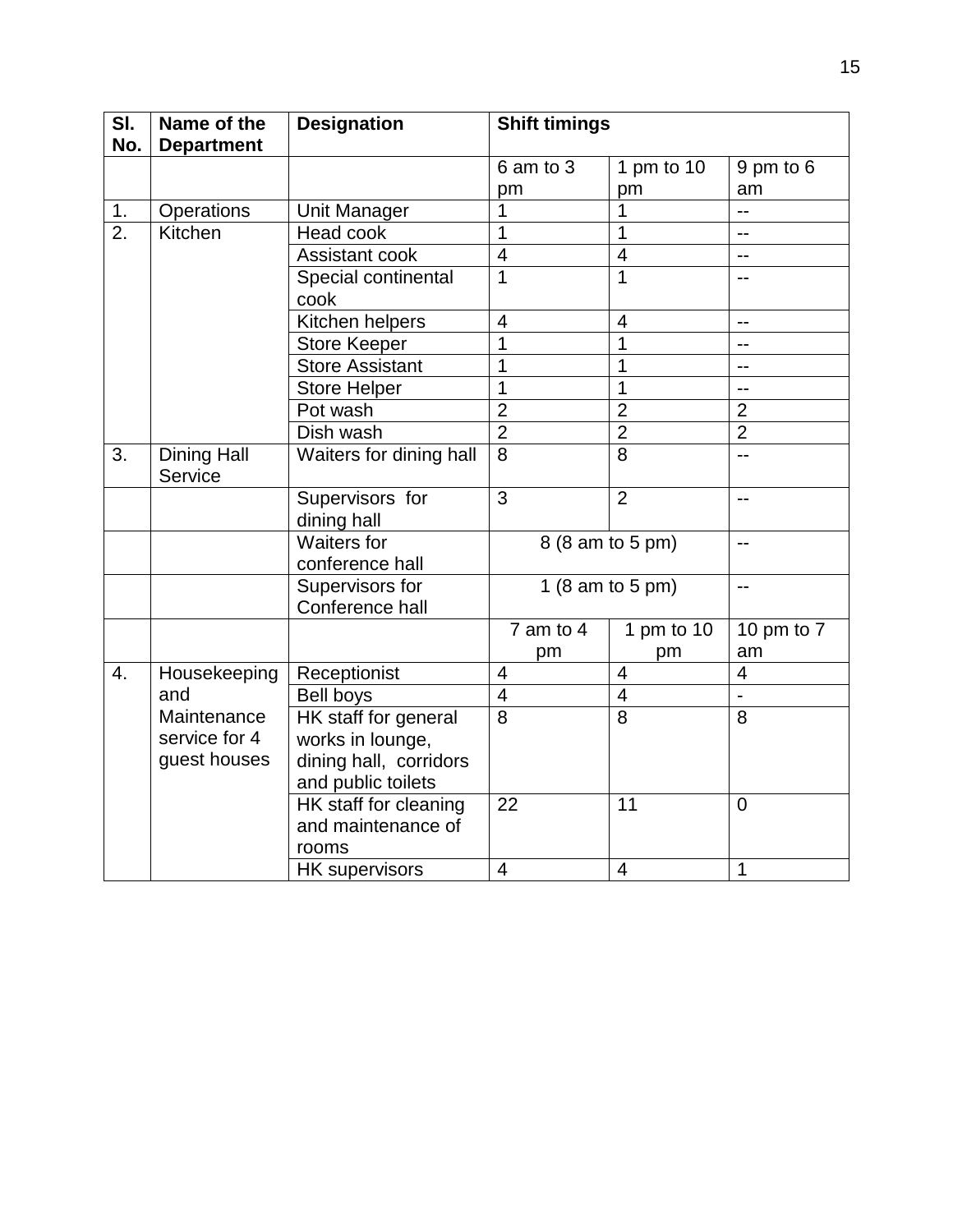| SI.              | Name of the                   | <b>Designation</b>                                   | <b>Shift timings</b>    |                  |                |
|------------------|-------------------------------|------------------------------------------------------|-------------------------|------------------|----------------|
| No.              | <b>Department</b>             |                                                      |                         |                  |                |
|                  |                               |                                                      | 6 am to 3               | 1 pm to 10       | 9 pm to 6      |
|                  |                               |                                                      | pm                      | pm               | am             |
| 1.               | Operations                    | <b>Unit Manager</b>                                  | 1                       | 1                | --             |
| $\overline{2}$ . | Kitchen<br>Head cook          |                                                      | $\overline{1}$          | $\overline{1}$   | $-$            |
|                  |                               | Assistant cook                                       | $\overline{4}$          | $\overline{4}$   | $-$            |
|                  |                               | Special continental<br>cook                          | $\overline{1}$          | $\overline{1}$   | $-$            |
|                  |                               | Kitchen helpers                                      | $\overline{\mathbf{4}}$ | $\overline{4}$   | $\overline{a}$ |
|                  |                               | <b>Store Keeper</b>                                  | 1                       | $\mathbf{1}$     | $-$            |
|                  |                               | <b>Store Assistant</b>                               | $\overline{1}$          | $\overline{1}$   | $\overline{a}$ |
|                  |                               | <b>Store Helper</b>                                  | $\overline{1}$          | $\overline{1}$   | $-$            |
|                  |                               | Pot wash                                             | $\overline{2}$          | $\overline{2}$   | $\overline{2}$ |
|                  |                               | Dish wash                                            | $\frac{2}{2}$           | $\overline{2}$   | $\overline{2}$ |
| 3.               | <b>Dining Hall</b><br>Service | Waiters for dining hall                              | $\overline{8}$          | $\overline{8}$   | $-$            |
|                  |                               | Supervisors for<br>dining hall                       | $\overline{3}$          | $\overline{2}$   | $-$            |
|                  |                               | <b>Waiters for</b><br>conference hall                |                         | 8 (8 am to 5 pm) | $\overline{a}$ |
|                  |                               | Supervisors for<br>Conference hall                   |                         | 1 (8 am to 5 pm) | $\mathbf{u}$   |
|                  |                               |                                                      | $7$ am to $4$           | 1 pm to 10       | 10 pm to 7     |
|                  |                               |                                                      | pm                      | pm               | am             |
| 4.               | Housekeeping                  | Receptionist                                         | $\overline{4}$          | $\overline{4}$   | $\overline{4}$ |
|                  | and                           | Bell boys                                            | $\overline{4}$          | $\overline{4}$   |                |
|                  | Maintenance                   | HK staff for general                                 | $\overline{8}$          | $\overline{8}$   | 8              |
|                  | service for 4                 | works in lounge,                                     |                         |                  |                |
|                  | guest houses                  | dining hall, corridors<br>and public toilets         |                         |                  |                |
|                  |                               | HK staff for cleaning<br>and maintenance of<br>rooms | 22                      | 11               | $\mathbf 0$    |
|                  |                               | <b>HK</b> supervisors                                | $\overline{4}$          | $\overline{4}$   | $\mathbf{1}$   |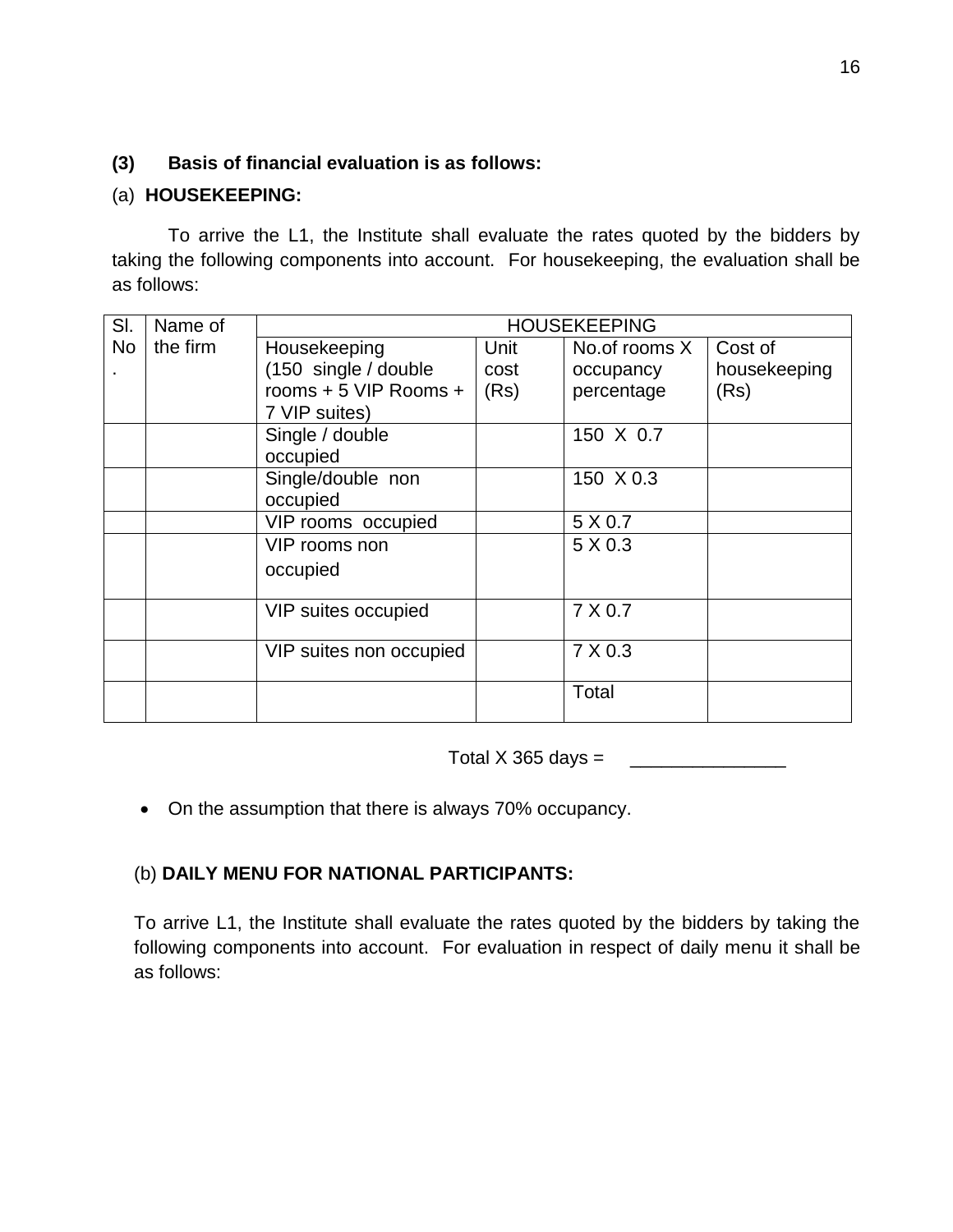# **(3) Basis of financial evaluation is as follows:**

# (a) **HOUSEKEEPING:**

To arrive the L1, the Institute shall evaluate the rates quoted by the bidders by taking the following components into account. For housekeeping, the evaluation shall be as follows:

| SI.       | Name of  | <b>HOUSEKEEPING</b>     |      |               |              |
|-----------|----------|-------------------------|------|---------------|--------------|
| <b>No</b> | the firm | Housekeeping            | Unit | No.of rooms X | Cost of      |
|           |          | (150 single / double    | cost | occupancy     | housekeeping |
|           |          | rooms + 5 VIP Rooms +   | (Rs) | percentage    | (Rs)         |
|           |          | 7 VIP suites)           |      |               |              |
|           |          | Single / double         |      | 150 X 0.7     |              |
|           |          | occupied                |      |               |              |
|           |          | Single/double non       |      | 150 X 0.3     |              |
|           |          | occupied                |      |               |              |
|           |          | VIP rooms occupied      |      | 5 X 0.7       |              |
|           |          | VIP rooms non           |      | 5 X 0.3       |              |
|           |          | occupied                |      |               |              |
|           |          |                         |      |               |              |
|           |          | VIP suites occupied     |      | 7 X 0.7       |              |
|           |          |                         |      |               |              |
|           |          | VIP suites non occupied |      | 7 X 0.3       |              |
|           |          |                         |      |               |              |
|           |          |                         |      | Total         |              |
|           |          |                         |      |               |              |

Total X 365 days =  $\frac{1}{2}$ 

• On the assumption that there is always 70% occupancy.

# (b) **DAILY MENU FOR NATIONAL PARTICIPANTS:**

To arrive L1, the Institute shall evaluate the rates quoted by the bidders by taking the following components into account. For evaluation in respect of daily menu it shall be as follows: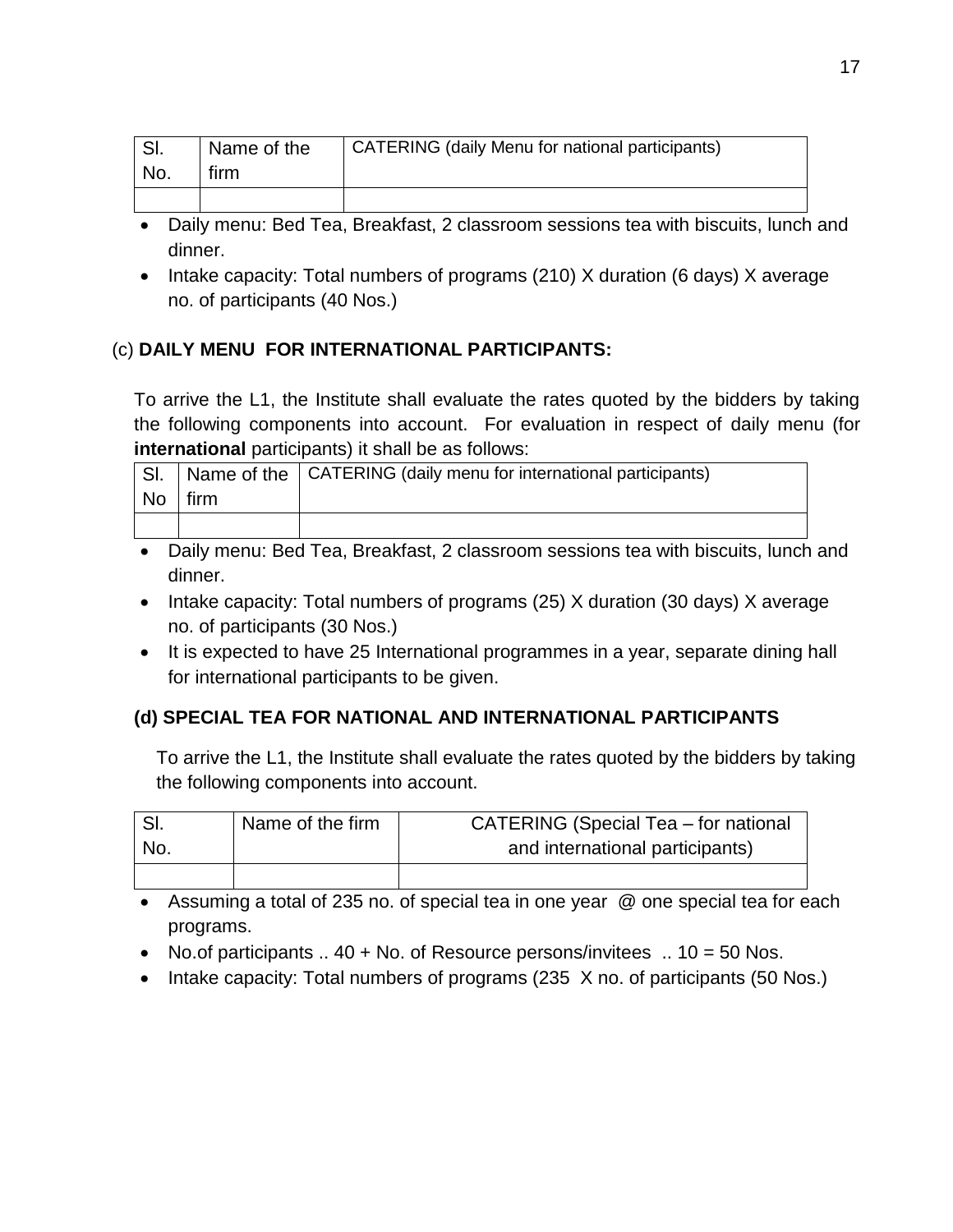| <b>CI</b> | Name of the | <b>CATERING (daily Menu for national participants)</b> |
|-----------|-------------|--------------------------------------------------------|
| No.       | tirm        |                                                        |
|           |             |                                                        |

- Daily menu: Bed Tea, Breakfast, 2 classroom sessions tea with biscuits, lunch and dinner.
- Intake capacity: Total numbers of programs (210) X duration (6 days) X average no. of participants (40 Nos.)

# (c) **DAILY MENU FOR INTERNATIONAL PARTICIPANTS:**

To arrive the L1, the Institute shall evaluate the rates quoted by the bidders by taking the following components into account. For evaluation in respect of daily menu (for **international** participants) it shall be as follows:

| SI. |        | Name of the   CATERING (daily menu for international participants) |
|-----|--------|--------------------------------------------------------------------|
| No  | l firm |                                                                    |
|     |        |                                                                    |

- Daily menu: Bed Tea, Breakfast, 2 classroom sessions tea with biscuits, lunch and dinner.
- Intake capacity: Total numbers of programs (25) X duration (30 days) X average no. of participants (30 Nos.)
- It is expected to have 25 International programmes in a year, separate dining hall for international participants to be given.

# **(d) SPECIAL TEA FOR NATIONAL AND INTERNATIONAL PARTICIPANTS**

To arrive the L1, the Institute shall evaluate the rates quoted by the bidders by taking the following components into account.

|     | Name of the firm | <b>CATERING (Special Tea - for national</b> |
|-----|------------------|---------------------------------------------|
| No. |                  | and international participants)             |
|     |                  |                                             |

 Assuming a total of 235 no. of special tea in one year @ one special tea for each programs.

- No.of participants  $\ldots$  40 + No. of Resource persons/invitees  $\ldots$  10 = 50 Nos.
- Intake capacity: Total numbers of programs (235 X no. of participants (50 Nos.)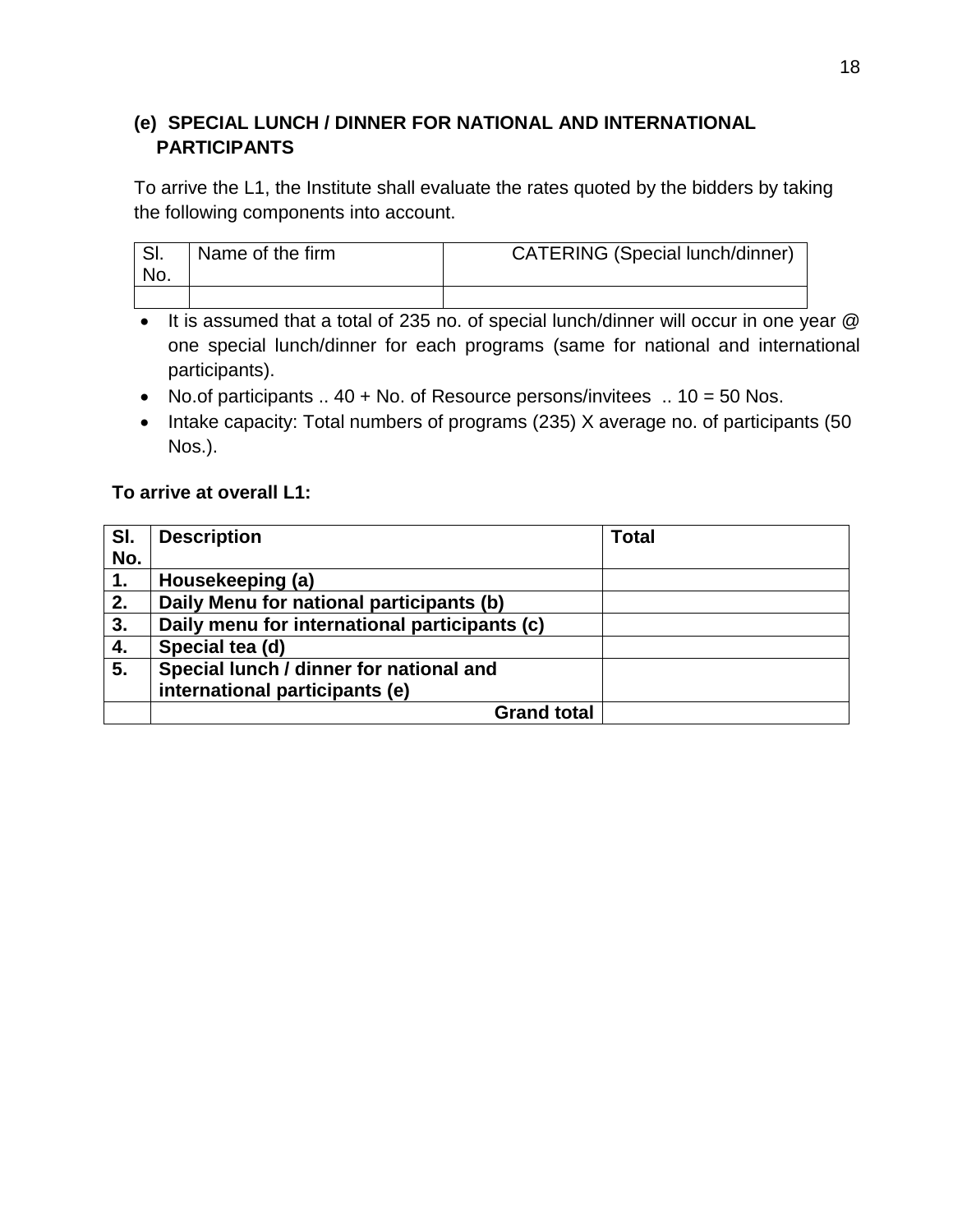# **(e) SPECIAL LUNCH / DINNER FOR NATIONAL AND INTERNATIONAL PARTICIPANTS**

To arrive the L1, the Institute shall evaluate the rates quoted by the bidders by taking the following components into account.

| SI.<br>No. | Name of the firm | <b>CATERING (Special lunch/dinner)</b> |
|------------|------------------|----------------------------------------|
|            |                  |                                        |

It is assumed that a total of 235 no. of special lunch/dinner will occur in one year  $@$ one special lunch/dinner for each programs (same for national and international participants).

- No.of participants  $\ldots$  40 + No. of Resource persons/invitees  $\ldots$  10 = 50 Nos.
- Intake capacity: Total numbers of programs (235) X average no. of participants (50 Nos.).

## **To arrive at overall L1:**

| SI.<br>No. | <b>Description</b>                            | <b>Total</b> |
|------------|-----------------------------------------------|--------------|
| 1.         | Housekeeping (a)                              |              |
| 2.         | Daily Menu for national participants (b)      |              |
| 3.         | Daily menu for international participants (c) |              |
| 4.         | Special tea (d)                               |              |
| 5.         | Special lunch / dinner for national and       |              |
|            | international participants (e)                |              |
|            | <b>Grand total</b>                            |              |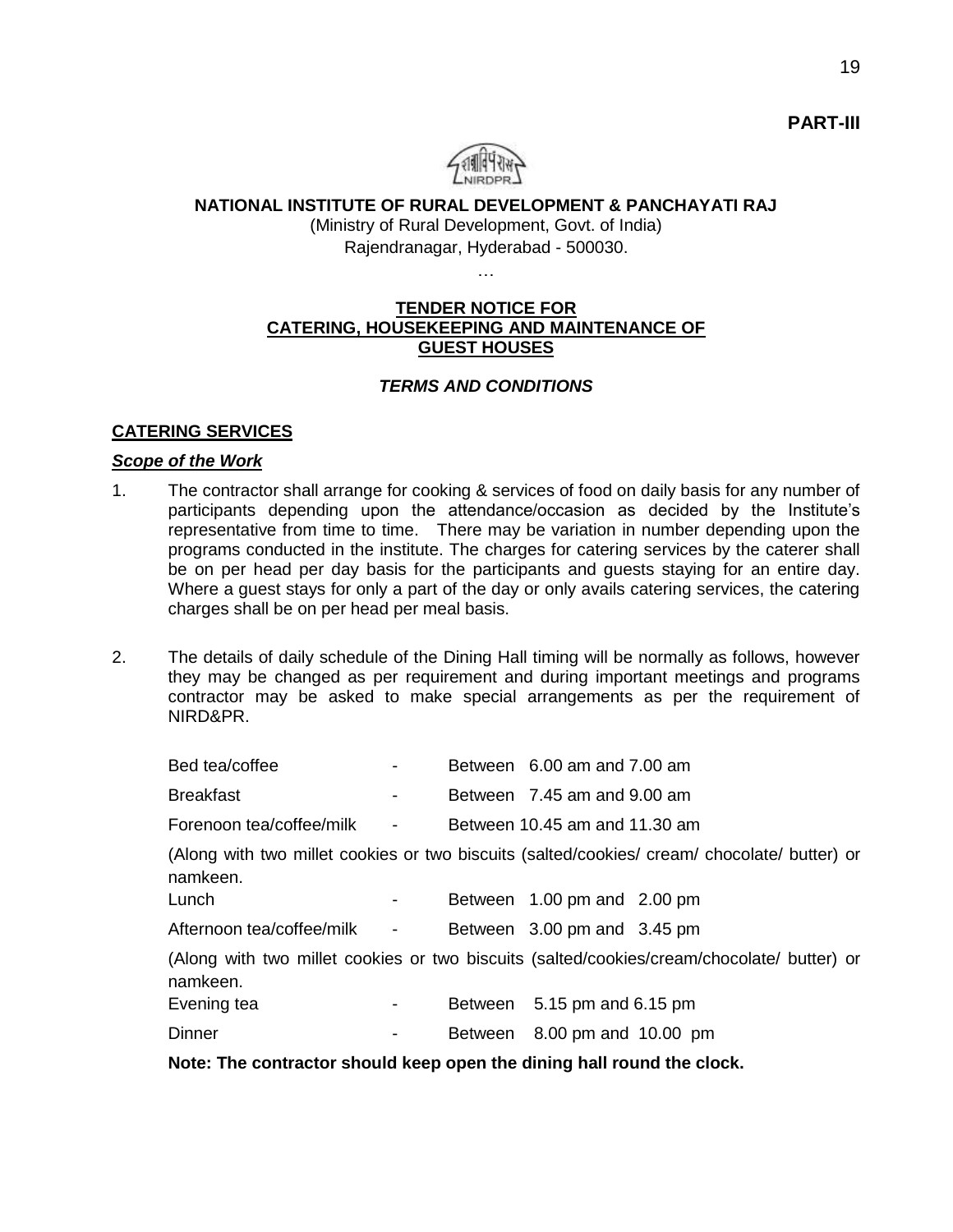

### **NATIONAL INSTITUTE OF RURAL DEVELOPMENT & PANCHAYATI RAJ**

(Ministry of Rural Development, Govt. of India) Rajendranagar, Hyderabad - 500030.

#### **TENDER NOTICE FOR CATERING, HOUSEKEEPING AND MAINTENANCE OF GUEST HOUSES**

#### *TERMS AND CONDITIONS*

#### **CATERING SERVICES**

#### *Scope of the Work*

- 1. The contractor shall arrange for cooking & services of food on daily basis for any number of participants depending upon the attendance/occasion as decided by the Institute's representative from time to time. There may be variation in number depending upon the programs conducted in the institute. The charges for catering services by the caterer shall be on per head per day basis for the participants and guests staying for an entire day. Where a guest stays for only a part of the day or only avails catering services, the catering charges shall be on per head per meal basis.
- 2. The details of daily schedule of the Dining Hall timing will be normally as follows, however they may be changed as per requirement and during important meetings and programs contractor may be asked to make special arrangements as per the requirement of NIRD&PR.

| Bed tea/coffee                                                         |                          | Between 6.00 am and 7.00 am   |                                                                                              |
|------------------------------------------------------------------------|--------------------------|-------------------------------|----------------------------------------------------------------------------------------------|
| <b>Breakfast</b>                                                       | $\overline{\phantom{a}}$ | Between 7.45 am and 9.00 am   |                                                                                              |
| Forenoon tea/coffee/milk                                               | $\blacksquare$           | Between 10.45 am and 11.30 am |                                                                                              |
| namkeen.<br>Lunch                                                      | ۰                        | Between 1.00 pm and 2.00 pm   | (Along with two millet cookies or two biscuits (salted/cookies/ cream/ chocolate/ butter) or |
| Afternoon tea/coffee/milk -                                            |                          | Between 3.00 pm and 3.45 pm   |                                                                                              |
| namkeen.                                                               |                          |                               | (Along with two millet cookies or two biscuits (salted/cookies/cream/chocolate/ butter) or   |
| Evening tea                                                            | -                        | Between 5.15 pm and 6.15 pm   |                                                                                              |
| <b>Dinner</b>                                                          | $\overline{\phantom{a}}$ | Between 8.00 pm and 10.00 pm  |                                                                                              |
| Note: The contractor should keep open the dining hall round the clock. |                          |                               |                                                                                              |

**PART-III**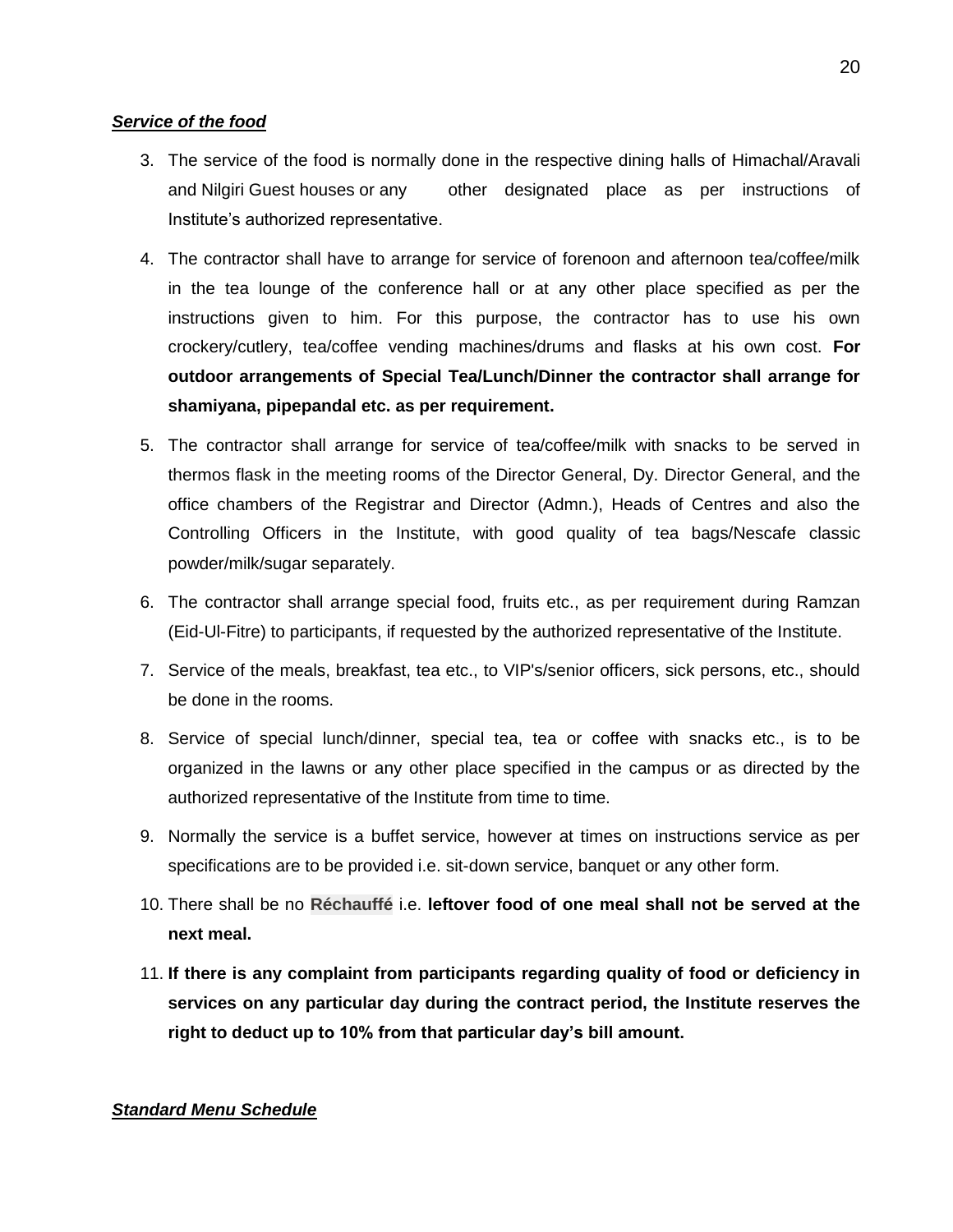#### *Service of the food*

- 3. The service of the food is normally done in the respective dining halls of Himachal/Aravali and Nilgiri Guest houses or any other designated place as per instructions of Institute's authorized representative.
- 4. The contractor shall have to arrange for service of forenoon and afternoon tea/coffee/milk in the tea lounge of the conference hall or at any other place specified as per the instructions given to him. For this purpose, the contractor has to use his own crockery/cutlery, tea/coffee vending machines/drums and flasks at his own cost. **For outdoor arrangements of Special Tea/Lunch/Dinner the contractor shall arrange for shamiyana, pipepandal etc. as per requirement.**
- 5. The contractor shall arrange for service of tea/coffee/milk with snacks to be served in thermos flask in the meeting rooms of the Director General, Dy. Director General, and the office chambers of the Registrar and Director (Admn.), Heads of Centres and also the Controlling Officers in the Institute, with good quality of tea bags/Nescafe classic powder/milk/sugar separately.
- 6. The contractor shall arrange special food, fruits etc., as per requirement during Ramzan (Eid-Ul-Fitre) to participants, if requested by the authorized representative of the Institute.
- 7. Service of the meals, breakfast, tea etc., to VIP's/senior officers, sick persons, etc., should be done in the rooms.
- 8. Service of special lunch/dinner, special tea, tea or coffee with snacks etc., is to be organized in the lawns or any other place specified in the campus or as directed by the authorized representative of the Institute from time to time.
- 9. Normally the service is a buffet service, however at times on instructions service as per specifications are to be provided i.e. sit-down service, banquet or any other form.
- 10. There shall be no **Réchauffé** i.e. **leftover food of one meal shall not be served at the next meal.**
- 11. **If there is any complaint from participants regarding quality of food or deficiency in services on any particular day during the contract period, the Institute reserves the right to deduct up to 10% from that particular day's bill amount.**

#### *Standard Menu Schedule*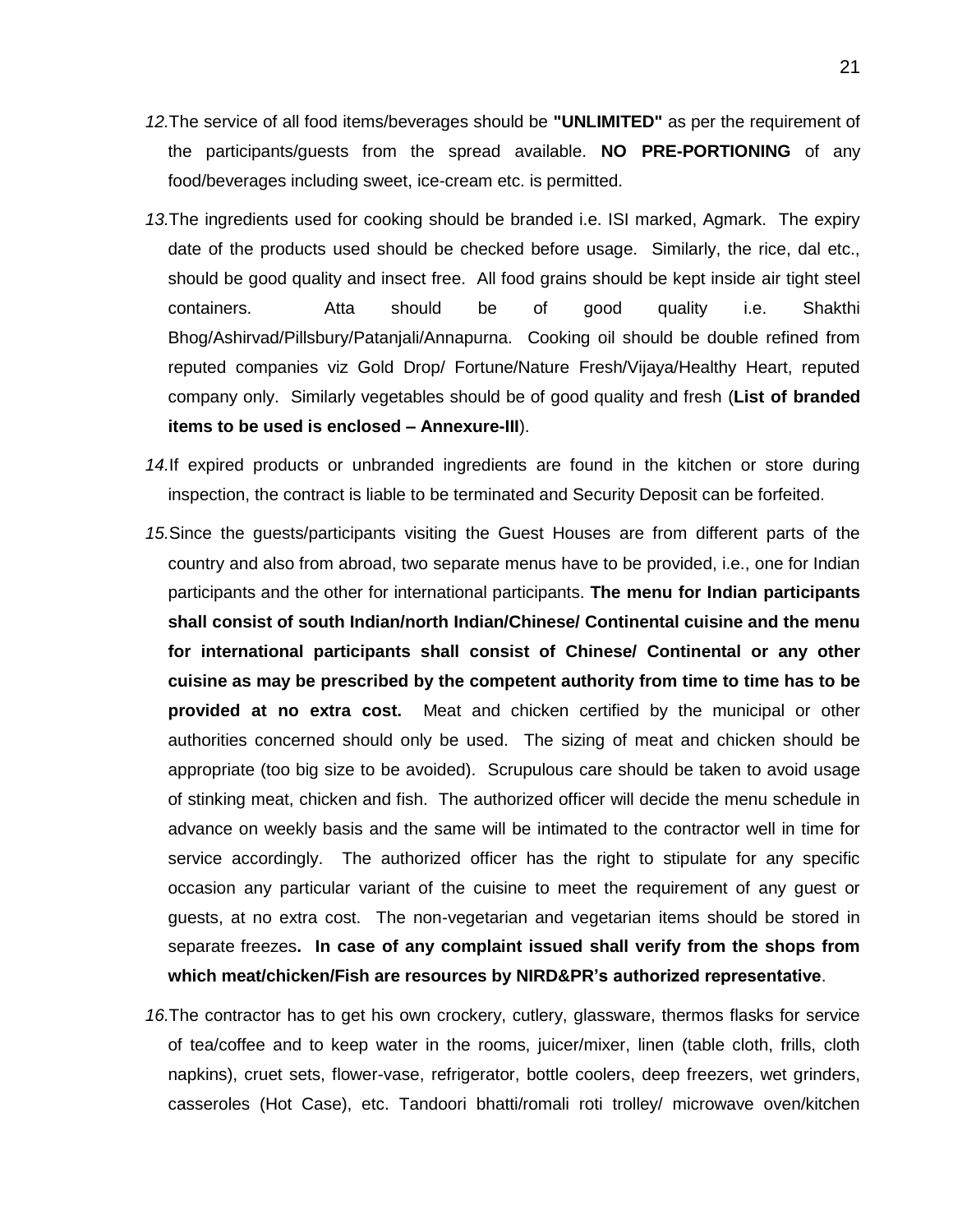- *12.*The service of all food items/beverages should be **"UNLIMITED"** as per the requirement of the participants/guests from the spread available. **NO PRE-PORTIONING** of any food/beverages including sweet, ice-cream etc. is permitted.
- *13.*The ingredients used for cooking should be branded i.e. ISI marked, Agmark. The expiry date of the products used should be checked before usage. Similarly, the rice, dal etc., should be good quality and insect free. All food grains should be kept inside air tight steel containers. Atta should be of good quality i.e. Shakthi Bhog/Ashirvad/Pillsbury/Patanjali/Annapurna. Cooking oil should be double refined from reputed companies viz Gold Drop/ Fortune/Nature Fresh/Vijaya/Healthy Heart, reputed company only. Similarly vegetables should be of good quality and fresh (**List of branded items to be used is enclosed – Annexure-III**).
- *14.*If expired products or unbranded ingredients are found in the kitchen or store during inspection, the contract is liable to be terminated and Security Deposit can be forfeited.
- *15.*Since the guests/participants visiting the Guest Houses are from different parts of the country and also from abroad, two separate menus have to be provided, i.e., one for Indian participants and the other for international participants. **The menu for Indian participants shall consist of south Indian/north Indian/Chinese/ Continental cuisine and the menu for international participants shall consist of Chinese/ Continental or any other cuisine as may be prescribed by the competent authority from time to time has to be provided at no extra cost.** Meat and chicken certified by the municipal or other authorities concerned should only be used. The sizing of meat and chicken should be appropriate (too big size to be avoided). Scrupulous care should be taken to avoid usage of stinking meat, chicken and fish. The authorized officer will decide the menu schedule in advance on weekly basis and the same will be intimated to the contractor well in time for service accordingly. The authorized officer has the right to stipulate for any specific occasion any particular variant of the cuisine to meet the requirement of any guest or guests, at no extra cost. The non-vegetarian and vegetarian items should be stored in separate freezes**. In case of any complaint issued shall verify from the shops from which meat/chicken/Fish are resources by NIRD&PR's authorized representative**.
- *16.*The contractor has to get his own crockery, cutlery, glassware, thermos flasks for service of tea/coffee and to keep water in the rooms, juicer/mixer, linen (table cloth, frills, cloth napkins), cruet sets, flower-vase, refrigerator, bottle coolers, deep freezers, wet grinders, casseroles (Hot Case), etc. Tandoori bhatti/romali roti trolley/ microwave oven/kitchen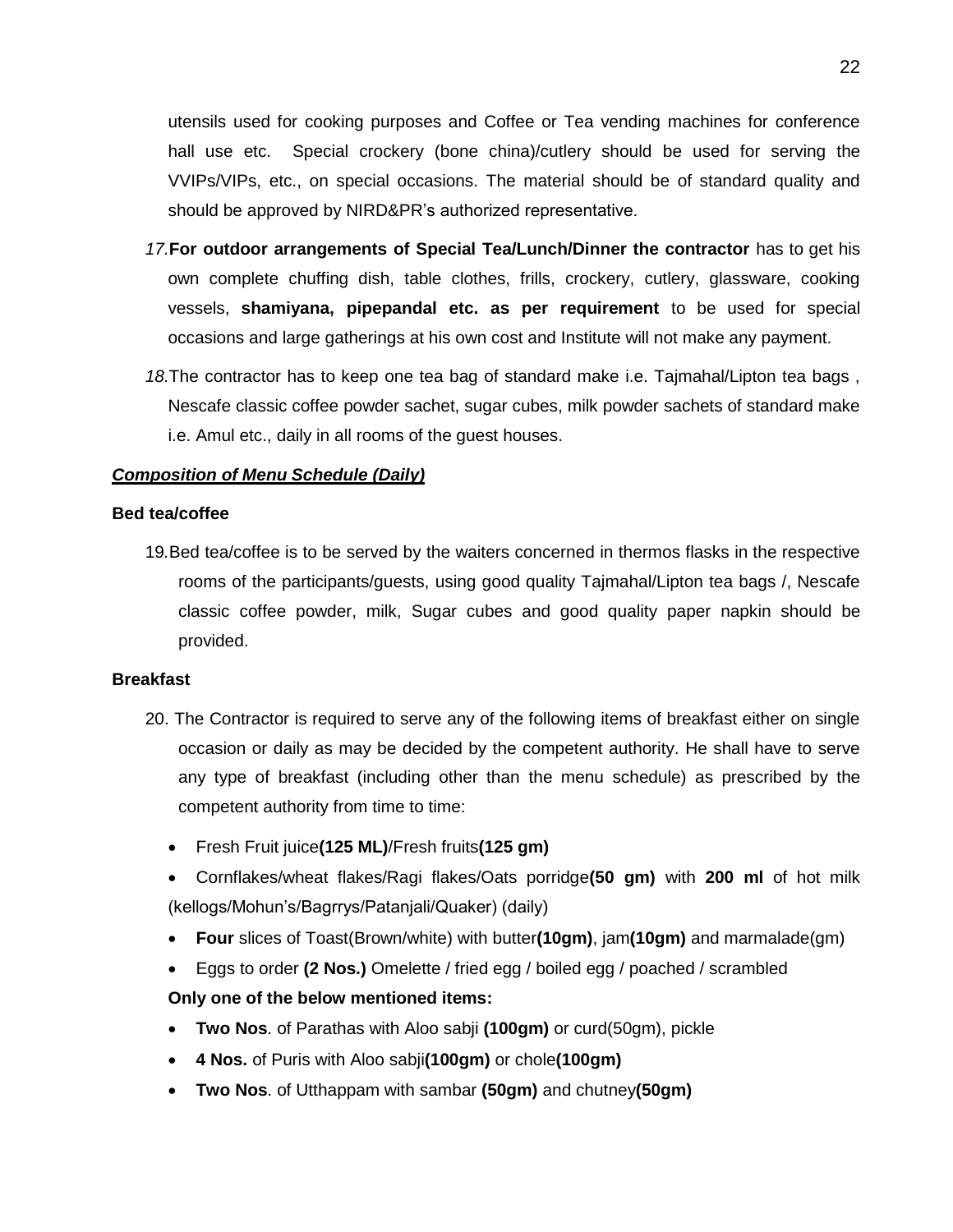utensils used for cooking purposes and Coffee or Tea vending machines for conference hall use etc. Special crockery (bone china)/cutlery should be used for serving the VVIPs/VIPs, etc., on special occasions. The material should be of standard quality and should be approved by NIRD&PR's authorized representative.

- *17.***For outdoor arrangements of Special Tea/Lunch/Dinner the contractor** has to get his own complete chuffing dish, table clothes, frills, crockery, cutlery, glassware, cooking vessels, **shamiyana, pipepandal etc. as per requirement** to be used for special occasions and large gatherings at his own cost and Institute will not make any payment.
- *18.*The contractor has to keep one tea bag of standard make i.e. Tajmahal/Lipton tea bags , Nescafe classic coffee powder sachet, sugar cubes, milk powder sachets of standard make i.e. Amul etc., daily in all rooms of the guest houses.

#### *Composition of Menu Schedule (Daily)*

#### **Bed tea/coffee**

19*.*Bed tea/coffee is to be served by the waiters concerned in thermos flasks in the respective rooms of the participants/guests, using good quality Tajmahal/Lipton tea bags /, Nescafe classic coffee powder, milk, Sugar cubes and good quality paper napkin should be provided.

#### **Breakfast**

- 20. The Contractor is required to serve any of the following items of breakfast either on single occasion or daily as may be decided by the competent authority. He shall have to serve any type of breakfast (including other than the menu schedule) as prescribed by the competent authority from time to time:
	- Fresh Fruit juice**(125 ML)**/Fresh fruits**(125 gm)**
	- Cornflakes/wheat flakes/Ragi flakes/Oats porridge**(50 gm)** with **200 ml** of hot milk (kellogs/Mohun's/Bagrrys/Patanjali/Quaker) (daily)
	- **Four** slices of Toast(Brown/white) with butter**(10gm)**, jam**(10gm)** and marmalade(gm)
	- Eggs to order **(2 Nos.)** Omelette / fried egg / boiled egg / poached / scrambled

#### **Only one of the below mentioned items:**

- **Two Nos**. of Parathas with Aloo sabji **(100gm)** or curd(50gm), pickle
- **4 Nos.** of Puris with Aloo sabji**(100gm)** or chole**(100gm)**
- **Two Nos**. of Utthappam with sambar **(50gm)** and chutney**(50gm)**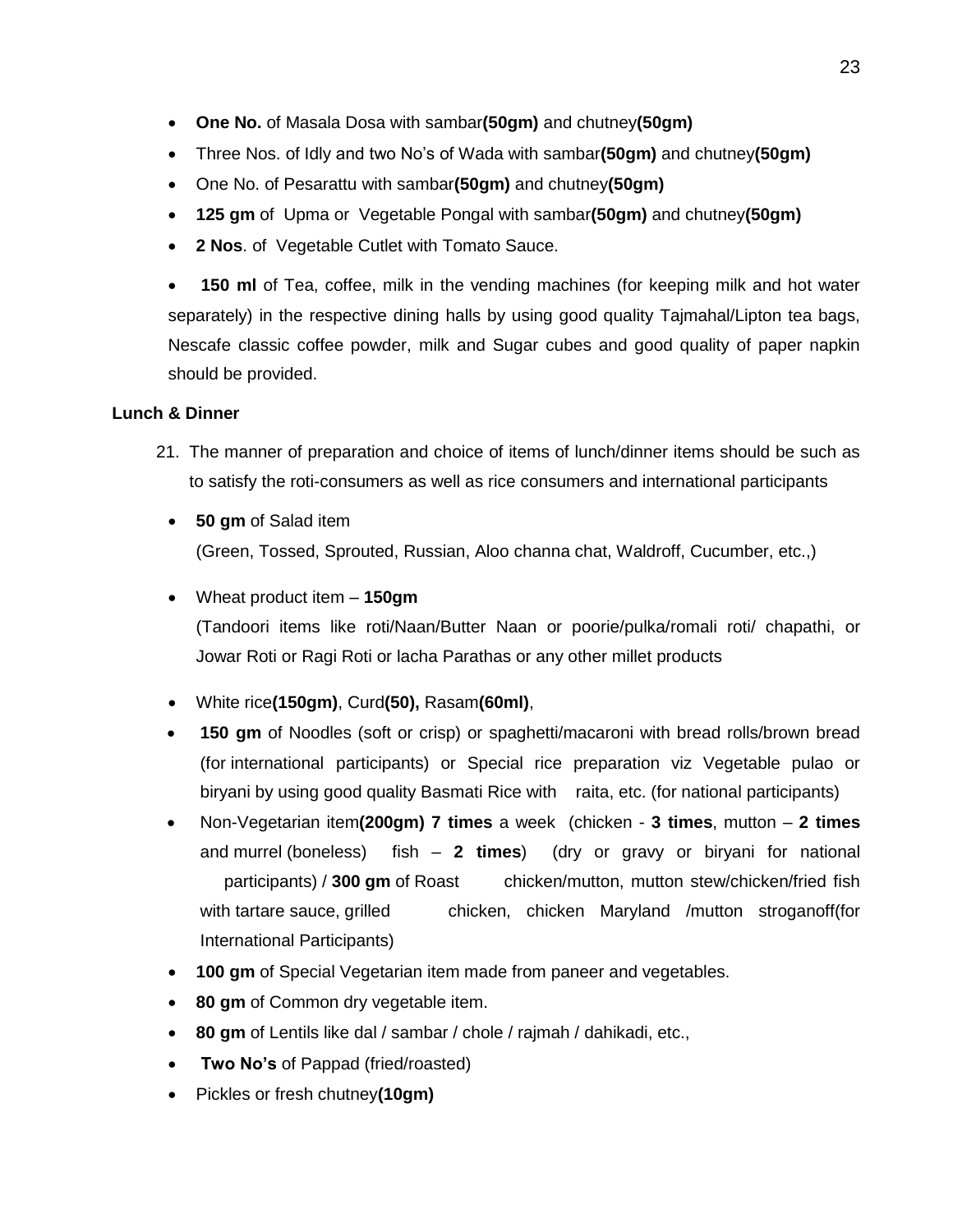- **One No.** of Masala Dosa with sambar**(50gm)** and chutney**(50gm)**
- Three Nos. of Idly and two No's of Wada with sambar**(50gm)** and chutney**(50gm)**
- One No. of Pesarattu with sambar**(50gm)** and chutney**(50gm)**
- **125 gm** of Upma or Vegetable Pongal with sambar**(50gm)** and chutney**(50gm)**
- **2 Nos**. of Vegetable Cutlet with Tomato Sauce.

 **150 ml** of Tea, coffee, milk in the vending machines (for keeping milk and hot water separately) in the respective dining halls by using good quality Tajmahal/Lipton tea bags, Nescafe classic coffee powder, milk and Sugar cubes and good quality of paper napkin should be provided.

## **Lunch & Dinner**

- 21. The manner of preparation and choice of items of lunch/dinner items should be such as to satisfy the roti-consumers as well as rice consumers and international participants
	- **50 gm** of Salad item (Green, Tossed, Sprouted, Russian, Aloo channa chat, Waldroff, Cucumber, etc.,)
	- Wheat product item **150gm** (Tandoori items like roti/Naan/Butter Naan or poorie/pulka/romali roti/ chapathi, or Jowar Roti or Ragi Roti or lacha Parathas or any other millet products
	- White rice**(150gm)**, Curd**(50),** Rasam**(60ml)**,
	- **150 gm** of Noodles (soft or crisp) or spaghetti/macaroni with bread rolls/brown bread (for international participants) or Special rice preparation viz Vegetable pulao or biryani by using good quality Basmati Rice with raita, etc. (for national participants)
	- Non-Vegetarian item**(200gm) 7 times** a week (chicken **3 times**, mutton **2 times** and murrel (boneless) fish – **2 times**) (dry or gravy or biryani for national participants) / **300 gm** of Roast chicken/mutton, mutton stew/chicken/fried fish with tartare sauce, grilled chicken, chicken Maryland /mutton stroganoff(for International Participants)
	- **100 gm** of Special Vegetarian item made from paneer and vegetables.
	- **80 gm** of Common dry vegetable item.
	- **80 gm** of Lentils like dal / sambar / chole / rajmah / dahikadi, etc.,
	- **Two No's** of Pappad (fried/roasted)
	- Pickles or fresh chutney**(10gm)**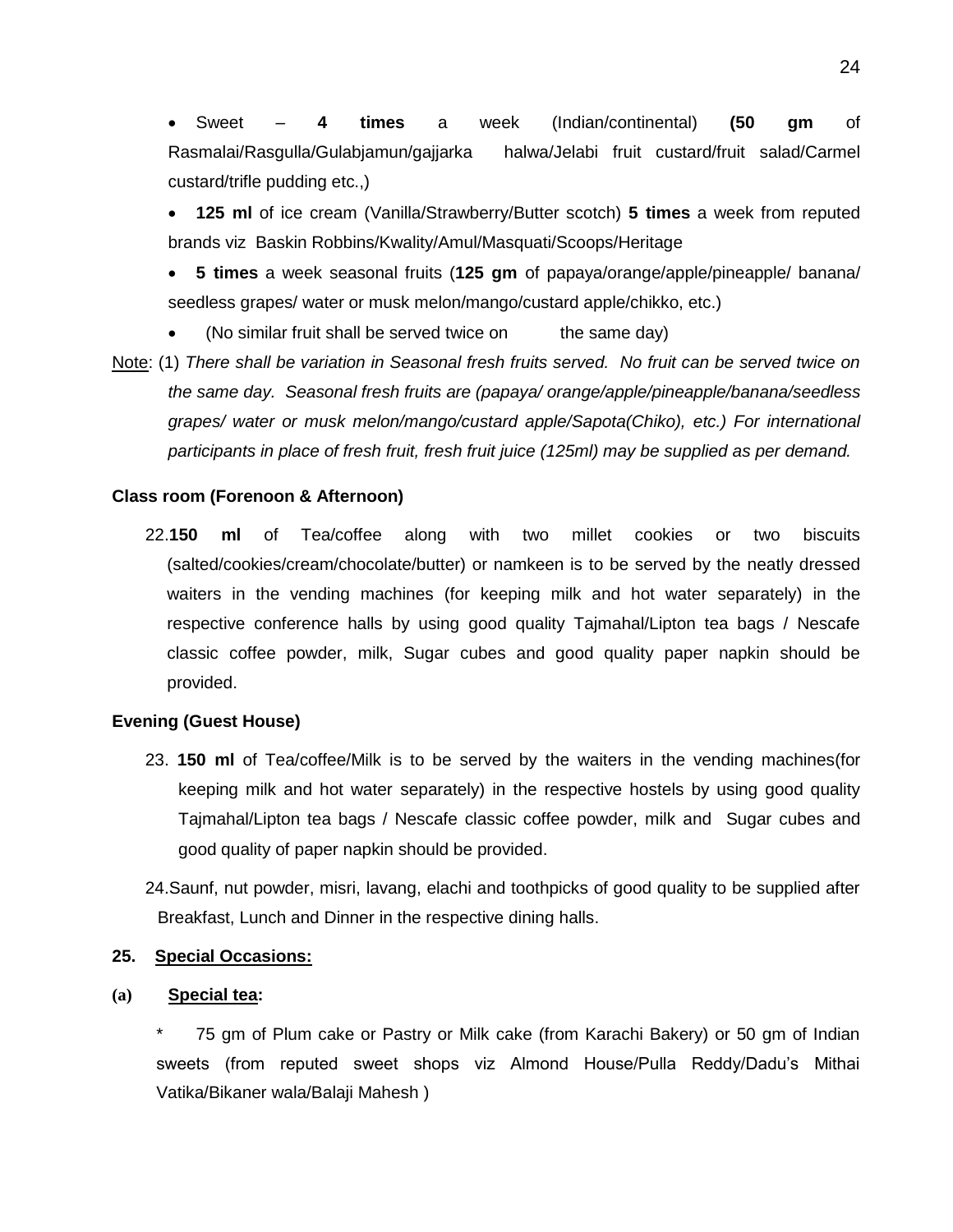Sweet – **4 times** a week (Indian/continental) **(50 gm** of Rasmalai/Rasgulla/Gulabjamun/gajjarka halwa/Jelabi fruit custard/fruit salad/Carmel custard/trifle pudding etc.,)

 **125 ml** of ice cream (Vanilla/Strawberry/Butter scotch) **5 times** a week from reputed brands viz Baskin Robbins/Kwality/Amul/Masquati/Scoops/Heritage

 **5 times** a week seasonal fruits (**125 gm** of papaya/orange/apple/pineapple/ banana/ seedless grapes/ water or musk melon/mango/custard apple/chikko, etc.)

- (No similar fruit shall be served twice on the same day)
- Note: (1) *There shall be variation in Seasonal fresh fruits served. No fruit can be served twice on the same day. Seasonal fresh fruits are (papaya/ orange/apple/pineapple/banana/seedless grapes/ water or musk melon/mango/custard apple/Sapota(Chiko), etc.) For international participants in place of fresh fruit, fresh fruit juice (125ml) may be supplied as per demand.*

#### **Class room (Forenoon & Afternoon)**

22.**150 ml** of Tea/coffee along with two millet cookies or two biscuits (salted/cookies/cream/chocolate/butter) or namkeen is to be served by the neatly dressed waiters in the vending machines (for keeping milk and hot water separately) in the respective conference halls by using good quality Tajmahal/Lipton tea bags / Nescafe classic coffee powder, milk, Sugar cubes and good quality paper napkin should be provided.

#### **Evening (Guest House)**

- 23. **150 ml** of Tea/coffee/Milk is to be served by the waiters in the vending machines(for keeping milk and hot water separately) in the respective hostels by using good quality Tajmahal/Lipton tea bags / Nescafe classic coffee powder, milk and Sugar cubes and good quality of paper napkin should be provided.
- 24.Saunf, nut powder, misri, lavang, elachi and toothpicks of good quality to be supplied after Breakfast, Lunch and Dinner in the respective dining halls.

#### **25. Special Occasions:**

#### **(a) Special tea:**

75 gm of Plum cake or Pastry or Milk cake (from Karachi Bakery) or 50 gm of Indian sweets (from reputed sweet shops viz Almond House/Pulla Reddy/Dadu's Mithai Vatika/Bikaner wala/Balaji Mahesh )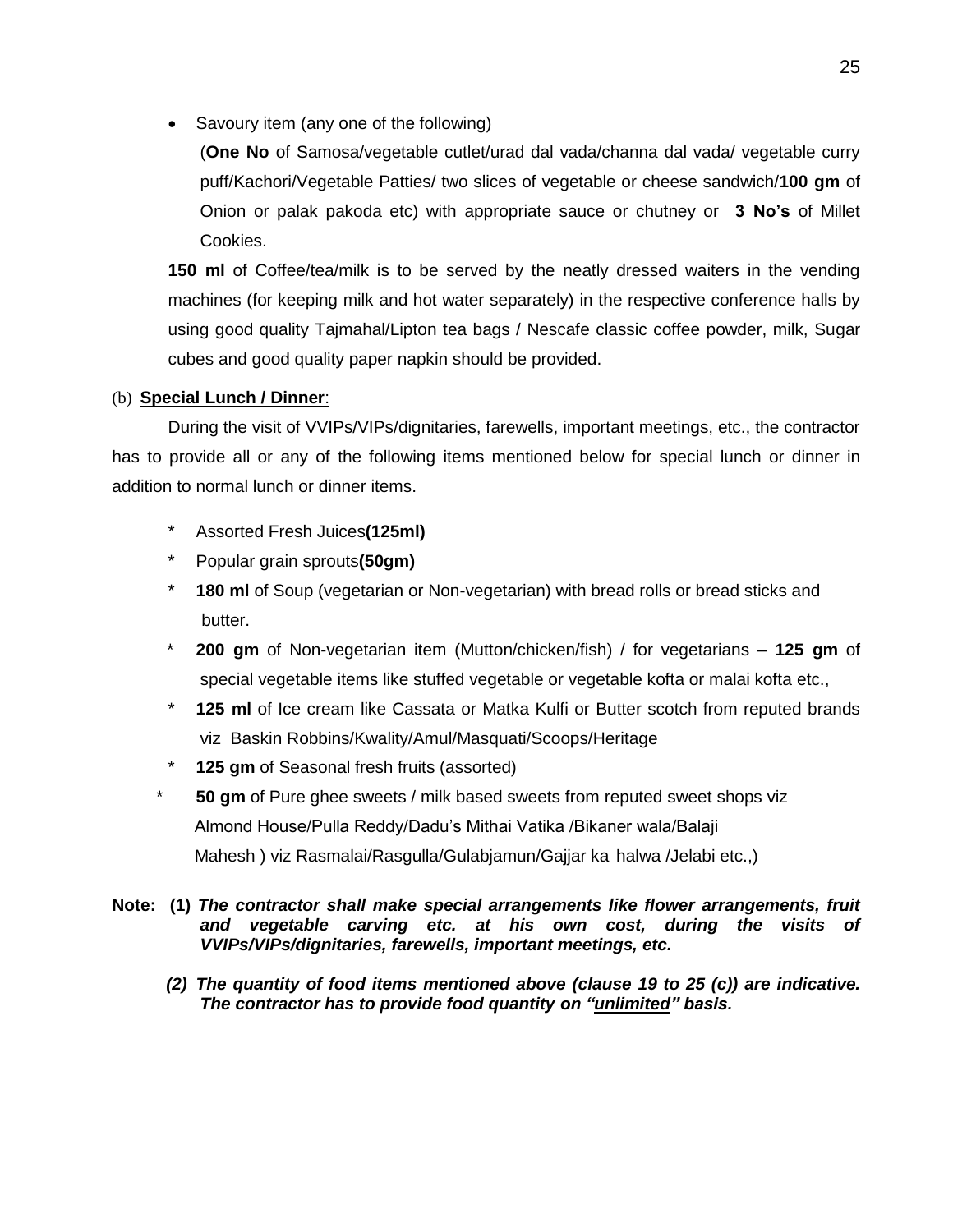• Savoury item (any one of the following)

(**One No** of Samosa/vegetable cutlet/urad dal vada/channa dal vada/ vegetable curry puff/Kachori/Vegetable Patties/ two slices of vegetable or cheese sandwich/**100 gm** of Onion or palak pakoda etc) with appropriate sauce or chutney or **3 No's** of Millet Cookies.

**150 ml** of Coffee/tea/milk is to be served by the neatly dressed waiters in the vending machines (for keeping milk and hot water separately) in the respective conference halls by using good quality Tajmahal/Lipton tea bags / Nescafe classic coffee powder, milk, Sugar cubes and good quality paper napkin should be provided.

### (b) **Special Lunch / Dinner**:

During the visit of VVIPs/VIPs/dignitaries, farewells, important meetings, etc., the contractor has to provide all or any of the following items mentioned below for special lunch or dinner in addition to normal lunch or dinner items.

- \* Assorted Fresh Juices**(125ml)**
- \* Popular grain sprouts**(50gm)**
- \* **180 ml** of Soup (vegetarian or Non-vegetarian) with bread rolls or bread sticks and butter.
- \* **200 gm** of Non-vegetarian item (Mutton/chicken/fish) / for vegetarians **125 gm** of special vegetable items like stuffed vegetable or vegetable kofta or malai kofta etc.,
- \* **125 ml** of Ice cream like Cassata or Matka Kulfi or Butter scotch from reputed brands viz Baskin Robbins/Kwality/Amul/Masquati/Scoops/Heritage
- \* **125 gm** of Seasonal fresh fruits (assorted)
- **50 gm** of Pure ghee sweets / milk based sweets from reputed sweet shops viz Almond House/Pulla Reddy/Dadu's Mithai Vatika /Bikaner wala/Balaji Mahesh ) viz Rasmalai/Rasgulla/Gulabjamun/Gajjar ka halwa /Jelabi etc.,)

#### **Note: (1)** *The contractor shall make special arrangements like flower arrangements, fruit and vegetable carving etc. at his own cost, during the visits of VVIPs/VIPs/dignitaries, farewells, important meetings, etc.*

 *(2) The quantity of food items mentioned above (clause 19 to 25 (c)) are indicative. The contractor has to provide food quantity on "unlimited" basis.*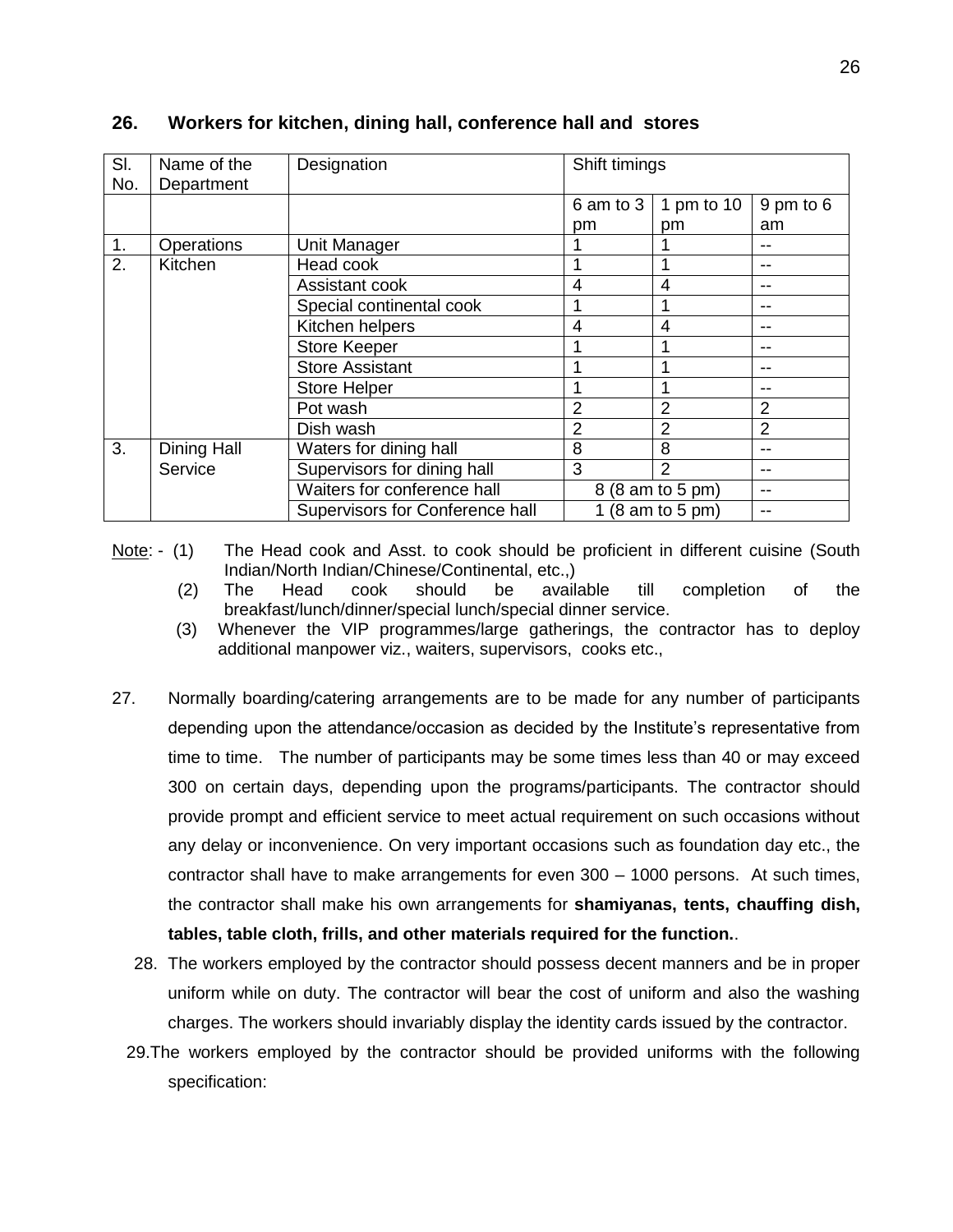| SI.<br>No. | Name of the<br>Department | Designation                     | Shift timings   |                  |                 |
|------------|---------------------------|---------------------------------|-----------------|------------------|-----------------|
|            |                           |                                 | 6 am to 3<br>pm | 1 pm to 10<br>pm | 9 pm to 6<br>am |
| 1.         | Operations                | Unit Manager                    |                 |                  |                 |
| 2.         | Kitchen                   | Head cook                       |                 |                  |                 |
|            |                           | Assistant cook                  | 4               | 4                | --              |
|            |                           | Special continental cook        |                 |                  | --              |
|            |                           | Kitchen helpers                 | 4               | $\overline{4}$   | --              |
|            |                           | <b>Store Keeper</b>             |                 |                  | --              |
|            |                           | <b>Store Assistant</b>          |                 |                  | --              |
|            |                           | <b>Store Helper</b>             |                 |                  | --              |
|            |                           | Pot wash                        | 2               | $\overline{2}$   | $\overline{2}$  |
|            |                           | Dish wash                       | 2               | $\overline{2}$   | $\overline{2}$  |
| 3.         | Dining Hall               | Waters for dining hall          | 8               | 8                | --              |
|            | Service                   | Supervisors for dining hall     | 3               | $\mathcal{P}$    | --              |
|            |                           | Waiters for conference hall     |                 | 8 (8 am to 5 pm) | --              |
|            |                           | Supervisors for Conference hall |                 | 1 (8 am to 5 pm) |                 |

#### **26. Workers for kitchen, dining hall, conference hall and stores**

- Note: (1) The Head cook and Asst. to cook should be proficient in different cuisine (South Indian/North Indian/Chinese/Continental, etc.,)
	- (2) The Head cook should be available till completion of the breakfast/lunch/dinner/special lunch/special dinner service.
	- (3) Whenever the VIP programmes/large gatherings, the contractor has to deploy additional manpower viz., waiters, supervisors, cooks etc.,
- 27. Normally boarding/catering arrangements are to be made for any number of participants depending upon the attendance/occasion as decided by the Institute's representative from time to time. The number of participants may be some times less than 40 or may exceed 300 on certain days, depending upon the programs/participants. The contractor should provide prompt and efficient service to meet actual requirement on such occasions without any delay or inconvenience. On very important occasions such as foundation day etc., the contractor shall have to make arrangements for even 300 – 1000 persons. At such times, the contractor shall make his own arrangements for **shamiyanas, tents, chauffing dish, tables, table cloth, frills, and other materials required for the function.**.
	- 28. The workers employed by the contractor should possess decent manners and be in proper uniform while on duty. The contractor will bear the cost of uniform and also the washing charges. The workers should invariably display the identity cards issued by the contractor.
	- 29.The workers employed by the contractor should be provided uniforms with the following specification: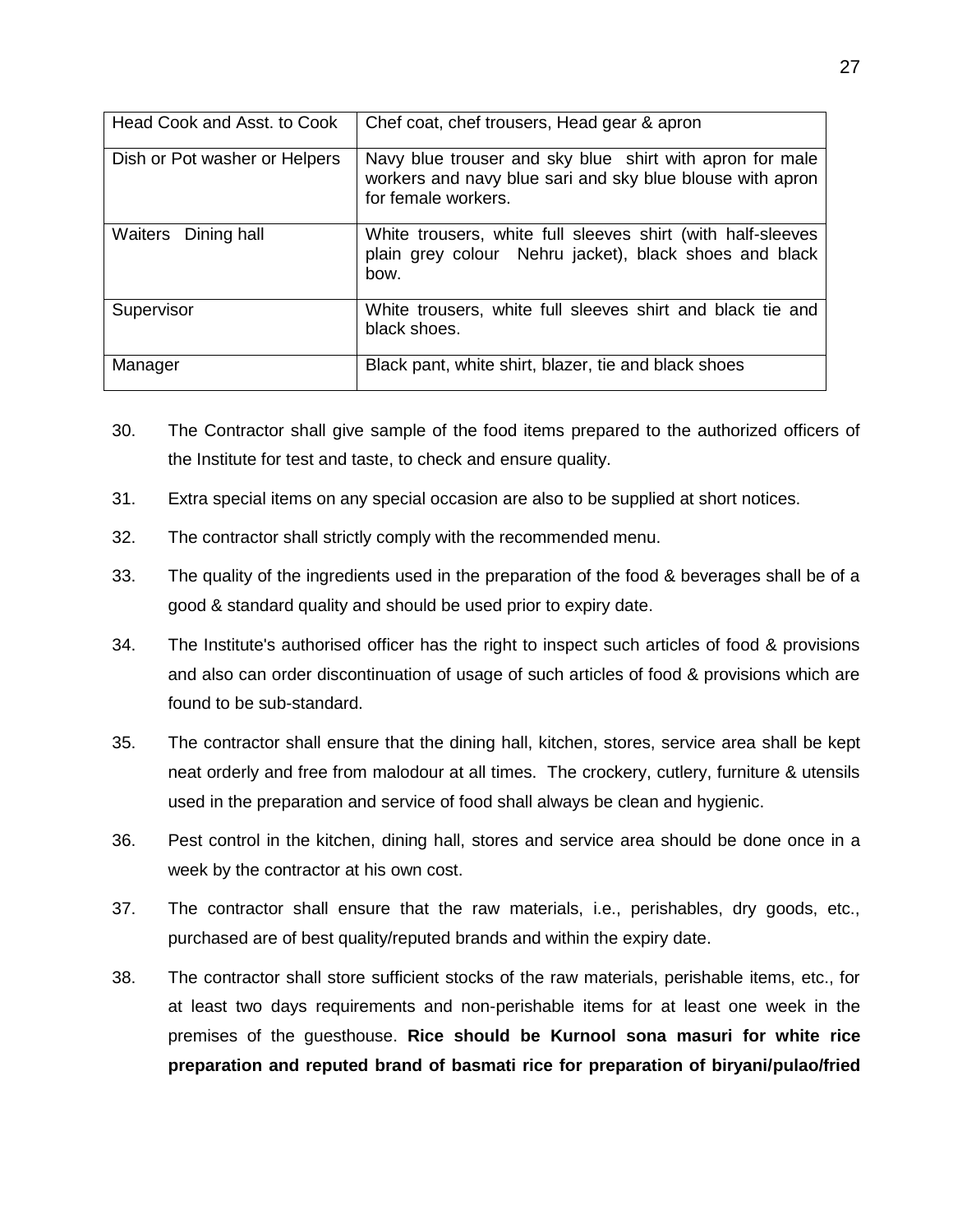| Head Cook and Asst. to Cook   | Chef coat, chef trousers, Head gear & apron                                                                                                  |
|-------------------------------|----------------------------------------------------------------------------------------------------------------------------------------------|
| Dish or Pot washer or Helpers | Navy blue trouser and sky blue shirt with apron for male<br>workers and navy blue sari and sky blue blouse with apron<br>for female workers. |
| Waiters Dining hall           | White trousers, white full sleeves shirt (with half-sleeves<br>plain grey colour Nehru jacket), black shoes and black<br>bow.                |
| Supervisor                    | White trousers, white full sleeves shirt and black tie and<br>black shoes.                                                                   |
| Manager                       | Black pant, white shirt, blazer, tie and black shoes                                                                                         |

- 30. The Contractor shall give sample of the food items prepared to the authorized officers of the Institute for test and taste, to check and ensure quality.
- 31. Extra special items on any special occasion are also to be supplied at short notices.
- 32. The contractor shall strictly comply with the recommended menu.
- 33. The quality of the ingredients used in the preparation of the food & beverages shall be of a good & standard quality and should be used prior to expiry date.
- 34. The Institute's authorised officer has the right to inspect such articles of food & provisions and also can order discontinuation of usage of such articles of food & provisions which are found to be sub-standard.
- 35. The contractor shall ensure that the dining hall, kitchen, stores, service area shall be kept neat orderly and free from malodour at all times. The crockery, cutlery, furniture & utensils used in the preparation and service of food shall always be clean and hygienic.
- 36. Pest control in the kitchen, dining hall, stores and service area should be done once in a week by the contractor at his own cost.
- 37. The contractor shall ensure that the raw materials, i.e., perishables, dry goods, etc., purchased are of best quality/reputed brands and within the expiry date.
- 38. The contractor shall store sufficient stocks of the raw materials, perishable items, etc., for at least two days requirements and non-perishable items for at least one week in the premises of the guesthouse. **Rice should be Kurnool sona masuri for white rice preparation and reputed brand of basmati rice for preparation of biryani/pulao/fried**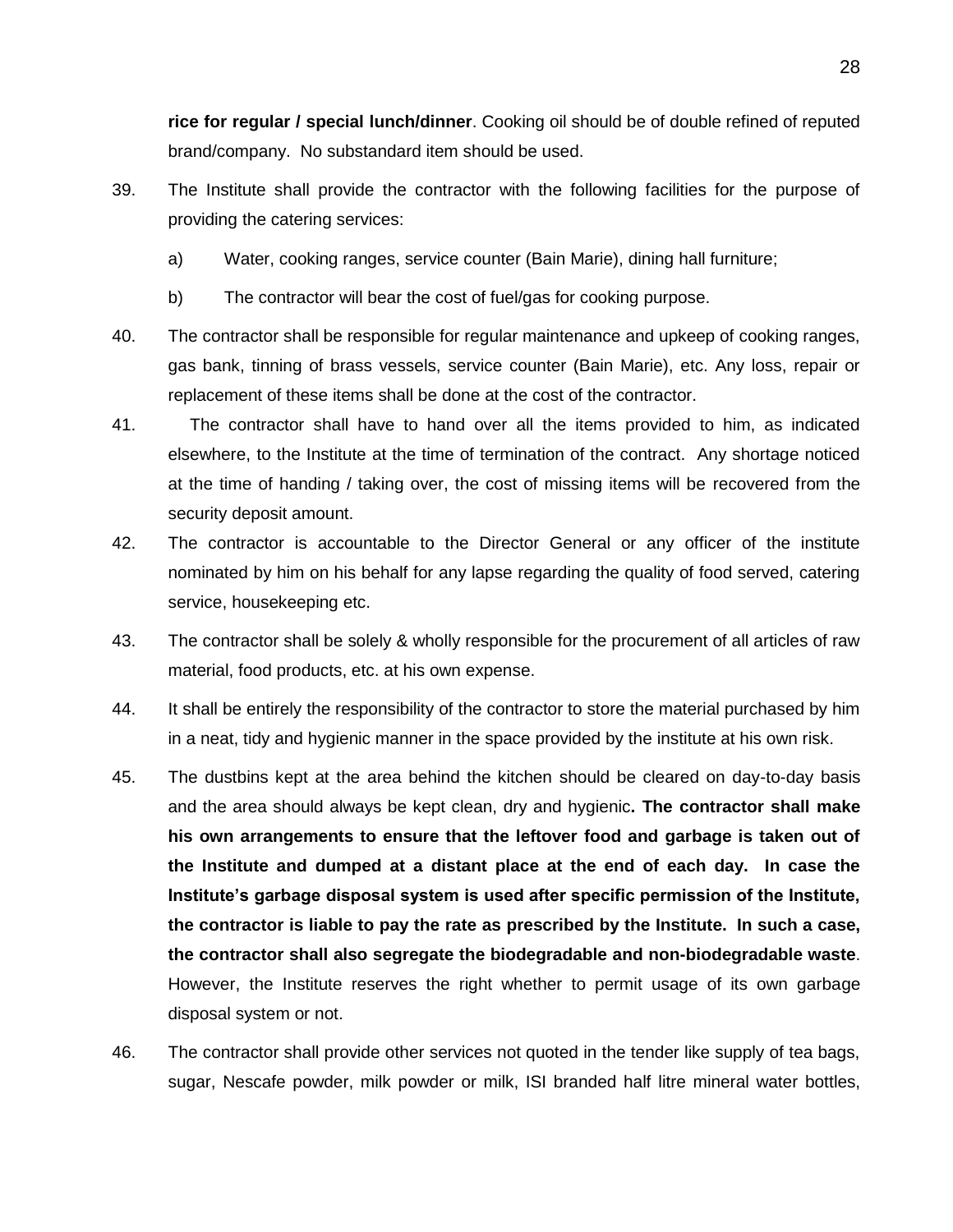**rice for regular / special lunch/dinner**. Cooking oil should be of double refined of reputed brand/company. No substandard item should be used.

- 39. The Institute shall provide the contractor with the following facilities for the purpose of providing the catering services:
	- a) Water, cooking ranges, service counter (Bain Marie), dining hall furniture;
	- b) The contractor will bear the cost of fuel/gas for cooking purpose.
- 40. The contractor shall be responsible for regular maintenance and upkeep of cooking ranges, gas bank, tinning of brass vessels, service counter (Bain Marie), etc. Any loss, repair or replacement of these items shall be done at the cost of the contractor.
- 41. The contractor shall have to hand over all the items provided to him, as indicated elsewhere, to the Institute at the time of termination of the contract. Any shortage noticed at the time of handing / taking over, the cost of missing items will be recovered from the security deposit amount.
- 42. The contractor is accountable to the Director General or any officer of the institute nominated by him on his behalf for any lapse regarding the quality of food served, catering service, housekeeping etc.
- 43. The contractor shall be solely & wholly responsible for the procurement of all articles of raw material, food products, etc. at his own expense.
- 44. It shall be entirely the responsibility of the contractor to store the material purchased by him in a neat, tidy and hygienic manner in the space provided by the institute at his own risk.
- 45. The dustbins kept at the area behind the kitchen should be cleared on day-to-day basis and the area should always be kept clean, dry and hygienic**. The contractor shall make his own arrangements to ensure that the leftover food and garbage is taken out of the Institute and dumped at a distant place at the end of each day. In case the Institute's garbage disposal system is used after specific permission of the Institute, the contractor is liable to pay the rate as prescribed by the Institute. In such a case, the contractor shall also segregate the biodegradable and non-biodegradable waste**. However, the Institute reserves the right whether to permit usage of its own garbage disposal system or not.
- 46. The contractor shall provide other services not quoted in the tender like supply of tea bags, sugar, Nescafe powder, milk powder or milk, ISI branded half litre mineral water bottles,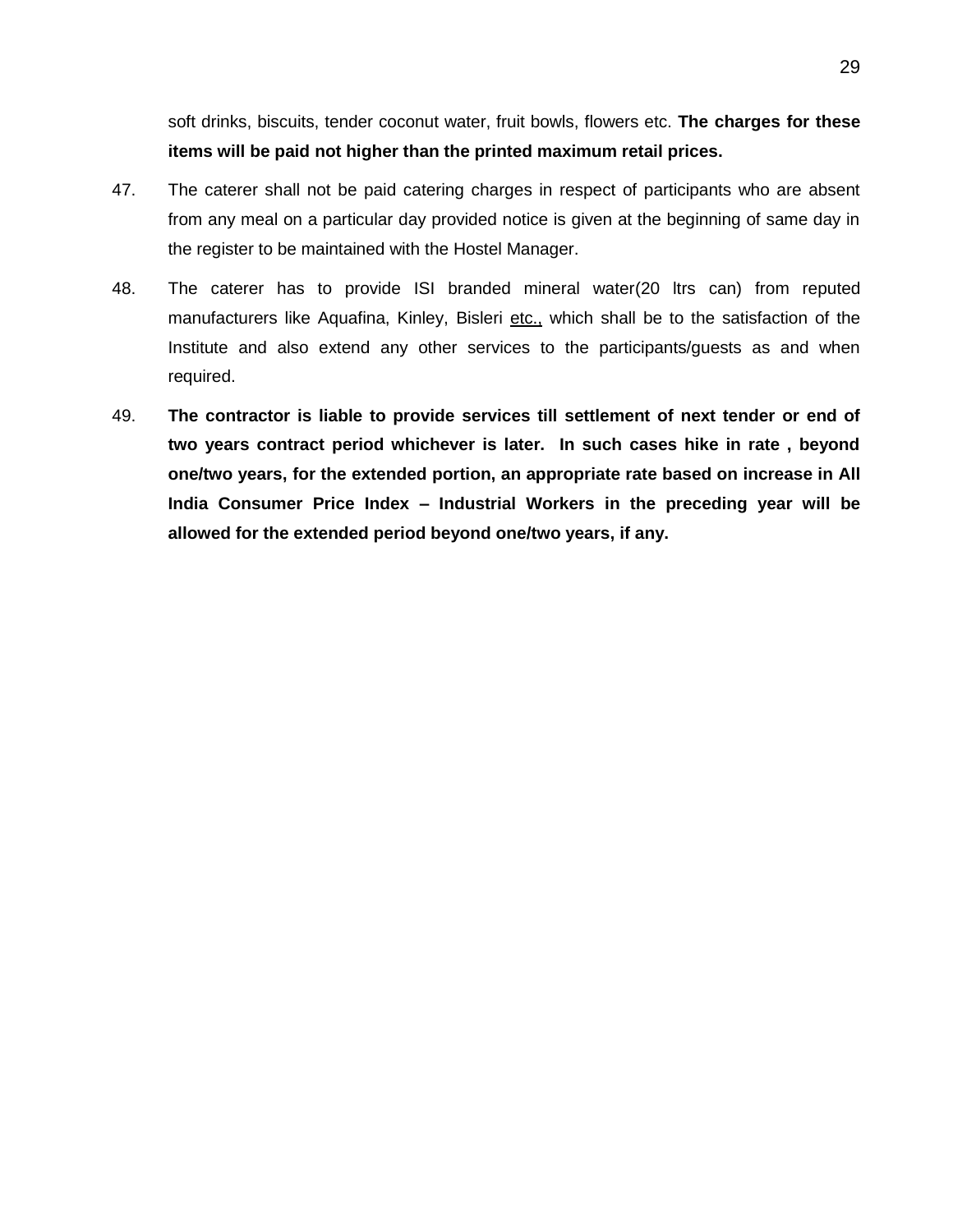soft drinks, biscuits, tender coconut water, fruit bowls, flowers etc. **The charges for these items will be paid not higher than the printed maximum retail prices.**

- 47. The caterer shall not be paid catering charges in respect of participants who are absent from any meal on a particular day provided notice is given at the beginning of same day in the register to be maintained with the Hostel Manager.
- 48. The caterer has to provide ISI branded mineral water(20 ltrs can) from reputed manufacturers like Aquafina, Kinley, Bisleri etc., which shall be to the satisfaction of the Institute and also extend any other services to the participants/guests as and when required.
- 49. **The contractor is liable to provide services till settlement of next tender or end of two years contract period whichever is later. In such cases hike in rate , beyond one/two years, for the extended portion, an appropriate rate based on increase in All India Consumer Price Index – Industrial Workers in the preceding year will be allowed for the extended period beyond one/two years, if any.**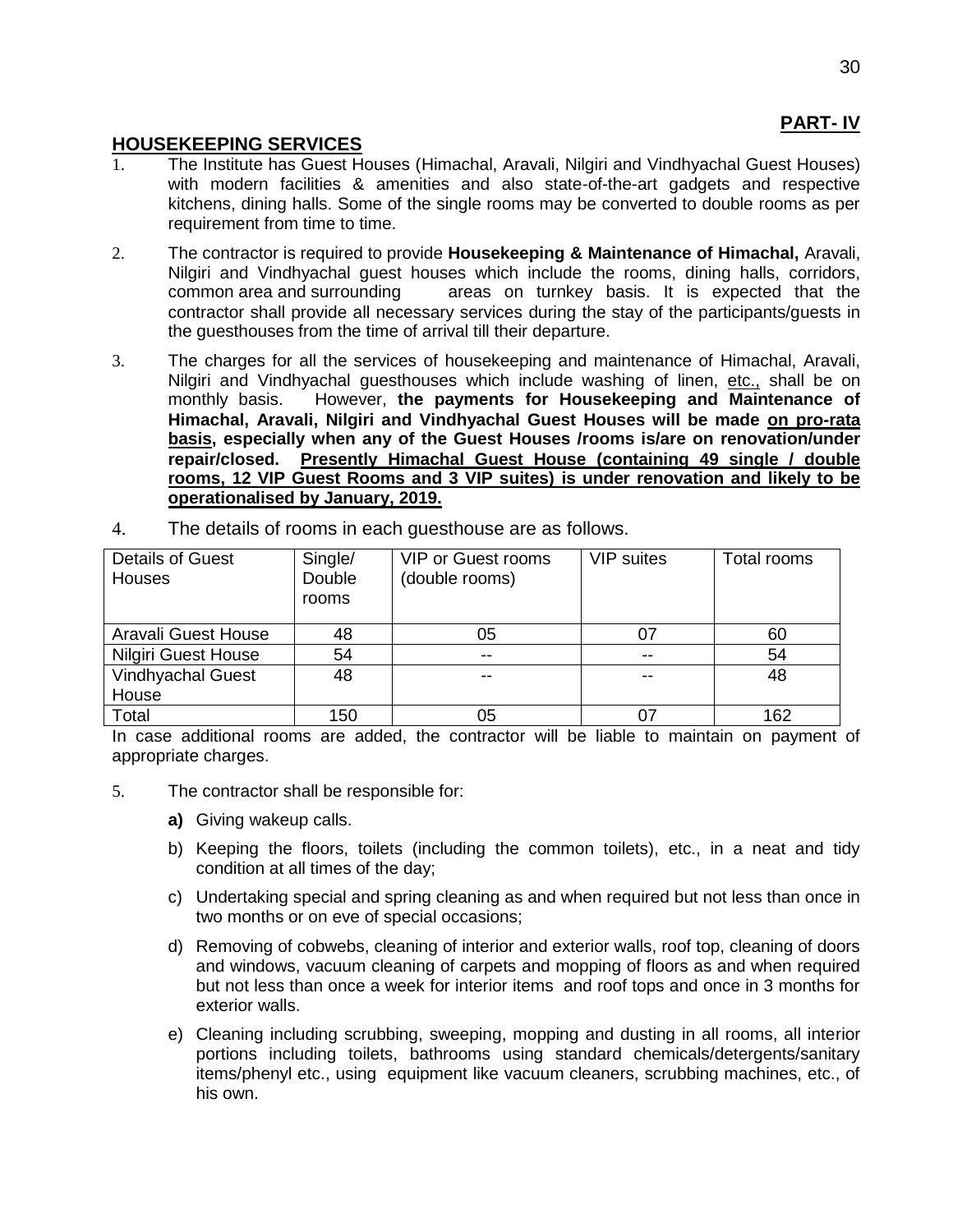# **PART- IV**

## **HOUSEKEEPING SERVICES**

- 1. The Institute has Guest Houses (Himachal, Aravali, Nilgiri and Vindhyachal Guest Houses) with modern facilities & amenities and also state-of-the-art gadgets and respective kitchens, dining halls. Some of the single rooms may be converted to double rooms as per requirement from time to time.
- 2. The contractor is required to provide **Housekeeping & Maintenance of Himachal,** Aravali, Nilgiri and Vindhyachal guest houses which include the rooms, dining halls, corridors, common area and surrounding areas on turnkey basis. It is expected that the contractor shall provide all necessary services during the stay of the participants/guests in the guesthouses from the time of arrival till their departure.
- 3. The charges for all the services of housekeeping and maintenance of Himachal, Aravali, Nilgiri and Vindhyachal guesthouses which include washing of linen, etc., shall be on monthly basis. However, **the payments for Housekeeping and Maintenance of Himachal, Aravali, Nilgiri and Vindhyachal Guest Houses will be made on pro-rata basis, especially when any of the Guest Houses /rooms is/are on renovation/under repair/closed. Presently Himachal Guest House (containing 49 single / double rooms, 12 VIP Guest Rooms and 3 VIP suites) is under renovation and likely to be operationalised by January, 2019.**

| Details of Guest<br><b>Houses</b> | Single/<br>Double<br>rooms | <b>VIP or Guest rooms</b><br>(double rooms) | <b>VIP</b> suites | Total rooms |
|-----------------------------------|----------------------------|---------------------------------------------|-------------------|-------------|
| Aravali Guest House               | 48                         | 05                                          | 07                | 60          |
| <b>Nilgiri Guest House</b>        | 54                         | $- -$                                       | $- -$             | 54          |
| <b>Vindhyachal Guest</b><br>House | 48                         | --                                          | --                | 48          |
| Total<br>.                        | 150                        | 05                                          | 07                | 162         |

4. The details of rooms in each guesthouse are as follows.

In case additional rooms are added, the contractor will be liable to maintain on payment of appropriate charges.

- 5. The contractor shall be responsible for:
	- **a)** Giving wakeup calls.
	- b) Keeping the floors, toilets (including the common toilets), etc., in a neat and tidy condition at all times of the day;
	- c) Undertaking special and spring cleaning as and when required but not less than once in two months or on eve of special occasions;
	- d) Removing of cobwebs, cleaning of interior and exterior walls, roof top, cleaning of doors and windows, vacuum cleaning of carpets and mopping of floors as and when required but not less than once a week for interior items and roof tops and once in 3 months for exterior walls.
	- e) Cleaning including scrubbing, sweeping, mopping and dusting in all rooms, all interior portions including toilets, bathrooms using standard chemicals/detergents/sanitary items/phenyl etc., using equipment like vacuum cleaners, scrubbing machines, etc., of his own.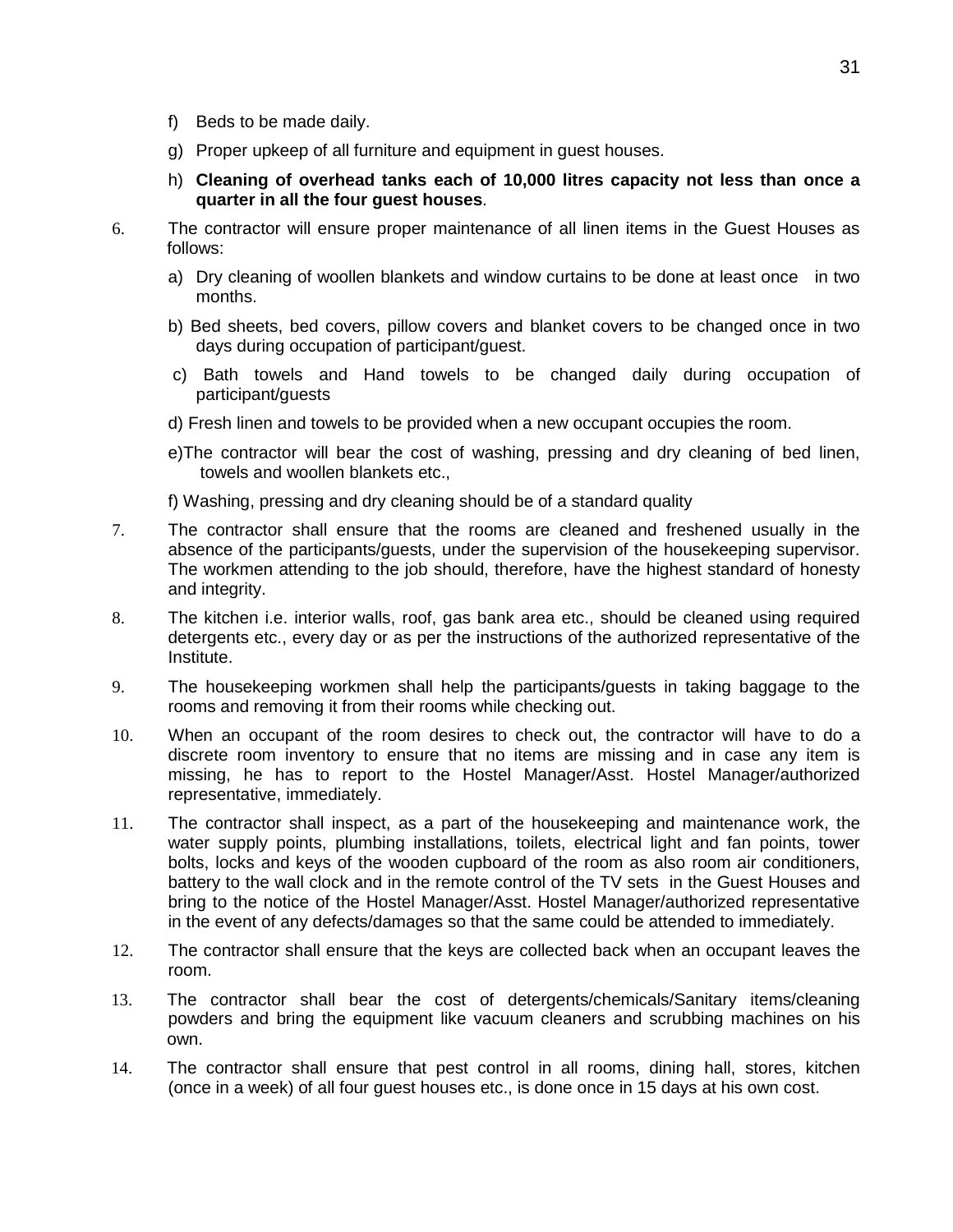- f) Beds to be made daily.
- g) Proper upkeep of all furniture and equipment in guest houses.
- h) **Cleaning of overhead tanks each of 10,000 litres capacity not less than once a quarter in all the four guest houses**.
- 6. The contractor will ensure proper maintenance of all linen items in the Guest Houses as follows:
	- a) Dry cleaning of woollen blankets and window curtains to be done at least once in two months.
	- b) Bed sheets, bed covers, pillow covers and blanket covers to be changed once in two days during occupation of participant/guest.
	- c) Bath towels and Hand towels to be changed daily during occupation of participant/guests
	- d) Fresh linen and towels to be provided when a new occupant occupies the room.
	- e)The contractor will bear the cost of washing, pressing and dry cleaning of bed linen, towels and woollen blankets etc.,
	- f) Washing, pressing and dry cleaning should be of a standard quality
- 7. The contractor shall ensure that the rooms are cleaned and freshened usually in the absence of the participants/guests, under the supervision of the housekeeping supervisor. The workmen attending to the job should, therefore, have the highest standard of honesty and integrity.
- 8. The kitchen i.e. interior walls, roof, gas bank area etc., should be cleaned using required detergents etc., every day or as per the instructions of the authorized representative of the Institute.
- 9. The housekeeping workmen shall help the participants/guests in taking baggage to the rooms and removing it from their rooms while checking out.
- 10. When an occupant of the room desires to check out, the contractor will have to do a discrete room inventory to ensure that no items are missing and in case any item is missing, he has to report to the Hostel Manager/Asst. Hostel Manager/authorized representative, immediately.
- 11. The contractor shall inspect, as a part of the housekeeping and maintenance work, the water supply points, plumbing installations, toilets, electrical light and fan points, tower bolts, locks and keys of the wooden cupboard of the room as also room air conditioners, battery to the wall clock and in the remote control of the TV sets in the Guest Houses and bring to the notice of the Hostel Manager/Asst. Hostel Manager/authorized representative in the event of any defects/damages so that the same could be attended to immediately.
- 12. The contractor shall ensure that the keys are collected back when an occupant leaves the room.
- 13. The contractor shall bear the cost of detergents/chemicals/Sanitary items/cleaning powders and bring the equipment like vacuum cleaners and scrubbing machines on his own.
- 14. The contractor shall ensure that pest control in all rooms, dining hall, stores, kitchen (once in a week) of all four guest houses etc., is done once in 15 days at his own cost.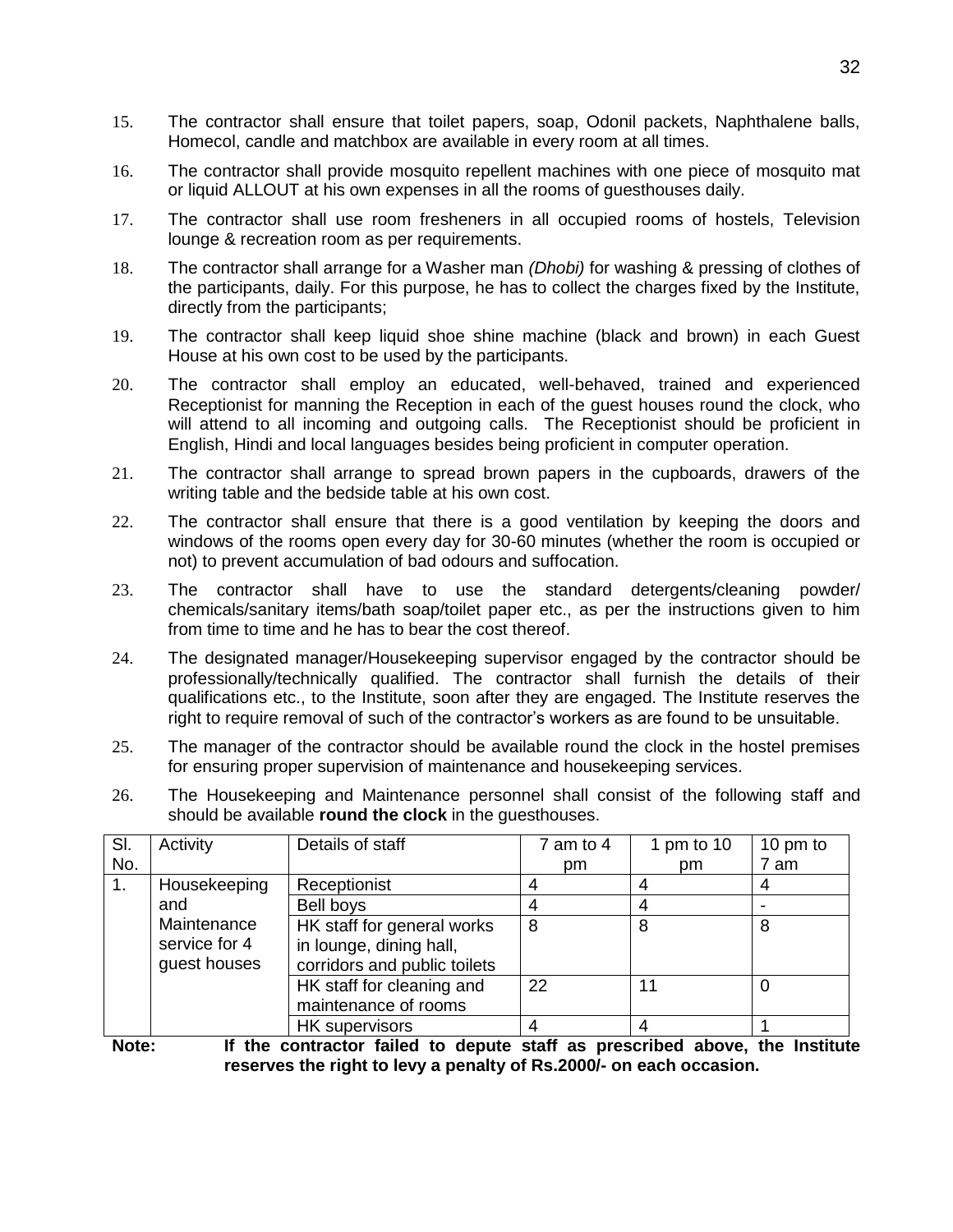- 15. The contractor shall ensure that toilet papers, soap, Odonil packets, Naphthalene balls, Homecol, candle and matchbox are available in every room at all times.
- 16. The contractor shall provide mosquito repellent machines with one piece of mosquito mat or liquid ALLOUT at his own expenses in all the rooms of guesthouses daily.
- 17. The contractor shall use room fresheners in all occupied rooms of hostels, Television lounge & recreation room as per requirements.
- 18. The contractor shall arrange for a Washer man *(Dhobi)* for washing & pressing of clothes of the participants, daily. For this purpose, he has to collect the charges fixed by the Institute, directly from the participants;
- 19. The contractor shall keep liquid shoe shine machine (black and brown) in each Guest House at his own cost to be used by the participants.
- 20. The contractor shall employ an educated, well-behaved, trained and experienced Receptionist for manning the Reception in each of the guest houses round the clock, who will attend to all incoming and outgoing calls. The Receptionist should be proficient in English, Hindi and local languages besides being proficient in computer operation.
- 21. The contractor shall arrange to spread brown papers in the cupboards, drawers of the writing table and the bedside table at his own cost.
- 22. The contractor shall ensure that there is a good ventilation by keeping the doors and windows of the rooms open every day for 30-60 minutes (whether the room is occupied or not) to prevent accumulation of bad odours and suffocation.
- 23. The contractor shall have to use the standard detergents/cleaning powder/ chemicals/sanitary items/bath soap/toilet paper etc., as per the instructions given to him from time to time and he has to bear the cost thereof.
- 24. The designated manager/Housekeeping supervisor engaged by the contractor should be professionally/technically qualified. The contractor shall furnish the details of their qualifications etc., to the Institute, soon after they are engaged. The Institute reserves the right to require removal of such of the contractor's workers as are found to be unsuitable.
- 25. The manager of the contractor should be available round the clock in the hostel premises for ensuring proper supervision of maintenance and housekeeping services.
- 26. The Housekeeping and Maintenance personnel shall consist of the following staff and should be available **round the clock** in the guesthouses.

| SI. | Activity      | Details of staff             | $7$ am to $4$ | 1 pm to 10 | 10 pm to |
|-----|---------------|------------------------------|---------------|------------|----------|
| No. |               |                              | pm            | pm         | 7 am     |
| 1.  | Housekeeping  | Receptionist                 |               |            |          |
|     | and           | Bell boys                    |               |            |          |
|     | Maintenance   | HK staff for general works   | 8             | 8          | 8        |
|     | service for 4 | in lounge, dining hall,      |               |            |          |
|     | guest houses  | corridors and public toilets |               |            |          |
|     |               | HK staff for cleaning and    | 22            | 11         |          |
|     |               | maintenance of rooms         |               |            |          |
|     |               | <b>HK</b> supervisors        |               | 4          |          |

**Note: If the contractor failed to depute staff as prescribed above, the Institute reserves the right to levy a penalty of Rs.2000/- on each occasion.**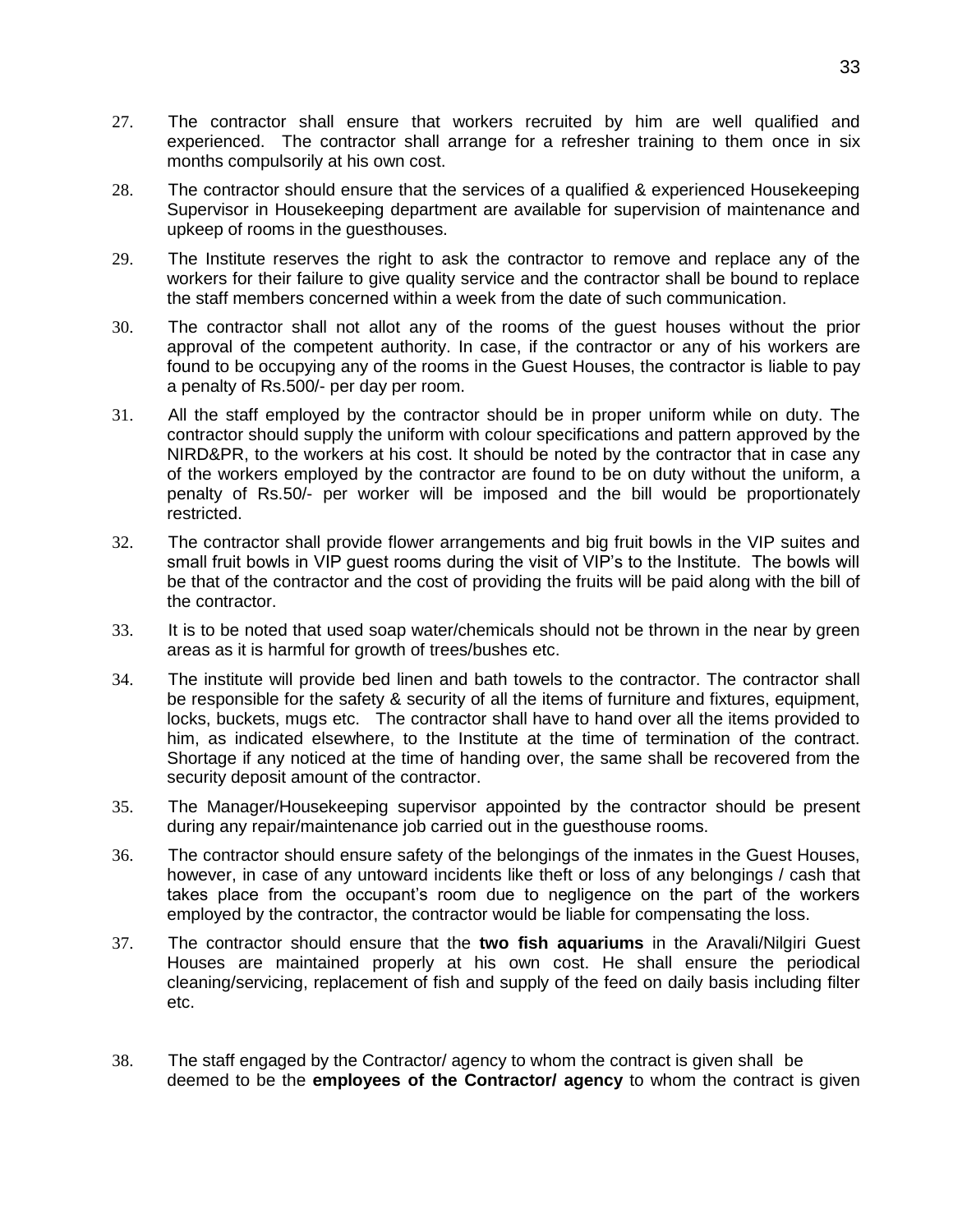- 27. The contractor shall ensure that workers recruited by him are well qualified and experienced. The contractor shall arrange for a refresher training to them once in six months compulsorily at his own cost.
- 28. The contractor should ensure that the services of a qualified & experienced Housekeeping Supervisor in Housekeeping department are available for supervision of maintenance and upkeep of rooms in the guesthouses.
- 29. The Institute reserves the right to ask the contractor to remove and replace any of the workers for their failure to give quality service and the contractor shall be bound to replace the staff members concerned within a week from the date of such communication.
- 30. The contractor shall not allot any of the rooms of the guest houses without the prior approval of the competent authority. In case, if the contractor or any of his workers are found to be occupying any of the rooms in the Guest Houses, the contractor is liable to pay a penalty of Rs.500/- per day per room.
- 31. All the staff employed by the contractor should be in proper uniform while on duty. The contractor should supply the uniform with colour specifications and pattern approved by the NIRD&PR, to the workers at his cost. It should be noted by the contractor that in case any of the workers employed by the contractor are found to be on duty without the uniform, a penalty of Rs.50/- per worker will be imposed and the bill would be proportionately restricted.
- 32. The contractor shall provide flower arrangements and big fruit bowls in the VIP suites and small fruit bowls in VIP guest rooms during the visit of VIP's to the Institute. The bowls will be that of the contractor and the cost of providing the fruits will be paid along with the bill of the contractor.
- 33. It is to be noted that used soap water/chemicals should not be thrown in the near by green areas as it is harmful for growth of trees/bushes etc.
- 34. The institute will provide bed linen and bath towels to the contractor. The contractor shall be responsible for the safety & security of all the items of furniture and fixtures, equipment, locks, buckets, mugs etc. The contractor shall have to hand over all the items provided to him, as indicated elsewhere, to the Institute at the time of termination of the contract. Shortage if any noticed at the time of handing over, the same shall be recovered from the security deposit amount of the contractor.
- 35. The Manager/Housekeeping supervisor appointed by the contractor should be present during any repair/maintenance job carried out in the guesthouse rooms.
- 36. The contractor should ensure safety of the belongings of the inmates in the Guest Houses, however, in case of any untoward incidents like theft or loss of any belongings / cash that takes place from the occupant's room due to negligence on the part of the workers employed by the contractor, the contractor would be liable for compensating the loss.
- 37. The contractor should ensure that the **two fish aquariums** in the Aravali/Nilgiri Guest Houses are maintained properly at his own cost. He shall ensure the periodical cleaning/servicing, replacement of fish and supply of the feed on daily basis including filter etc.
- 38. The staff engaged by the Contractor/ agency to whom the contract is given shall be deemed to be the **employees of the Contractor/ agency** to whom the contract is given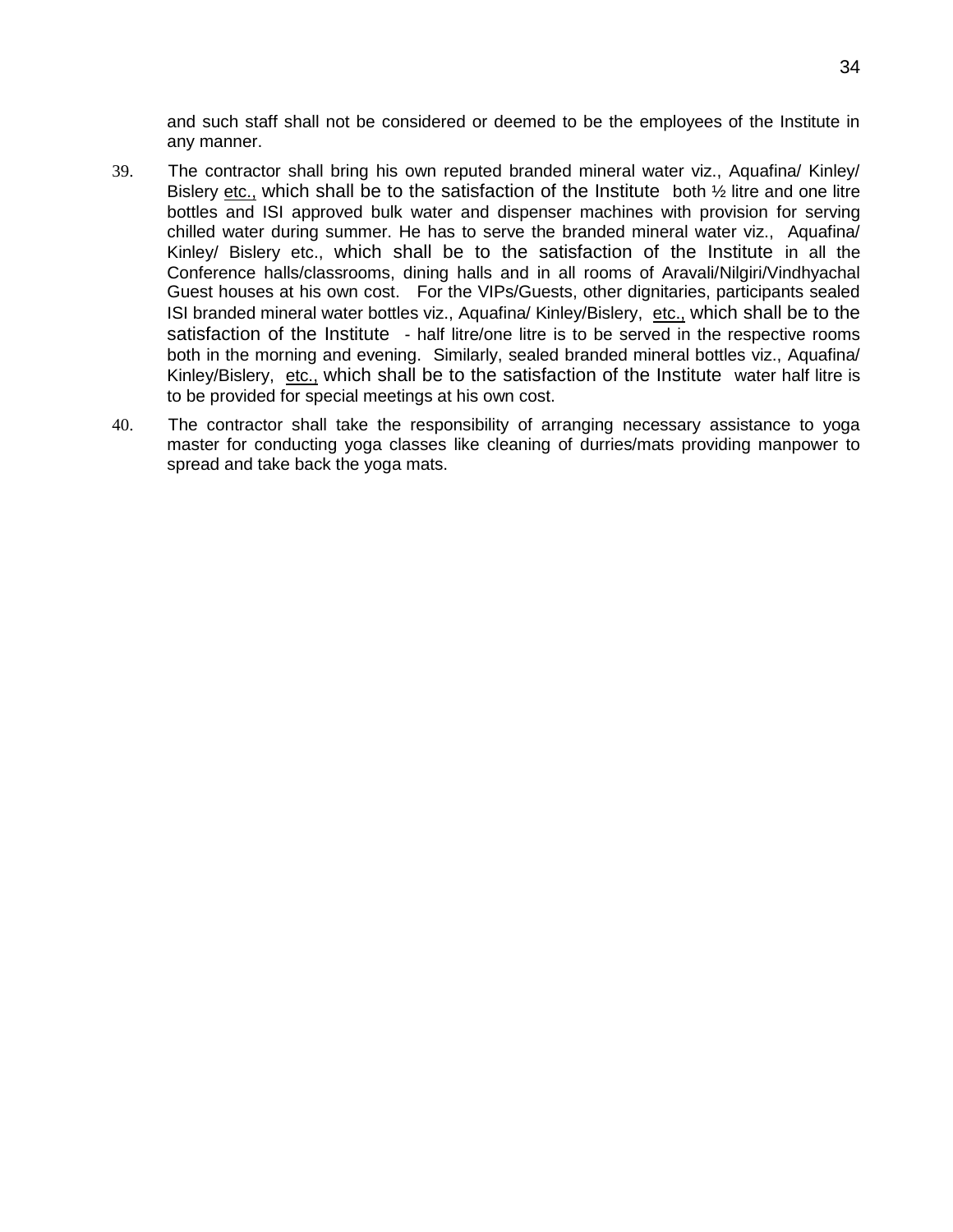and such staff shall not be considered or deemed to be the employees of the Institute in any manner.

- 39. The contractor shall bring his own reputed branded mineral water viz., Aquafina/ Kinley/ Bislery etc., which shall be to the satisfaction of the Institute both  $\frac{1}{2}$  litre and one litre bottles and ISI approved bulk water and dispenser machines with provision for serving chilled water during summer. He has to serve the branded mineral water viz., Aquafina/ Kinley/ Bislery etc., which shall be to the satisfaction of the Institute in all the Conference halls/classrooms, dining halls and in all rooms of Aravali/Nilgiri/Vindhyachal Guest houses at his own cost. For the VIPs/Guests, other dignitaries, participants sealed ISI branded mineral water bottles viz., Aquafina/ Kinley/Bislery, etc., which shall be to the satisfaction of the Institute - half litre/one litre is to be served in the respective rooms both in the morning and evening. Similarly, sealed branded mineral bottles viz., Aquafina/ Kinley/Bislery, etc., which shall be to the satisfaction of the Institute water half litre is to be provided for special meetings at his own cost.
- 40. The contractor shall take the responsibility of arranging necessary assistance to yoga master for conducting yoga classes like cleaning of durries/mats providing manpower to spread and take back the yoga mats.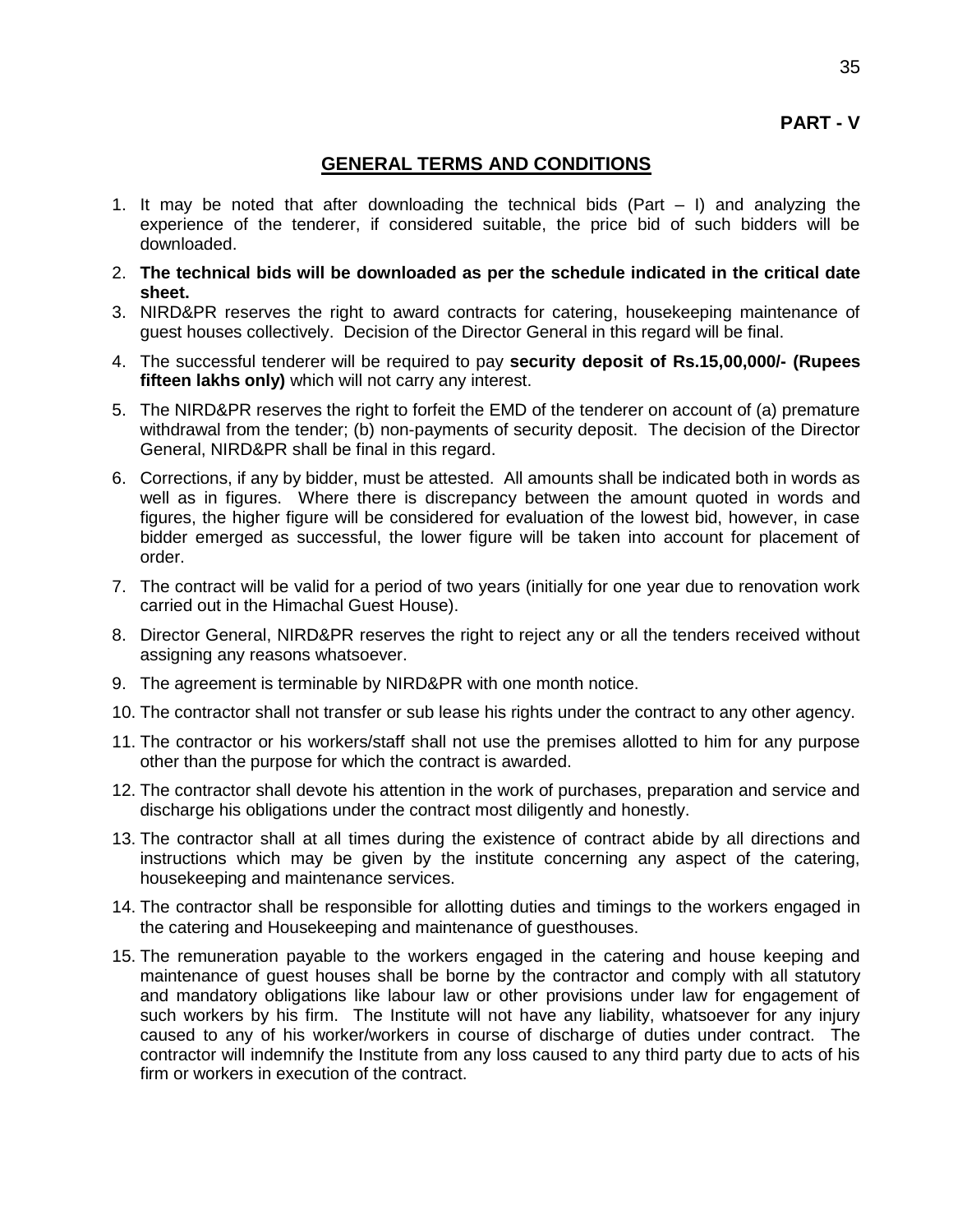### **GENERAL TERMS AND CONDITIONS**

- 1. It may be noted that after downloading the technical bids (Part I) and analyzing the experience of the tenderer, if considered suitable, the price bid of such bidders will be downloaded.
- 2. **The technical bids will be downloaded as per the schedule indicated in the critical date sheet.**
- 3. NIRD&PR reserves the right to award contracts for catering, housekeeping maintenance of guest houses collectively. Decision of the Director General in this regard will be final.
- 4. The successful tenderer will be required to pay **security deposit of Rs.15,00,000/- (Rupees fifteen lakhs only)** which will not carry any interest.
- 5. The NIRD&PR reserves the right to forfeit the EMD of the tenderer on account of (a) premature withdrawal from the tender; (b) non-payments of security deposit. The decision of the Director General, NIRD&PR shall be final in this regard.
- 6. Corrections, if any by bidder, must be attested. All amounts shall be indicated both in words as well as in figures. Where there is discrepancy between the amount quoted in words and figures, the higher figure will be considered for evaluation of the lowest bid, however, in case bidder emerged as successful, the lower figure will be taken into account for placement of order.
- 7. The contract will be valid for a period of two years (initially for one year due to renovation work carried out in the Himachal Guest House).
- 8. Director General, NIRD&PR reserves the right to reject any or all the tenders received without assigning any reasons whatsoever.
- 9. The agreement is terminable by NIRD&PR with one month notice.
- 10. The contractor shall not transfer or sub lease his rights under the contract to any other agency.
- 11. The contractor or his workers/staff shall not use the premises allotted to him for any purpose other than the purpose for which the contract is awarded.
- 12. The contractor shall devote his attention in the work of purchases, preparation and service and discharge his obligations under the contract most diligently and honestly.
- 13. The contractor shall at all times during the existence of contract abide by all directions and instructions which may be given by the institute concerning any aspect of the catering, housekeeping and maintenance services.
- 14. The contractor shall be responsible for allotting duties and timings to the workers engaged in the catering and Housekeeping and maintenance of guesthouses.
- 15. The remuneration payable to the workers engaged in the catering and house keeping and maintenance of guest houses shall be borne by the contractor and comply with all statutory and mandatory obligations like labour law or other provisions under law for engagement of such workers by his firm. The Institute will not have any liability, whatsoever for any injury caused to any of his worker/workers in course of discharge of duties under contract. The contractor will indemnify the Institute from any loss caused to any third party due to acts of his firm or workers in execution of the contract.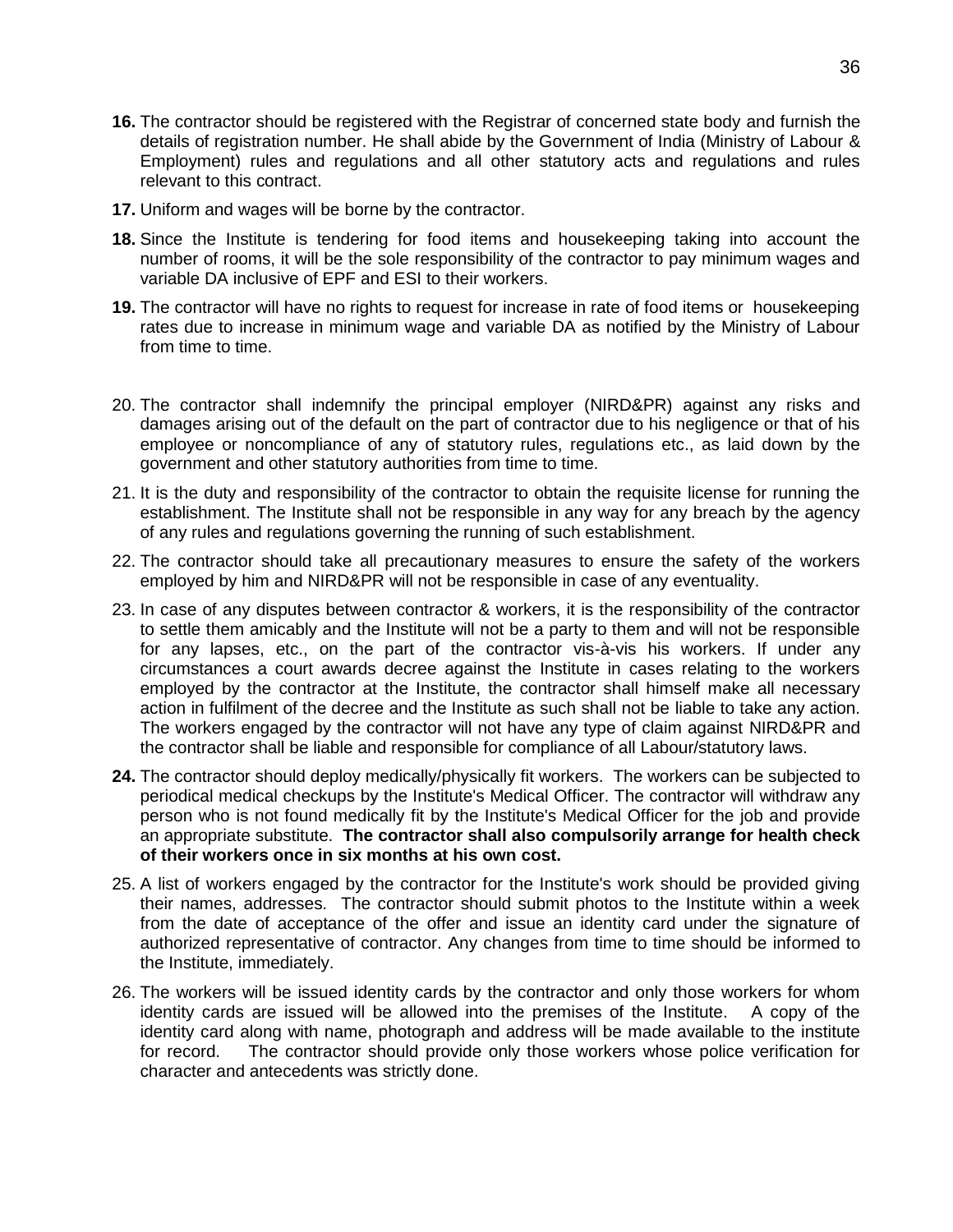- **16.** The contractor should be registered with the Registrar of concerned state body and furnish the details of registration number. He shall abide by the Government of India (Ministry of Labour & Employment) rules and regulations and all other statutory acts and regulations and rules relevant to this contract.
- **17.** Uniform and wages will be borne by the contractor.
- **18.** Since the Institute is tendering for food items and housekeeping taking into account the number of rooms, it will be the sole responsibility of the contractor to pay minimum wages and variable DA inclusive of EPF and ESI to their workers.
- **19.** The contractor will have no rights to request for increase in rate of food items or housekeeping rates due to increase in minimum wage and variable DA as notified by the Ministry of Labour from time to time.
- 20. The contractor shall indemnify the principal employer (NIRD&PR) against any risks and damages arising out of the default on the part of contractor due to his negligence or that of his employee or noncompliance of any of statutory rules, regulations etc., as laid down by the government and other statutory authorities from time to time.
- 21. It is the duty and responsibility of the contractor to obtain the requisite license for running the establishment. The Institute shall not be responsible in any way for any breach by the agency of any rules and regulations governing the running of such establishment.
- 22. The contractor should take all precautionary measures to ensure the safety of the workers employed by him and NIRD&PR will not be responsible in case of any eventuality.
- 23. In case of any disputes between contractor & workers, it is the responsibility of the contractor to settle them amicably and the Institute will not be a party to them and will not be responsible for any lapses, etc., on the part of the contractor vis-à-vis his workers. If under any circumstances a court awards decree against the Institute in cases relating to the workers employed by the contractor at the Institute, the contractor shall himself make all necessary action in fulfilment of the decree and the Institute as such shall not be liable to take any action. The workers engaged by the contractor will not have any type of claim against NIRD&PR and the contractor shall be liable and responsible for compliance of all Labour/statutory laws.
- **24.** The contractor should deploy medically/physically fit workers. The workers can be subjected to periodical medical checkups by the Institute's Medical Officer. The contractor will withdraw any person who is not found medically fit by the Institute's Medical Officer for the job and provide an appropriate substitute. **The contractor shall also compulsorily arrange for health check of their workers once in six months at his own cost.**
- 25. A list of workers engaged by the contractor for the Institute's work should be provided giving their names, addresses. The contractor should submit photos to the Institute within a week from the date of acceptance of the offer and issue an identity card under the signature of authorized representative of contractor. Any changes from time to time should be informed to the Institute, immediately.
- 26. The workers will be issued identity cards by the contractor and only those workers for whom identity cards are issued will be allowed into the premises of the Institute. A copy of the identity card along with name, photograph and address will be made available to the institute for record. The contractor should provide only those workers whose police verification for character and antecedents was strictly done.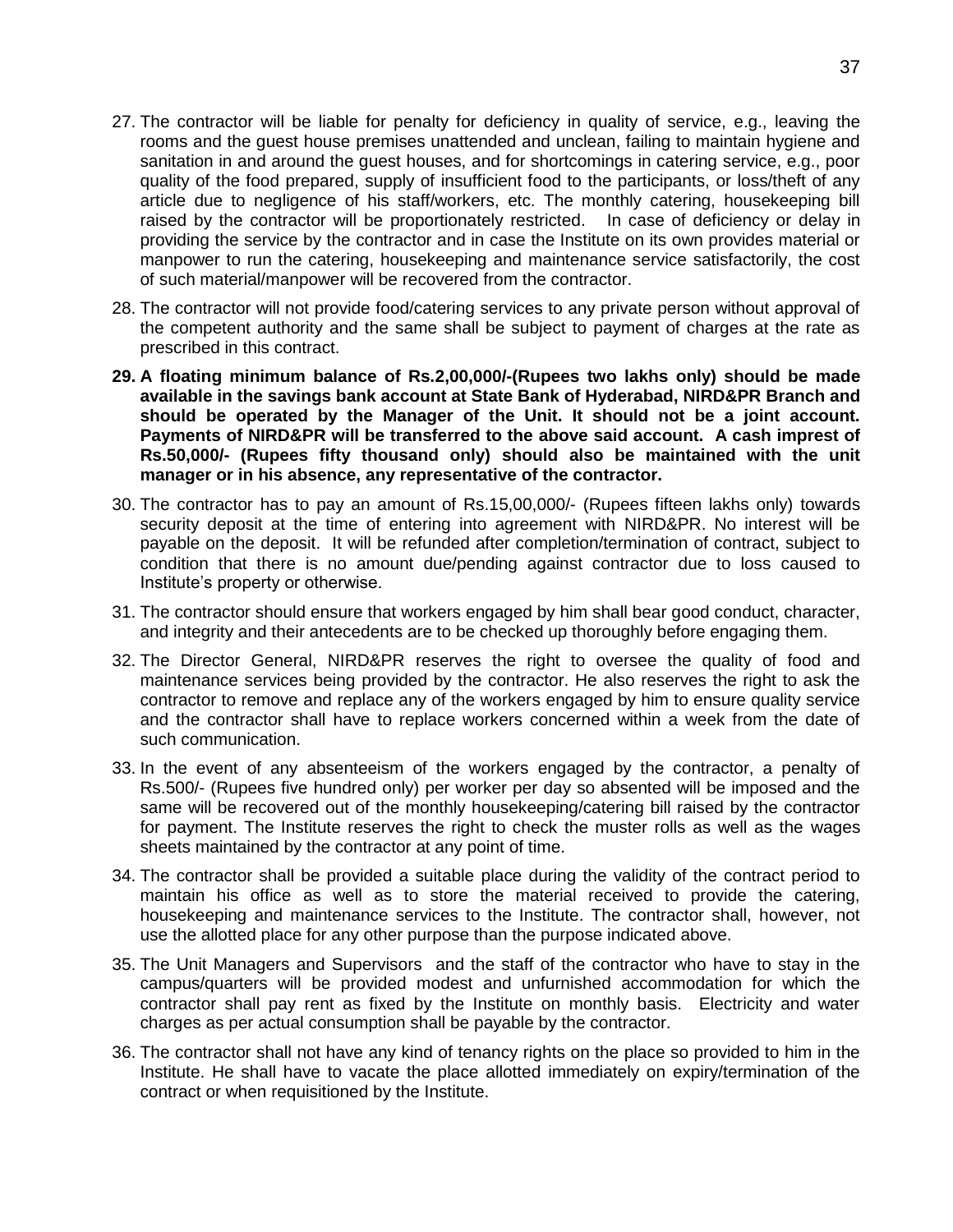- 27. The contractor will be liable for penalty for deficiency in quality of service, e.g., leaving the rooms and the guest house premises unattended and unclean, failing to maintain hygiene and sanitation in and around the guest houses, and for shortcomings in catering service, e.g., poor quality of the food prepared, supply of insufficient food to the participants, or loss/theft of any article due to negligence of his staff/workers, etc. The monthly catering, housekeeping bill raised by the contractor will be proportionately restricted. In case of deficiency or delay in providing the service by the contractor and in case the Institute on its own provides material or manpower to run the catering, housekeeping and maintenance service satisfactorily, the cost of such material/manpower will be recovered from the contractor.
- 28. The contractor will not provide food/catering services to any private person without approval of the competent authority and the same shall be subject to payment of charges at the rate as prescribed in this contract.
- **29. A floating minimum balance of Rs.2,00,000/-(Rupees two lakhs only) should be made available in the savings bank account at State Bank of Hyderabad, NIRD&PR Branch and should be operated by the Manager of the Unit. It should not be a joint account. Payments of NIRD&PR will be transferred to the above said account. A cash imprest of Rs.50,000/- (Rupees fifty thousand only) should also be maintained with the unit manager or in his absence, any representative of the contractor.**
- 30. The contractor has to pay an amount of Rs.15,00,000/- (Rupees fifteen lakhs only) towards security deposit at the time of entering into agreement with NIRD&PR. No interest will be payable on the deposit. It will be refunded after completion/termination of contract, subject to condition that there is no amount due/pending against contractor due to loss caused to Institute's property or otherwise.
- 31. The contractor should ensure that workers engaged by him shall bear good conduct, character, and integrity and their antecedents are to be checked up thoroughly before engaging them.
- 32. The Director General, NIRD&PR reserves the right to oversee the quality of food and maintenance services being provided by the contractor. He also reserves the right to ask the contractor to remove and replace any of the workers engaged by him to ensure quality service and the contractor shall have to replace workers concerned within a week from the date of such communication.
- 33. In the event of any absenteeism of the workers engaged by the contractor, a penalty of Rs.500/- (Rupees five hundred only) per worker per day so absented will be imposed and the same will be recovered out of the monthly housekeeping/catering bill raised by the contractor for payment. The Institute reserves the right to check the muster rolls as well as the wages sheets maintained by the contractor at any point of time.
- 34. The contractor shall be provided a suitable place during the validity of the contract period to maintain his office as well as to store the material received to provide the catering, housekeeping and maintenance services to the Institute. The contractor shall, however, not use the allotted place for any other purpose than the purpose indicated above.
- 35. The Unit Managers and Supervisors and the staff of the contractor who have to stay in the campus/quarters will be provided modest and unfurnished accommodation for which the contractor shall pay rent as fixed by the Institute on monthly basis. Electricity and water charges as per actual consumption shall be payable by the contractor.
- 36. The contractor shall not have any kind of tenancy rights on the place so provided to him in the Institute. He shall have to vacate the place allotted immediately on expiry/termination of the contract or when requisitioned by the Institute.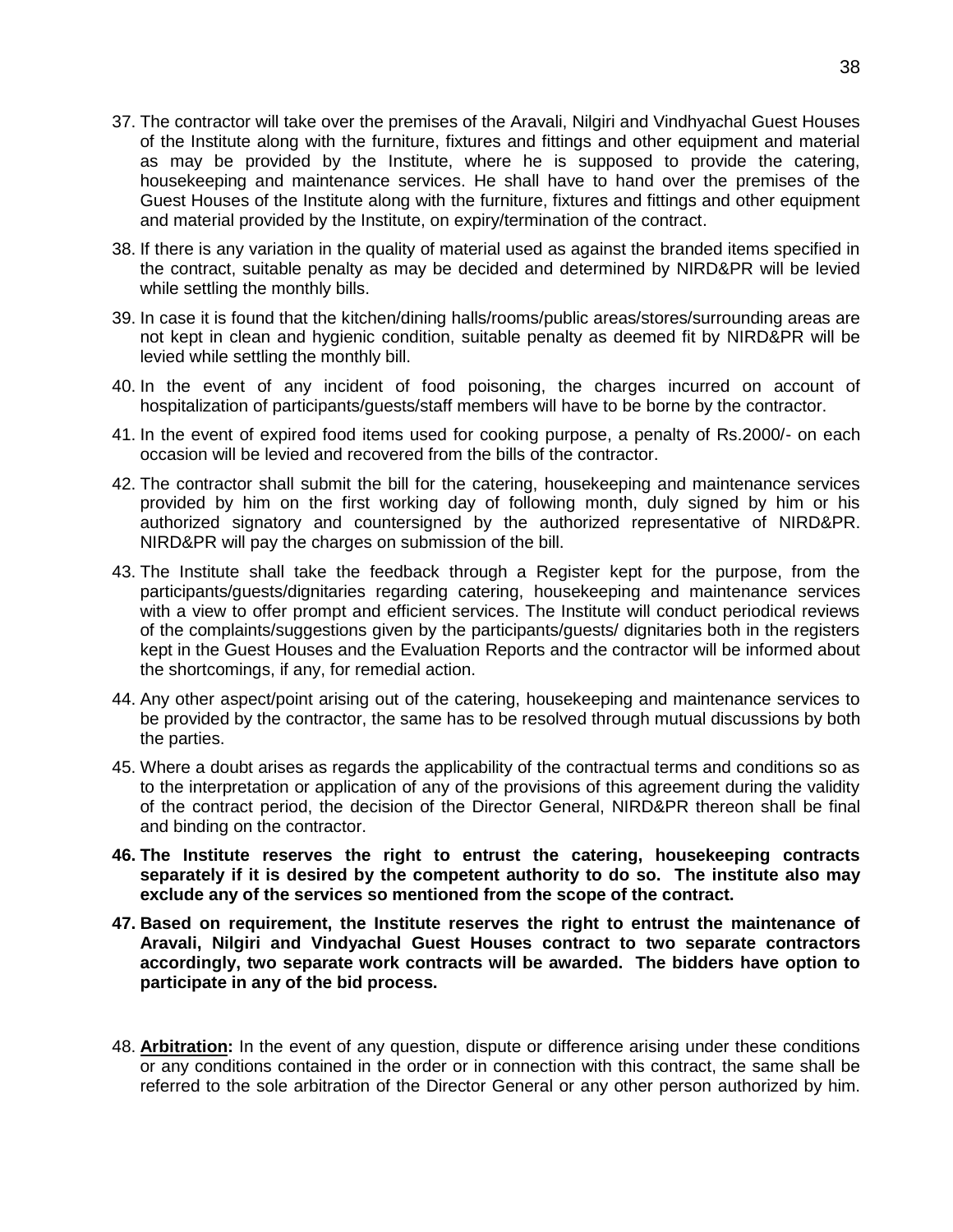- 37. The contractor will take over the premises of the Aravali, Nilgiri and Vindhyachal Guest Houses of the Institute along with the furniture, fixtures and fittings and other equipment and material as may be provided by the Institute, where he is supposed to provide the catering, housekeeping and maintenance services. He shall have to hand over the premises of the Guest Houses of the Institute along with the furniture, fixtures and fittings and other equipment and material provided by the Institute, on expiry/termination of the contract.
- 38. If there is any variation in the quality of material used as against the branded items specified in the contract, suitable penalty as may be decided and determined by NIRD&PR will be levied while settling the monthly bills.
- 39. In case it is found that the kitchen/dining halls/rooms/public areas/stores/surrounding areas are not kept in clean and hygienic condition, suitable penalty as deemed fit by NIRD&PR will be levied while settling the monthly bill.
- 40. In the event of any incident of food poisoning, the charges incurred on account of hospitalization of participants/guests/staff members will have to be borne by the contractor.
- 41. In the event of expired food items used for cooking purpose, a penalty of Rs.2000/- on each occasion will be levied and recovered from the bills of the contractor.
- 42. The contractor shall submit the bill for the catering, housekeeping and maintenance services provided by him on the first working day of following month, duly signed by him or his authorized signatory and countersigned by the authorized representative of NIRD&PR. NIRD&PR will pay the charges on submission of the bill.
- 43. The Institute shall take the feedback through a Register kept for the purpose, from the participants/guests/dignitaries regarding catering, housekeeping and maintenance services with a view to offer prompt and efficient services. The Institute will conduct periodical reviews of the complaints/suggestions given by the participants/guests/ dignitaries both in the registers kept in the Guest Houses and the Evaluation Reports and the contractor will be informed about the shortcomings, if any, for remedial action.
- 44. Any other aspect/point arising out of the catering, housekeeping and maintenance services to be provided by the contractor, the same has to be resolved through mutual discussions by both the parties.
- 45. Where a doubt arises as regards the applicability of the contractual terms and conditions so as to the interpretation or application of any of the provisions of this agreement during the validity of the contract period, the decision of the Director General, NIRD&PR thereon shall be final and binding on the contractor.
- **46. The Institute reserves the right to entrust the catering, housekeeping contracts separately if it is desired by the competent authority to do so. The institute also may exclude any of the services so mentioned from the scope of the contract.**
- **47. Based on requirement, the Institute reserves the right to entrust the maintenance of Aravali, Nilgiri and Vindyachal Guest Houses contract to two separate contractors accordingly, two separate work contracts will be awarded. The bidders have option to participate in any of the bid process.**
- 48. **Arbitration:** In the event of any question, dispute or difference arising under these conditions or any conditions contained in the order or in connection with this contract, the same shall be referred to the sole arbitration of the Director General or any other person authorized by him.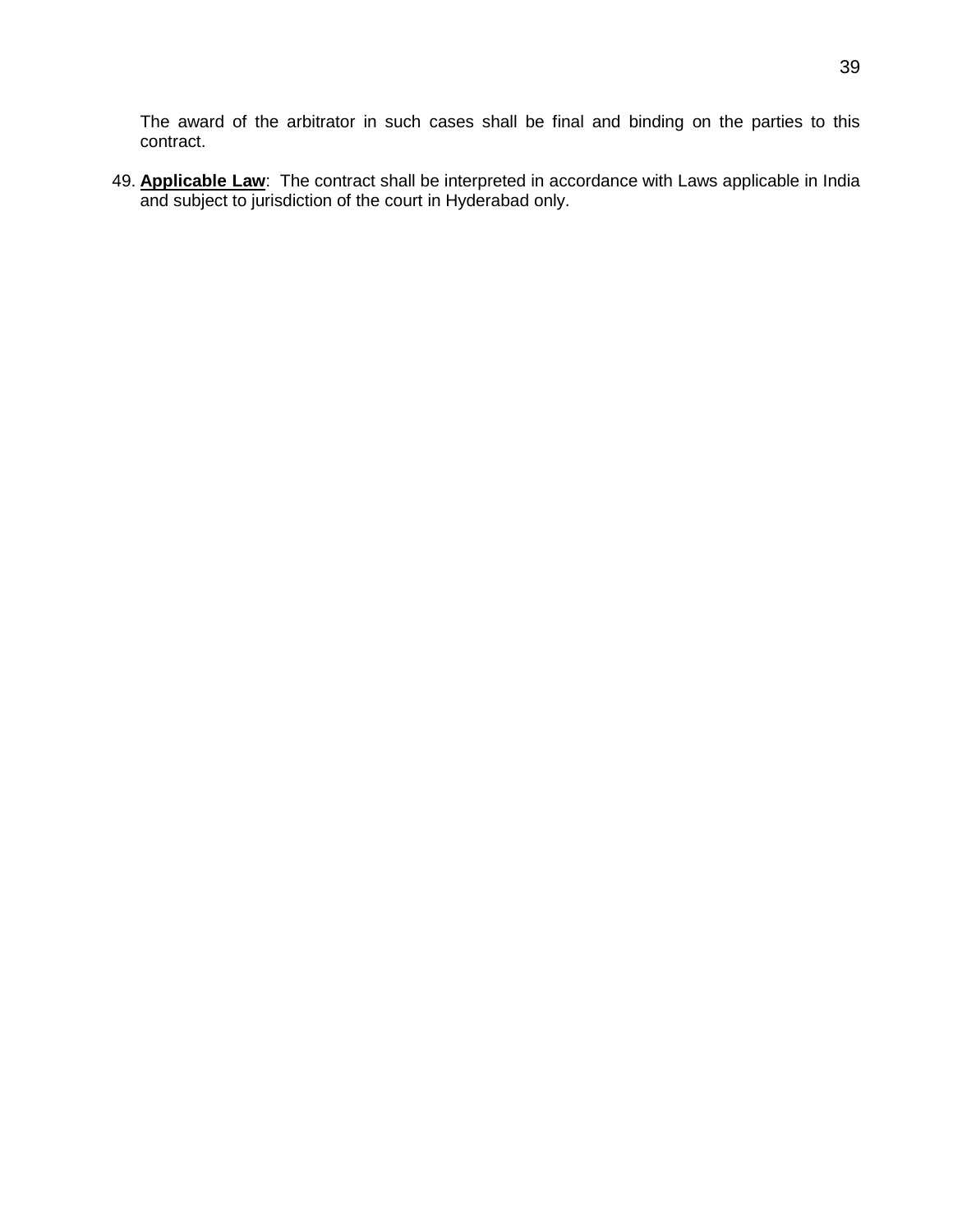The award of the arbitrator in such cases shall be final and binding on the parties to this contract.

49. **Applicable Law**: The contract shall be interpreted in accordance with Laws applicable in India and subject to jurisdiction of the court in Hyderabad only.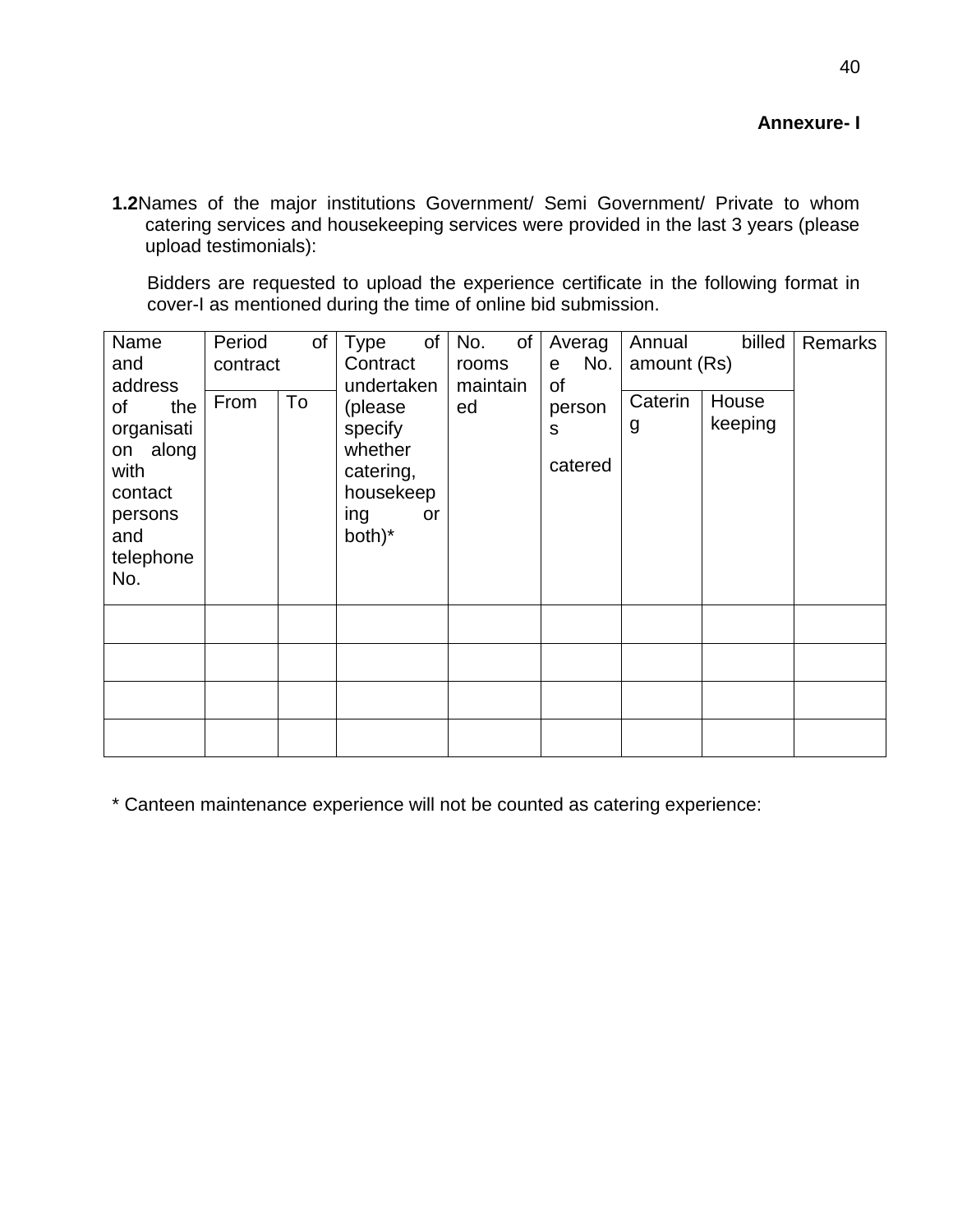**1.2**Names of the major institutions Government/ Semi Government/ Private to whom catering services and housekeeping services were provided in the last 3 years (please upload testimonials):

Bidders are requested to upload the experience certificate in the following format in cover-I as mentioned during the time of online bid submission.

| Name<br>and<br>address                                                                       | Period<br>contract | οf | of<br>Type<br>Contract<br>undertaken                                           | No.<br>of<br>rooms<br>maintain | Averag<br>No.<br>e<br>οf | Annual<br>amount (Rs) | billed           | Remarks |
|----------------------------------------------------------------------------------------------|--------------------|----|--------------------------------------------------------------------------------|--------------------------------|--------------------------|-----------------------|------------------|---------|
| of<br>the<br>organisati<br>on along<br>with<br>contact<br>persons<br>and<br>telephone<br>No. | From               | To | (please<br>specify<br>whether<br>catering,<br>housekeep<br>ing<br>or<br>both)* | ed                             | person<br>S<br>catered   | Caterin<br>g          | House<br>keeping |         |
|                                                                                              |                    |    |                                                                                |                                |                          |                       |                  |         |
|                                                                                              |                    |    |                                                                                |                                |                          |                       |                  |         |
|                                                                                              |                    |    |                                                                                |                                |                          |                       |                  |         |
|                                                                                              |                    |    |                                                                                |                                |                          |                       |                  |         |

\* Canteen maintenance experience will not be counted as catering experience: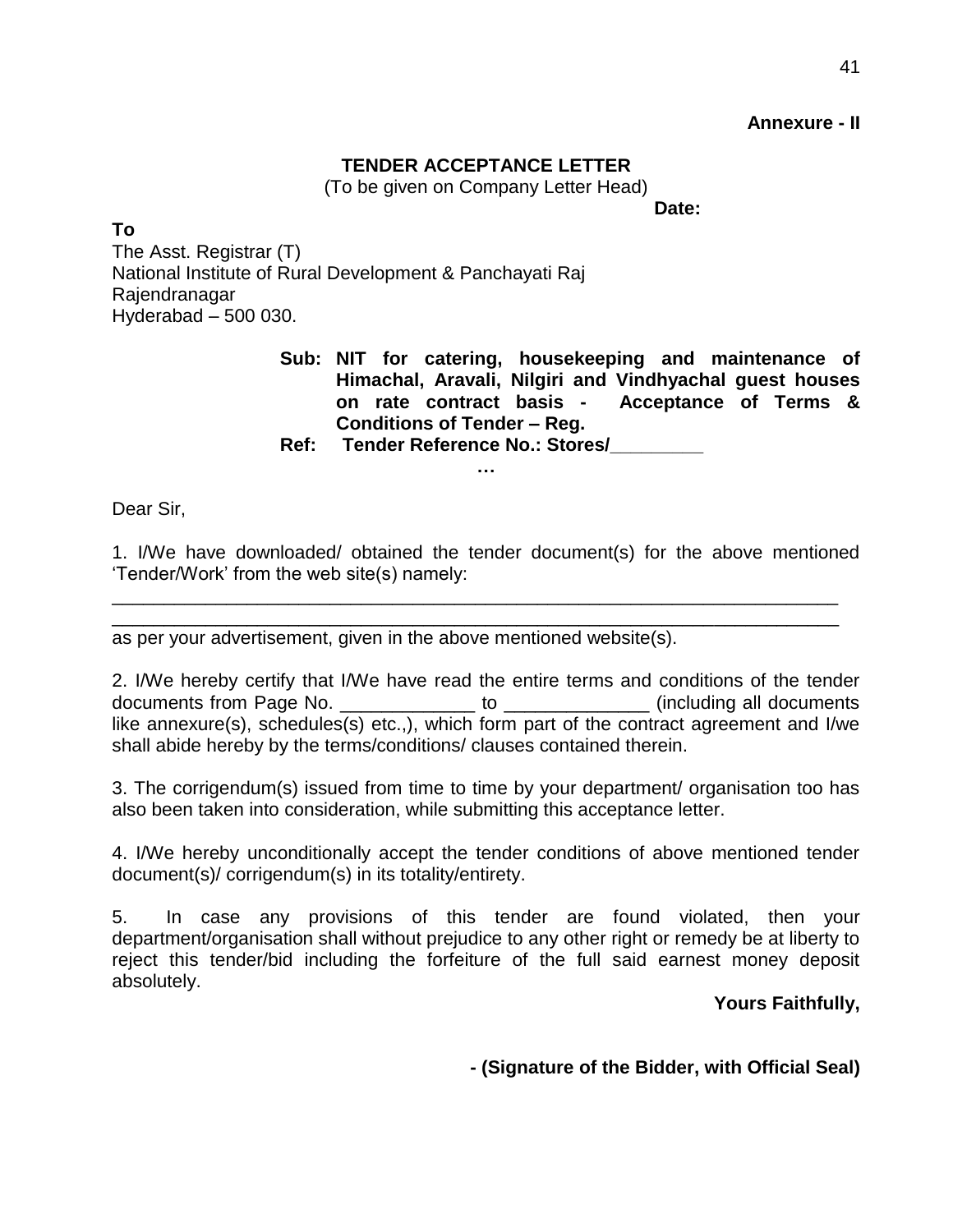### **Annexure - II**

### **TENDER ACCEPTANCE LETTER**

(To be given on Company Letter Head)

**Date:**

**To** The Asst. Registrar (T) National Institute of Rural Development & Panchayati Raj Rajendranagar Hyderabad – 500 030.

> **Sub: NIT for catering, housekeeping and maintenance of Himachal, Aravali, Nilgiri and Vindhyachal guest houses on rate contract basis - Acceptance of Terms & Conditions of Tender – Reg.**

**Ref: Tender Reference No.: Stores/\_\_\_\_\_\_\_\_\_ …**

Dear Sir,

1. I/We have downloaded/ obtained the tender document(s) for the above mentioned 'Tender/Work' from the web site(s) namely:

\_\_\_\_\_\_\_\_\_\_\_\_\_\_\_\_\_\_\_\_\_\_\_\_\_\_\_\_\_\_\_\_\_\_\_\_\_\_\_\_\_\_\_\_\_\_\_\_\_\_\_\_\_\_\_\_\_\_\_\_\_\_\_\_\_\_\_\_\_\_ \_\_\_\_\_\_\_\_\_\_\_\_\_\_\_\_\_\_\_\_\_\_\_\_\_\_\_\_\_\_\_\_\_\_\_\_\_\_\_\_\_\_\_\_\_\_\_\_\_\_\_\_\_\_\_\_\_\_\_\_\_\_\_\_\_\_\_\_\_\_

as per your advertisement, given in the above mentioned website(s).

2. I/We hereby certify that I/We have read the entire terms and conditions of the tender documents from Page No. \_\_\_\_\_\_\_\_\_\_\_\_\_ to \_\_\_\_\_\_\_\_\_\_\_\_\_\_ (including all documents like annexure(s), schedules(s) etc.,), which form part of the contract agreement and I/we shall abide hereby by the terms/conditions/ clauses contained therein.

3. The corrigendum(s) issued from time to time by your department/ organisation too has also been taken into consideration, while submitting this acceptance letter.

4. I/We hereby unconditionally accept the tender conditions of above mentioned tender document(s)/ corrigendum(s) in its totality/entirety.

5. In case any provisions of this tender are found violated, then your department/organisation shall without prejudice to any other right or remedy be at liberty to reject this tender/bid including the forfeiture of the full said earnest money deposit absolutely.

### **Yours Faithfully,**

**- (Signature of the Bidder, with Official Seal)**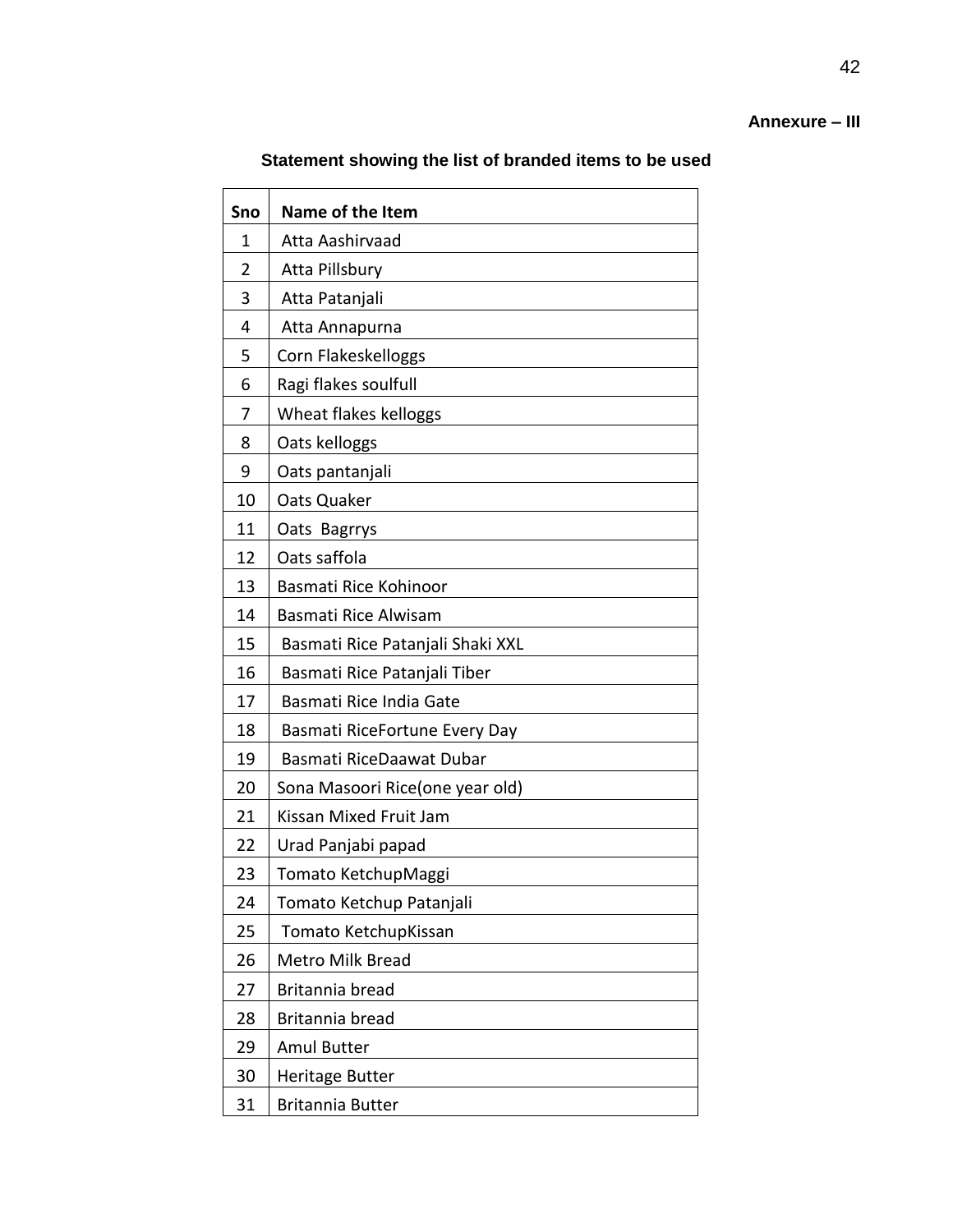# **Annexure – III**

# **Statement showing the list of branded items to be used**

| Sno            | Name of the Item                 |
|----------------|----------------------------------|
| 1              | Atta Aashirvaad                  |
| $\overline{2}$ | Atta Pillsbury                   |
| 3              | Atta Patanjali                   |
| 4              | Atta Annapurna                   |
| 5              | Corn Flakeskelloggs              |
| 6              | Ragi flakes soulfull             |
| 7              | Wheat flakes kelloggs            |
| 8              | Oats kelloggs                    |
| 9              | Oats pantanjali                  |
| 10             | Oats Quaker                      |
| 11             | Oats Bagrrys                     |
| 12             | Oats saffola                     |
| 13             | Basmati Rice Kohinoor            |
| 14             | Basmati Rice Alwisam             |
| 15             | Basmati Rice Patanjali Shaki XXL |
| 16             | Basmati Rice Patanjali Tiber     |
| 17             | Basmati Rice India Gate          |
| 18             | Basmati RiceFortune Every Day    |
| 19             | Basmati RiceDaawat Dubar         |
| 20             | Sona Masoori Rice(one year old)  |
| 21             | Kissan Mixed Fruit Jam           |
| 22             | Urad Panjabi papad               |
| 23             | Tomato KetchupMaggi              |
| 24             | Tomato Ketchup Patanjali         |
| 25             | Tomato KetchupKissan             |
| 26             | Metro Milk Bread                 |
| 27             | Britannia bread                  |
| 28             | Britannia bread                  |
| 29             | <b>Amul Butter</b>               |
| 30             | <b>Heritage Butter</b>           |
| 31             | <b>Britannia Butter</b>          |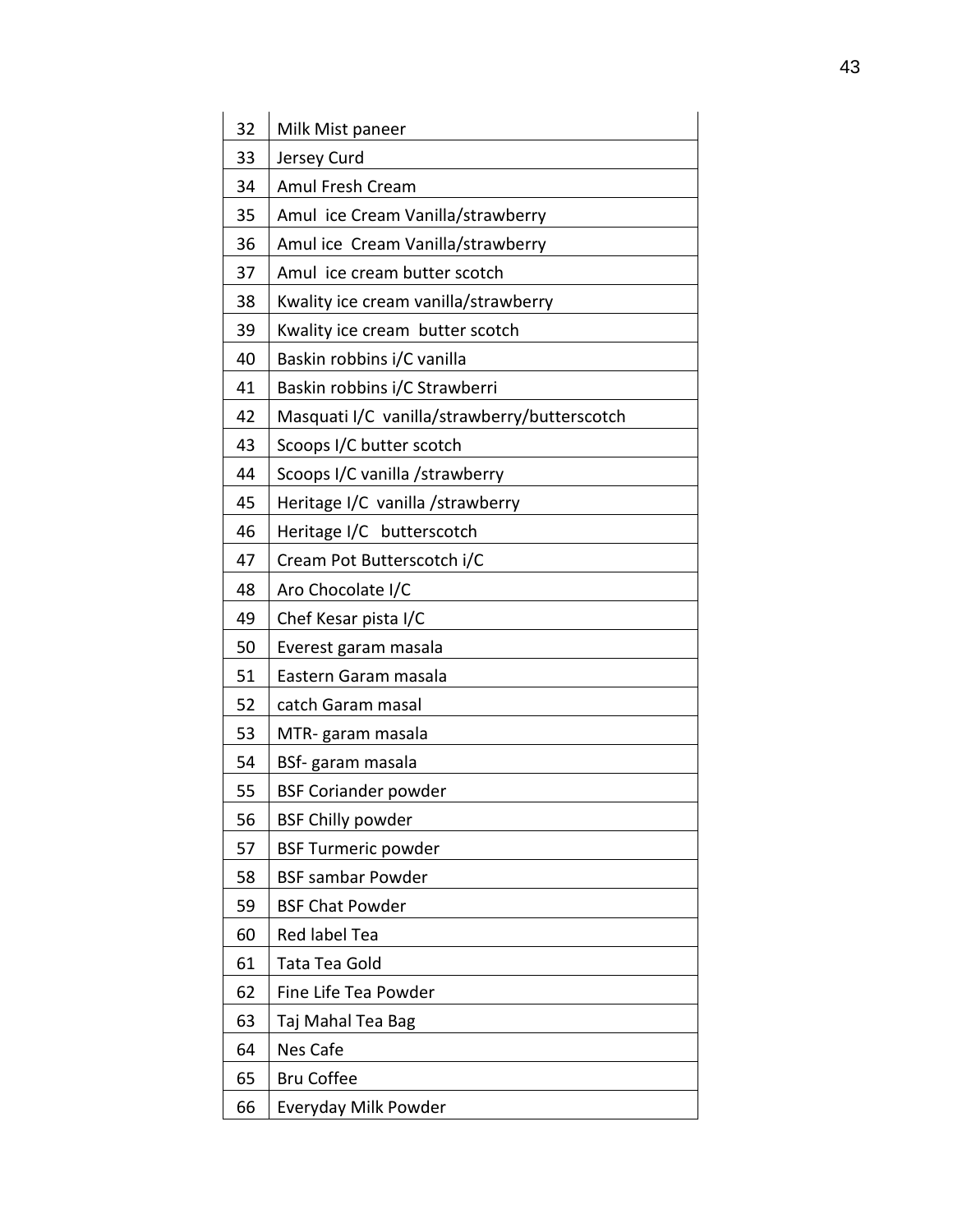| 32 | Milk Mist paneer                             |
|----|----------------------------------------------|
| 33 | Jersey Curd                                  |
| 34 | Amul Fresh Cream                             |
| 35 | Amul ice Cream Vanilla/strawberry            |
| 36 | Amul ice Cream Vanilla/strawberry            |
| 37 | Amul ice cream butter scotch                 |
| 38 | Kwality ice cream vanilla/strawberry         |
| 39 | Kwality ice cream butter scotch              |
| 40 | Baskin robbins i/C vanilla                   |
| 41 | Baskin robbins i/C Strawberri                |
| 42 | Masquati I/C vanilla/strawberry/butterscotch |
| 43 | Scoops I/C butter scotch                     |
| 44 | Scoops I/C vanilla /strawberry               |
| 45 | Heritage I/C vanilla /strawberry             |
| 46 | Heritage I/C butterscotch                    |
| 47 | Cream Pot Butterscotch i/C                   |
| 48 | Aro Chocolate I/C                            |
| 49 | Chef Kesar pista I/C                         |
| 50 | Everest garam masala                         |
| 51 | Eastern Garam masala                         |
| 52 | catch Garam masal                            |
| 53 | MTR-garam masala                             |
| 54 | BSf-garam masala                             |
| 55 | <b>BSF Coriander powder</b>                  |
| 56 | <b>BSF Chilly powder</b>                     |
| 57 | <b>BSF Turmeric powder</b>                   |
| 58 | <b>BSF sambar Powder</b>                     |
| 59 | <b>BSF Chat Powder</b>                       |
| 60 | Red label Tea                                |
| 61 | Tata Tea Gold                                |
| 62 | Fine Life Tea Powder                         |
| 63 | Taj Mahal Tea Bag                            |
| 64 | Nes Cafe                                     |
| 65 | <b>Bru Coffee</b>                            |
| 66 | Everyday Milk Powder                         |